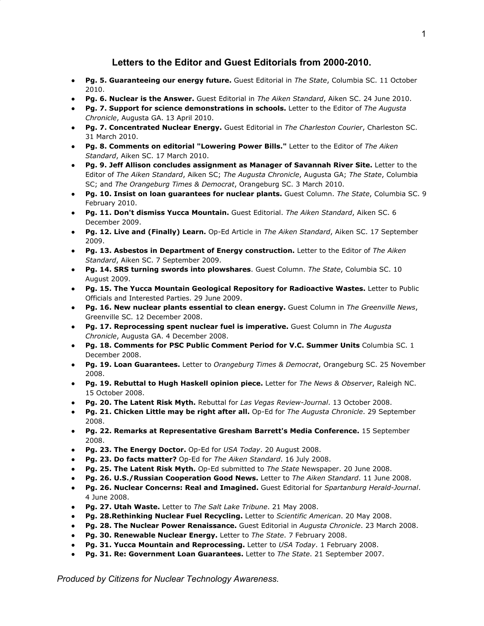# **Letters to the Editor and Guest Editorials from 2000-2010.**

- **● Pg. 5. Guaranteeing our energy future.** Guest Editorial in *The State*, Columbia SC. 11 October 2010.
- **● Pg. 6. Nuclear is the Answer.** Guest Editorial in *The Aiken Standard*, Aiken SC. 24 June 2010.
- **● Pg. 7. Support for science demonstrations in schools.** Letter to the Editor of *The Augusta Chronicle*, Augusta GA. 13 April 2010.
- **● Pg. 7. Concentrated Nuclear Energy.** Guest Editorial in *The Charleston Courier*, Charleston SC. 31 March 2010.
- **● Pg. 8. Comments on editorial "Lowering Power Bills."** Letter to the Editor of *The Aiken Standard*, Aiken SC. 17 March 2010.
- **● Pg. 9. Jeff Allison concludes assignment as Manager of Savannah River Site.** Letter to the Editor of *The Aiken Standard*, Aiken SC; *The Augusta Chronicle*, Augusta GA; *The State*, Columbia SC; and *The Orangeburg Times & Democrat*, Orangeburg SC. 3 March 2010.
- **● Pg. 10. Insist on loan guarantees for nuclear plants.** Guest Column. *The State*, Columbia SC. 9 February 2010.
- **● Pg. 11. Don't dismiss Yucca Mountain.** Guest Editorial. *The Aiken Standard*, Aiken SC. 6 December 2009.
- **● Pg. 12. Live and (Finally) Learn.** Op-Ed Article in *The Aiken Standard*, Aiken SC. 17 September 2009.
- **● Pg. 13. Asbestos in Department of Energy construction.** Letter to the Editor of *The Aiken Standard*, Aiken SC. 7 September 2009.
- **● Pg. 14. SRS turning swords into plowshares**. Guest Column. *The State*, Columbia SC. 10 August 2009.
- **● Pg. 15. The Yucca Mountain Geological Repository for Radioactive Wastes.** Letter to Public Officials and Interested Parties. 29 June 2009.
- **● Pg. 16. New nuclear plants essential to clean energy.** Guest Column in *The Greenville News*, Greenville SC. 12 December 2008.
- **● Pg. 17. Reprocessing spent nuclear fuel is imperative.** Guest Column in *The Augusta Chronicle*, Augusta GA. 4 December 2008.
- **● Pg. 18. Comments for PSC Public Comment Period for V.C. Summer Units** Columbia SC. 1 December 2008.
- **● Pg. 19. Loan Guarantees.** Letter to *Orangeburg Times & Democrat*, Orangeburg SC. 25 November 2008.
- **● Pg. 19. Rebuttal to Hugh Haskell opinion piece.** Letter for *The News & Observer*, Raleigh NC. 15 October 2008.
- **● Pg. 20. The Latent Risk Myth.** Rebuttal for *Las Vegas Review-Journal*. 13 October 2008.
- **● Pg. 21. Chicken Little may be right after all.** Op-Ed for *The Augusta Chronicle*. 29 September 2008.
- **● Pg. 22. Remarks at Representative Gresham Barrett's Media Conference.** 15 September 2008.
- **● Pg. 23. The Energy Doctor.** Op-Ed for *USA Today*. 20 August 2008.
- **● Pg. 23. Do facts matter?** Op-Ed for *The Aiken Standard*. 16 July 2008.
- **● Pg. 25. The Latent Risk Myth.** Op-Ed submitted to *The State* Newspaper. 20 June 2008.
- **● Pg. 26. U.S./Russian Cooperation Good News.** Letter to *The Aiken Standard*. 11 June 2008.
- **● Pg. 26. Nuclear Concerns: Real and Imagined.** Guest Editorial for *Spartanburg Herald-Journal*. 4 June 2008.
- **● Pg. 27. Utah Waste.** Letter to *The Salt Lake Tribune*. 21 May 2008.
- **● Pg. 28.Rethinking Nuclear Fuel Recycling.** Letter to *Scientific American*. 20 May 2008.
- **● Pg. 28. The Nuclear Power Renaissance.** Guest Editorial in *Augusta Chronicle*. 23 March 2008.
- **● Pg. 30. Renewable Nuclear Energy.** Letter to *The State*. 7 February 2008.
- **● Pg. 31. Yucca Mountain and Reprocessing.** Letter to *USA Today*. 1 February 2008.
- **● Pg. 31. Re: Government Loan Guarantees.** Letter to *The State*. 21 September 2007.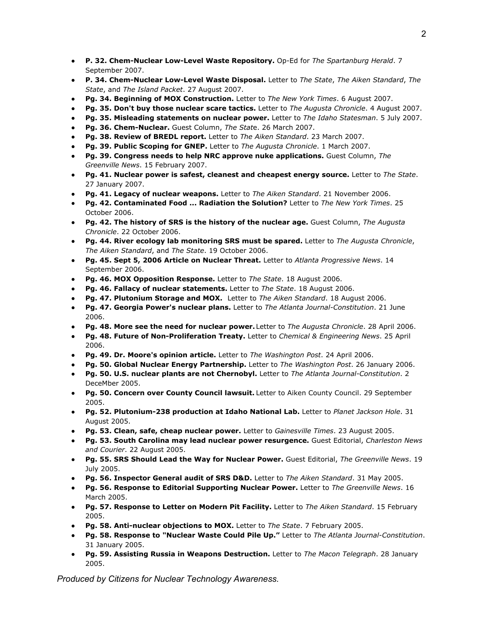- **● P. 32. Chem-Nuclear Low-Level Waste Repository.** Op-Ed for *The Spartanburg Herald*. 7 September 2007.
- **● P. 34. Chem-Nuclear Low-Level Waste Disposal.** Letter to *The State*, *The Aiken Standard*, *The State*, and *The Island Packet*. 27 August 2007.
- **● Pg. 34. Beginning of MOX Construction.** Letter to *The New York Times*. 6 August 2007.
- **● Pg. 35. Don't buy those nuclear scare tactics.** Letter to *The Augusta Chronicle*. 4 August 2007.
- **● Pg. 35. Misleading statements on nuclear power.** Letter to *The Idaho Statesman*. 5 July 2007.
- **● Pg. 36. Chem-Nuclear.** Guest Column, *The Stat*e. 26 March 2007.
- **● Pg. 38. Review of BREDL report.** Letter to *The Aiken Standard*. 23 March 2007.
- **● Pg. 39. Public Scoping for GNEP.** Letter to *The Augusta Chronicle*. 1 March 2007.
- **● Pg. 39. Congress needs to help NRC approve nuke applications.** Guest Column, *The Greenville News*. 15 February 2007.
- **● Pg. 41. Nuclear power is safest, cleanest and cheapest energy source.** Letter to *The State*. 27 January 2007.
- **● Pg. 41. Legacy of nuclear weapons.** Letter to *The Aiken Standard*. 21 November 2006.
- **● Pg. 42. Contaminated Food ... Radiation the Solution?** Letter to *The New York Times*. 25 October 2006.
- **● Pg. 42. The history of SRS is the history of the nuclear age.** Guest Column, *The Augusta Chronicle*. 22 October 2006.
- **● Pg. 44. River ecology lab monitoring SRS must be spared.** Letter to *The Augusta Chronicle*, *The Aiken Standard*, and *The State*. 19 October 2006.
- **● Pg. 45. Sept 5, 2006 Article on Nuclear Threat.** Letter to *Atlanta Progressive News*. 14 September 2006.
- **● Pg. 46. MOX Opposition Response.** Letter to *The State*. 18 August 2006.
- **● Pg. 46. Fallacy of nuclear statements.** Letter to *The State*. 18 August 2006.
- **● Pg. 47. Plutonium Storage and MOX.** Letter to *The Aiken Standard*. 18 August 2006.
- **● Pg. 47. Georgia Power's nuclear plans.** Letter to *The Atlanta Journal-Constitution*. 21 June 2006.
- **● Pg. 48. More see the need for nuclear power.** Letter to *The Augusta Chronicle*. 28 April 2006.
- **● Pg. 48. Future of Non-Proliferation Treaty.** Letter to *Chemical & Engineering News*. 25 April 2006.
- **● Pg. 49. Dr. Moore's opinion article.** Letter to *The Washington Post*. 24 April 2006.
- **● Pg. 50. Global Nuclear Energy Partnership.** Letter to *The Washington Post*. 26 January 2006.
- **● Pg. 50. U.S. nuclear plants are not Chernobyl.** Letter to *The Atlanta Journal-Constitution*. 2 DeceMber 2005.
- **● Pg. 50. Concern over County Council lawsuit.** Letter to Aiken County Council. 29 September 2005.
- **● Pg. 52. Plutonium-238 production at Idaho National Lab.** Letter to *Planet Jackson Hole*. 31 August 2005.
- **● Pg. 53. Clean, safe, cheap nuclear power.** Letter to *Gainesville Times*. 23 August 2005.
- **● Pg. 53. South Carolina may lead nuclear power resurgence.** Guest Editorial, *Charleston News and Courier*. 22 August 2005.
- **● Pg. 55. SRS Should Lead the Way for Nuclear Power.** Guest Editorial, *The Greenville News*. 19 July 2005.
- **● Pg. 56. Inspector General audit of SRS D&D.** Letter to *The Aiken Standard*. 31 May 2005.
- **● Pg. 56. Response to Editorial Supporting Nuclear Power.** Letter to *The Greenville News*. 16 March 2005.
- **● Pg. 57. Response to Letter on Modern Pit Facility.** Letter to *The Aiken Standard*. 15 February 2005.
- **● Pg. 58. Anti-nuclear objections to MOX.** Letter to *The State*. 7 February 2005.
- **● Pg. 58. Response to "Nuclear Waste Could Pile Up."** Letter to *The Atlanta Journal-Constitution*. 31 January 2005.
- **● Pg. 59. Assisting Russia in Weapons Destruction.** Letter to *The Macon Telegraph*. 28 January 2005.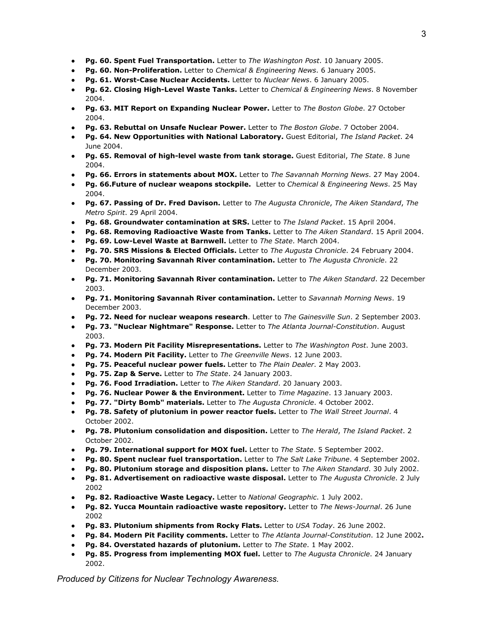- **● Pg. 60. Spent Fuel Transportation.** Letter to *The Washington Post*. 10 January 2005.
- **● Pg. 60. Non-Proliferation.** Letter to *Chemical & Engineering News*. 6 January 2005.
- **● Pg. 61. Worst-Case Nuclear Accidents.** Letter to *Nuclear News*. 6 January 2005.
- **● Pg. 62. Closing High-Level Waste Tanks.** Letter to *Chemical & Engineering News*. 8 November 2004.
- **● Pg. 63. MIT Report on Expanding Nuclear Power.** Letter to *The Boston Globe*. 27 October 2004.
- **● Pg. 63. Rebuttal on Unsafe Nuclear Power.** Letter to *The Boston Globe*. 7 October 2004.
- **● Pg. 64. New Opportunities with National Laboratory.** Guest Editorial, *The Island Packet*. 24 June 2004.
- **● Pg. 65. Removal of high-level waste from tank storage.** Guest Editorial, *The State*. 8 June 2004.
- **● Pg. 66. Errors in statements about MOX.** Letter to *The Savannah Morning News*. 27 May 2004.
- **● Pg. 66.Future of nuclear weapons stockpile.** Letter to *Chemical & Engineering News*. 25 May 2004.
- **● Pg. 67. Passing of Dr. Fred Davison.** Letter to *The Augusta Chronicle*, *The Aiken Standard*, *The Metro Spirit*. 29 April 2004.
- **● Pg. 68. Groundwater contamination at SRS.** Letter to *The Island Packet*. 15 April 2004.
- **● Pg. 68. Removing Radioactive Waste from Tanks.** Letter to *The Aiken Standard*. 15 April 2004.
- **● Pg. 69. Low-Level Waste at Barnwell.** Letter to *The State*. March 2004.
- **● Pg. 70. SRS Missions & Elected Officials.** Letter to *The Augusta Chronicle*. 24 February 2004.
- **● Pg. 70. Monitoring Savannah River contamination.** Letter to *The Augusta Chronicle*. 22 December 2003.
- **● Pg. 71. Monitoring Savannah River contamination.** Letter to *The Aiken Standard*. 22 December 2003.
- **● Pg. 71. Monitoring Savannah River contamination.** Letter to *Savannah Morning News*. 19 December 2003.
- **● Pg. 72. Need for nuclear weapons research**. Letter to *The Gainesville Sun*. 2 September 2003.
- **● Pg. 73. "Nuclear Nightmare" Response.** Letter to *The Atlanta Journal-Constitution*. August 2003.
- **● Pg. 73. Modern Pit Facility Misrepresentations.** Letter to *The Washington Post*. June 2003.
- **● Pg. 74. Modern Pit Facility.** Letter to *The Greenville News*. 12 June 2003.
- **● Pg. 75. Peaceful nuclear power fuels.** Letter to *The Plain Dealer*. 2 May 2003.
- **● Pg. 75. Zap & Serve.** Letter to *The State*. 24 January 2003.
- **● Pg. 76. Food Irradiation.** Letter to *The Aiken Standard*. 20 January 2003.
- **● Pg. 76. Nuclear Power & the Environment.** Letter to *Time Magazine*. 13 January 2003.
- **● Pg. 77. "Dirty Bomb" materials.** Letter to *The Augusta Chronicle*. 4 October 2002.
- **● Pg. 78. Safety of plutonium in power reactor fuels.** Letter to *The Wall Street Journal*. 4 October 2002.
- **● Pg. 78. Plutonium consolidation and disposition.** Letter to *The Herald*, *The Island Packet*. 2 October 2002.
- **● Pg. 79. International support for MOX fuel.** Letter to *The State*. 5 September 2002.
- **● Pg. 80. Spent nuclear fuel transportation.** Letter to *The Salt Lake Tribune*. 4 September 2002.
- **● Pg. 80. Plutonium storage and disposition plans.** Letter to *The Aiken Standard*. 30 July 2002.
- **● Pg. 81. Advertisement on radioactive waste disposal.** Letter to *The Augusta Chronicle*. 2 July 2002
- **● Pg. 82. Radioactive Waste Legacy.** Letter to *National Geographic*. 1 July 2002.
- **● Pg. 82. Yucca Mountain radioactive waste repository.** Letter to *The News-Journal*. 26 June 2002
- **● Pg. 83. Plutonium shipments from Rocky Flats.** Letter to *USA Today*. 26 June 2002.
- **● Pg. 84. Modern Pit Facility comments.** Letter to *The Atlanta Journal-Constitution*. 12 June 2002**.**
- **● Pg. 84. Overstated hazards of plutonium.** Letter to *The State*. 1 May 2002.
- **● Pg. 85. Progress from implementing MOX fuel.** Letter to *The Augusta Chronicle*. 24 January 2002.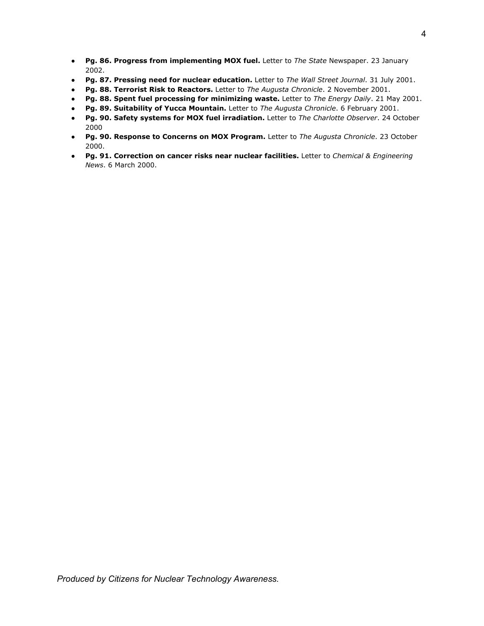- **● Pg. 86. Progress from implementing MOX fuel.** Letter to *The State* Newspaper. 23 January 2002.
- **● Pg. 87. Pressing need for nuclear education.** Letter to *The Wall Street Journal*. 31 July 2001.
- **● Pg. 88. Terrorist Risk to Reactors.** Letter to *The Augusta Chronicle*. 2 November 2001.
- **● Pg. 88. Spent fuel processing for minimizing waste.** Letter to *The Energy Daily*. 21 May 2001.
- **● Pg. 89. Suitability of Yucca Mountain.** Letter to *The Augusta Chronicle*. 6 February 2001.
- **● Pg. 90. Safety systems for MOX fuel irradiation.** Letter to *The Charlotte Observer*. 24 October 2000
- **● Pg. 90. Response to Concerns on MOX Program.** Letter to *The Augusta Chronicle*. 23 October 2000.
- **● Pg. 91. Correction on cancer risks near nuclear facilities.** Letter to *Chemical & Engineering News*. 6 March 2000.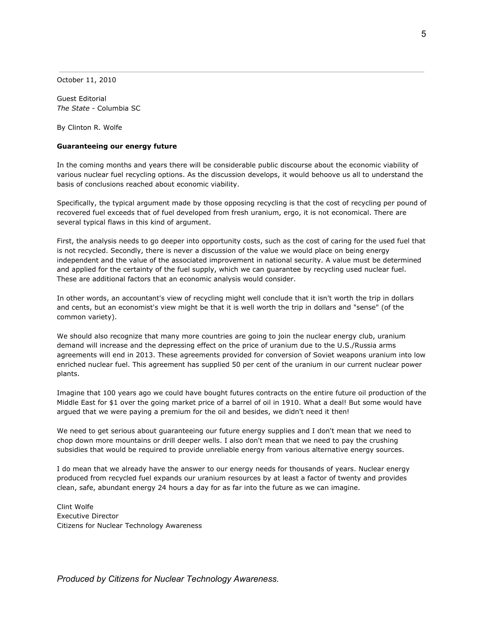October 11, 2010

Guest Editorial *The State* - Columbia SC

By Clinton R. Wolfe

### **Guaranteeing our energy future**

In the coming months and years there will be considerable public discourse about the economic viability of various nuclear fuel recycling options. As the discussion develops, it would behoove us all to understand the basis of conclusions reached about economic viability.

Specifically, the typical argument made by those opposing recycling is that the cost of recycling per pound of recovered fuel exceeds that of fuel developed from fresh uranium, ergo, it is not economical. There are several typical flaws in this kind of argument.

First, the analysis needs to go deeper into opportunity costs, such as the cost of caring for the used fuel that is not recycled. Secondly, there is never a discussion of the value we would place on being energy independent and the value of the associated improvement in national security. A value must be determined and applied for the certainty of the fuel supply, which we can guarantee by recycling used nuclear fuel. These are additional factors that an economic analysis would consider.

In other words, an accountant's view of recycling might well conclude that it isn't worth the trip in dollars and cents, but an economist's view might be that it is well worth the trip in dollars and "sense" (of the common variety).

We should also recognize that many more countries are going to join the nuclear energy club, uranium demand will increase and the depressing effect on the price of uranium due to the U.S./Russia arms agreements will end in 2013. These agreements provided for conversion of Soviet weapons uranium into low enriched nuclear fuel. This agreement has supplied 50 per cent of the uranium in our current nuclear power plants.

Imagine that 100 years ago we could have bought futures contracts on the entire future oil production of the Middle East for \$1 over the going market price of a barrel of oil in 1910. What a deal! But some would have argued that we were paying a premium for the oil and besides, we didn't need it then!

We need to get serious about guaranteeing our future energy supplies and I don't mean that we need to chop down more mountains or drill deeper wells. I also don't mean that we need to pay the crushing subsidies that would be required to provide unreliable energy from various alternative energy sources.

I do mean that we already have the answer to our energy needs for thousands of years. Nuclear energy produced from recycled fuel expands our uranium resources by at least a factor of twenty and provides clean, safe, abundant energy 24 hours a day for as far into the future as we can imagine.

Clint Wolfe Executive Director Citizens for Nuclear Technology Awareness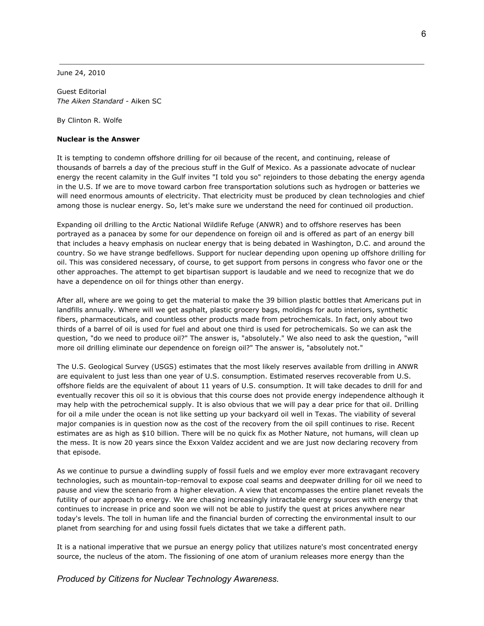June 24, 2010

Guest Editorial *The Aiken Standard* - Aiken SC

By Clinton R. Wolfe

#### **Nuclear is the Answer**

It is tempting to condemn offshore drilling for oil because of the recent, and continuing, release of thousands of barrels a day of the precious stuff in the Gulf of Mexico. As a passionate advocate of nuclear energy the recent calamity in the Gulf invites "I told you so" rejoinders to those debating the energy agenda in the U.S. If we are to move toward carbon free transportation solutions such as hydrogen or batteries we will need enormous amounts of electricity. That electricity must be produced by clean technologies and chief among those is nuclear energy. So, let's make sure we understand the need for continued oil production.

Expanding oil drilling to the Arctic National Wildlife Refuge (ANWR) and to offshore reserves has been portrayed as a panacea by some for our dependence on foreign oil and is offered as part of an energy bill that includes a heavy emphasis on nuclear energy that is being debated in Washington, D.C. and around the country. So we have strange bedfellows. Support for nuclear depending upon opening up offshore drilling for oil. This was considered necessary, of course, to get support from persons in congress who favor one or the other approaches. The attempt to get bipartisan support is laudable and we need to recognize that we do have a dependence on oil for things other than energy.

After all, where are we going to get the material to make the 39 billion plastic bottles that Americans put in landfills annually. Where will we get asphalt, plastic grocery bags, moldings for auto interiors, synthetic fibers, pharmaceuticals, and countless other products made from petrochemicals. In fact, only about two thirds of a barrel of oil is used for fuel and about one third is used for petrochemicals. So we can ask the question, "do we need to produce oil?" The answer is, "absolutely." We also need to ask the question, "will more oil drilling eliminate our dependence on foreign oil?" The answer is, "absolutely not."

The U.S. Geological Survey (USGS) estimates that the most likely reserves available from drilling in ANWR are equivalent to just less than one year of U.S. consumption. Estimated reserves recoverable from U.S. offshore fields are the equivalent of about 11 years of U.S. consumption. It will take decades to drill for and eventually recover this oil so it is obvious that this course does not provide energy independence although it may help with the petrochemical supply. It is also obvious that we will pay a dear price for that oil. Drilling for oil a mile under the ocean is not like setting up your backyard oil well in Texas. The viability of several major companies is in question now as the cost of the recovery from the oil spill continues to rise. Recent estimates are as high as \$10 billion. There will be no quick fix as Mother Nature, not humans, will clean up the mess. It is now 20 years since the Exxon Valdez accident and we are just now declaring recovery from that episode.

As we continue to pursue a dwindling supply of fossil fuels and we employ ever more extravagant recovery technologies, such as mountain-top-removal to expose coal seams and deepwater drilling for oil we need to pause and view the scenario from a higher elevation. A view that encompasses the entire planet reveals the futility of our approach to energy. We are chasing increasingly intractable energy sources with energy that continues to increase in price and soon we will not be able to justify the quest at prices anywhere near today's levels. The toll in human life and the financial burden of correcting the environmental insult to our planet from searching for and using fossil fuels dictates that we take a different path.

It is a national imperative that we pursue an energy policy that utilizes nature's most concentrated energy source, the nucleus of the atom. The fissioning of one atom of uranium releases more energy than the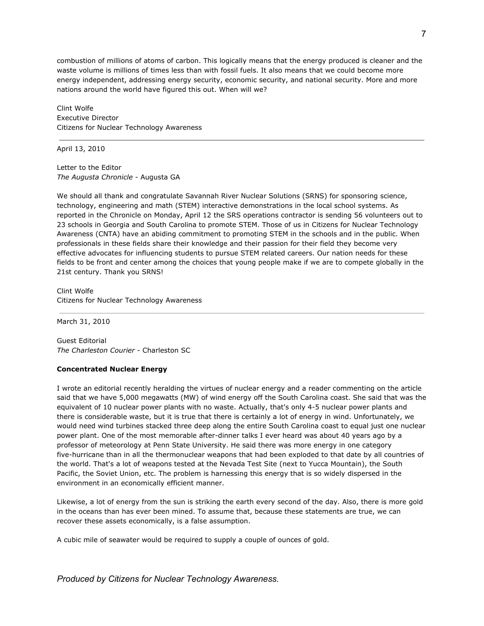combustion of millions of atoms of carbon. This logically means that the energy produced is cleaner and the waste volume is millions of times less than with fossil fuels. It also means that we could become more energy independent, addressing energy security, economic security, and national security. More and more nations around the world have figured this out. When will we?

Clint Wolfe Executive Director Citizens for Nuclear Technology Awareness

April 13, 2010

Letter to the Editor *The Augusta Chronicle* - Augusta GA

We should all thank and congratulate Savannah River Nuclear Solutions (SRNS) for sponsoring science, technology, engineering and math (STEM) interactive demonstrations in the local school systems. As reported in the Chronicle on Monday, April 12 the SRS operations contractor is sending 56 volunteers out to 23 schools in Georgia and South Carolina to promote STEM. Those of us in Citizens for Nuclear Technology Awareness (CNTA) have an abiding commitment to promoting STEM in the schools and in the public. When professionals in these fields share their knowledge and their passion for their field they become very effective advocates for influencing students to pursue STEM related careers. Our nation needs for these fields to be front and center among the choices that young people make if we are to compete globally in the 21st century. Thank you SRNS!

Clint Wolfe Citizens for Nuclear Technology Awareness

March 31, 2010

Guest Editorial *The Charleston Courier* - Charleston SC

### **Concentrated Nuclear Energy**

I wrote an editorial recently heralding the virtues of nuclear energy and a reader commenting on the article said that we have 5,000 megawatts (MW) of wind energy off the South Carolina coast. She said that was the equivalent of 10 nuclear power plants with no waste. Actually, that's only 4-5 nuclear power plants and there is considerable waste, but it is true that there is certainly a lot of energy in wind. Unfortunately, we would need wind turbines stacked three deep along the entire South Carolina coast to equal just one nuclear power plant. One of the most memorable after-dinner talks I ever heard was about 40 years ago by a professor of meteorology at Penn State University. He said there was more energy in one category five-hurricane than in all the thermonuclear weapons that had been exploded to that date by all countries of the world. That's a lot of weapons tested at the Nevada Test Site (next to Yucca Mountain), the South Pacific, the Soviet Union, etc. The problem is harnessing this energy that is so widely dispersed in the environment in an economically efficient manner.

Likewise, a lot of energy from the sun is striking the earth every second of the day. Also, there is more gold in the oceans than has ever been mined. To assume that, because these statements are true, we can recover these assets economically, is a false assumption.

A cubic mile of seawater would be required to supply a couple of ounces of gold.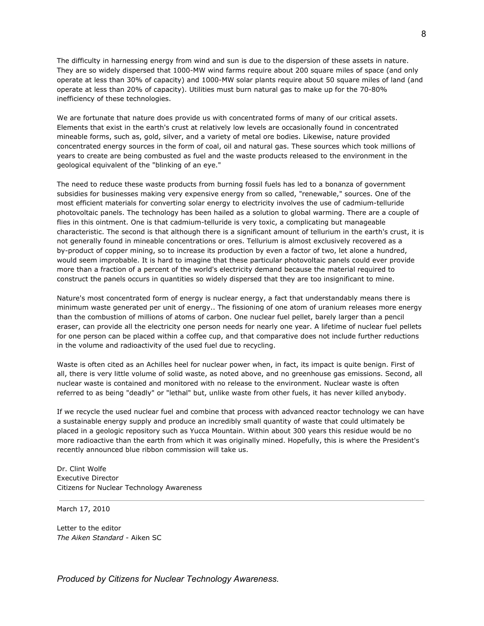The difficulty in harnessing energy from wind and sun is due to the dispersion of these assets in nature. They are so widely dispersed that 1000-MW wind farms require about 200 square miles of space (and only operate at less than 30% of capacity) and 1000-MW solar plants require about 50 square miles of land (and operate at less than 20% of capacity). Utilities must burn natural gas to make up for the 70-80% inefficiency of these technologies.

We are fortunate that nature does provide us with concentrated forms of many of our critical assets. Elements that exist in the earth's crust at relatively low levels are occasionally found in concentrated mineable forms, such as, gold, silver, and a variety of metal ore bodies. Likewise, nature provided concentrated energy sources in the form of coal, oil and natural gas. These sources which took millions of years to create are being combusted as fuel and the waste products released to the environment in the geological equivalent of the "blinking of an eye."

The need to reduce these waste products from burning fossil fuels has led to a bonanza of government subsidies for businesses making very expensive energy from so called, "renewable," sources. One of the most efficient materials for converting solar energy to electricity involves the use of cadmium-telluride photovoltaic panels. The technology has been hailed as a solution to global warming. There are a couple of flies in this ointment. One is that cadmium-telluride is very toxic, a complicating but manageable characteristic. The second is that although there is a significant amount of tellurium in the earth's crust, it is not generally found in mineable concentrations or ores. Tellurium is almost exclusively recovered as a by-product of copper mining, so to increase its production by even a factor of two, let alone a hundred, would seem improbable. It is hard to imagine that these particular photovoltaic panels could ever provide more than a fraction of a percent of the world's electricity demand because the material required to construct the panels occurs in quantities so widely dispersed that they are too insignificant to mine.

Nature's most concentrated form of energy is nuclear energy, a fact that understandably means there is minimum waste generated per unit of energy.. The fissioning of one atom of uranium releases more energy than the combustion of millions of atoms of carbon. One nuclear fuel pellet, barely larger than a pencil eraser, can provide all the electricity one person needs for nearly one year. A lifetime of nuclear fuel pellets for one person can be placed within a coffee cup, and that comparative does not include further reductions in the volume and radioactivity of the used fuel due to recycling.

Waste is often cited as an Achilles heel for nuclear power when, in fact, its impact is quite benign. First of all, there is very little volume of solid waste, as noted above, and no greenhouse gas emissions. Second, all nuclear waste is contained and monitored with no release to the environment. Nuclear waste is often referred to as being "deadly" or "lethal" but, unlike waste from other fuels, it has never killed anybody.

If we recycle the used nuclear fuel and combine that process with advanced reactor technology we can have a sustainable energy supply and produce an incredibly small quantity of waste that could ultimately be placed in a geologic repository such as Yucca Mountain. Within about 300 years this residue would be no more radioactive than the earth from which it was originally mined. Hopefully, this is where the President's recently announced blue ribbon commission will take us.

Dr. Clint Wolfe Executive Director Citizens for Nuclear Technology Awareness

March 17, 2010

Letter to the editor *The Aiken Standard* - Aiken SC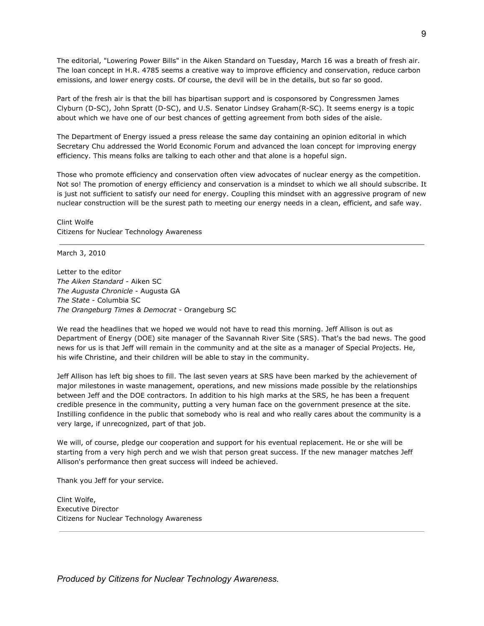The editorial, "Lowering Power Bills" in the Aiken Standard on Tuesday, March 16 was a breath of fresh air. The loan concept in H.R. 4785 seems a creative way to improve efficiency and conservation, reduce carbon emissions, and lower energy costs. Of course, the devil will be in the details, but so far so good.

Part of the fresh air is that the bill has bipartisan support and is cosponsored by Congressmen James Clyburn (D-SC), John Spratt (D-SC), and U.S. Senator Lindsey Graham(R-SC). It seems energy is a topic about which we have one of our best chances of getting agreement from both sides of the aisle.

The Department of Energy issued a press release the same day containing an opinion editorial in which Secretary Chu addressed the World Economic Forum and advanced the loan concept for improving energy efficiency. This means folks are talking to each other and that alone is a hopeful sign.

Those who promote efficiency and conservation often view advocates of nuclear energy as the competition. Not so! The promotion of energy efficiency and conservation is a mindset to which we all should subscribe. It is just not sufficient to satisfy our need for energy. Coupling this mindset with an aggressive program of new nuclear construction will be the surest path to meeting our energy needs in a clean, efficient, and safe way.

Clint Wolfe Citizens for Nuclear Technology Awareness

March 3, 2010

Letter to the editor *The Aiken Standard* - Aiken SC *The Augusta Chronicle* - Augusta GA *The State* - Columbia SC *The Orangeburg Times & Democrat* - Orangeburg SC

We read the headlines that we hoped we would not have to read this morning. Jeff Allison is out as Department of Energy (DOE) site manager of the Savannah River Site (SRS). That's the bad news. The good news for us is that Jeff will remain in the community and at the site as a manager of Special Projects. He, his wife Christine, and their children will be able to stay in the community.

Jeff Allison has left big shoes to fill. The last seven years at SRS have been marked by the achievement of major milestones in waste management, operations, and new missions made possible by the relationships between Jeff and the DOE contractors. In addition to his high marks at the SRS, he has been a frequent credible presence in the community, putting a very human face on the government presence at the site. Instilling confidence in the public that somebody who is real and who really cares about the community is a very large, if unrecognized, part of that job.

We will, of course, pledge our cooperation and support for his eventual replacement. He or she will be starting from a very high perch and we wish that person great success. If the new manager matches Jeff Allison's performance then great success will indeed be achieved.

Thank you Jeff for your service.

Clint Wolfe, Executive Director Citizens for Nuclear Technology Awareness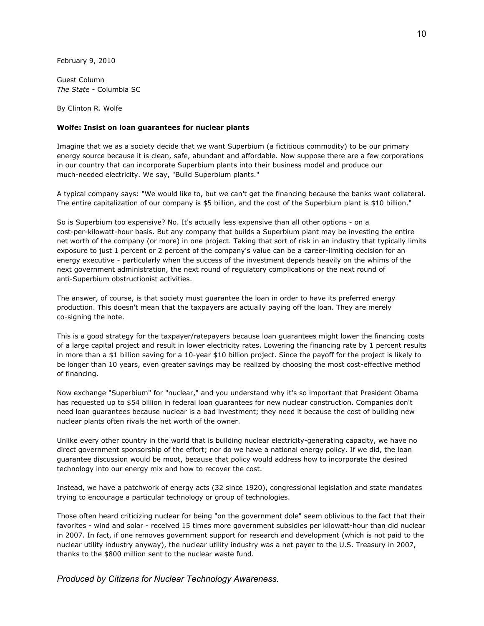February 9, 2010

Guest Column *The State* - Columbia SC

By Clinton R. Wolfe

### **Wolfe: Insist on loan guarantees for nuclear plants**

Imagine that we as a society decide that we want Superbium (a fictitious commodity) to be our primary energy source because it is clean, safe, abundant and affordable. Now suppose there are a few corporations in our country that can incorporate Superbium plants into their business model and produce our much-needed electricity. We say, "Build Superbium plants."

A typical company says: "We would like to, but we can't get the financing because the banks want collateral. The entire capitalization of our company is \$5 billion, and the cost of the Superbium plant is \$10 billion."

So is Superbium too expensive? No. It's actually less expensive than all other options - on a cost-per-kilowatt-hour basis. But any company that builds a Superbium plant may be investing the entire net worth of the company (or more) in one project. Taking that sort of risk in an industry that typically limits exposure to just 1 percent or 2 percent of the company's value can be a career-limiting decision for an energy executive - particularly when the success of the investment depends heavily on the whims of the next government administration, the next round of regulatory complications or the next round of anti-Superbium obstructionist activities.

The answer, of course, is that society must guarantee the loan in order to have its preferred energy production. This doesn't mean that the taxpayers are actually paying off the loan. They are merely co-signing the note.

This is a good strategy for the taxpayer/ratepayers because loan guarantees might lower the financing costs of a large capital project and result in lower electricity rates. Lowering the financing rate by 1 percent results in more than a \$1 billion saving for a 10-year \$10 billion project. Since the payoff for the project is likely to be longer than 10 years, even greater savings may be realized by choosing the most cost-effective method of financing.

Now exchange "Superbium" for "nuclear," and you understand why it's so important that President Obama has requested up to \$54 billion in federal loan guarantees for new nuclear construction. Companies don't need loan guarantees because nuclear is a bad investment; they need it because the cost of building new nuclear plants often rivals the net worth of the owner.

Unlike every other country in the world that is building nuclear electricity-generating capacity, we have no direct government sponsorship of the effort; nor do we have a national energy policy. If we did, the loan guarantee discussion would be moot, because that policy would address how to incorporate the desired technology into our energy mix and how to recover the cost.

Instead, we have a patchwork of energy acts (32 since 1920), congressional legislation and state mandates trying to encourage a particular technology or group of technologies.

Those often heard criticizing nuclear for being "on the government dole" seem oblivious to the fact that their favorites - wind and solar - received 15 times more government subsidies per kilowatt-hour than did nuclear in 2007. In fact, if one removes government support for research and development (which is not paid to the nuclear utility industry anyway), the nuclear utility industry was a net payer to the U.S. Treasury in 2007, thanks to the \$800 million sent to the nuclear waste fund.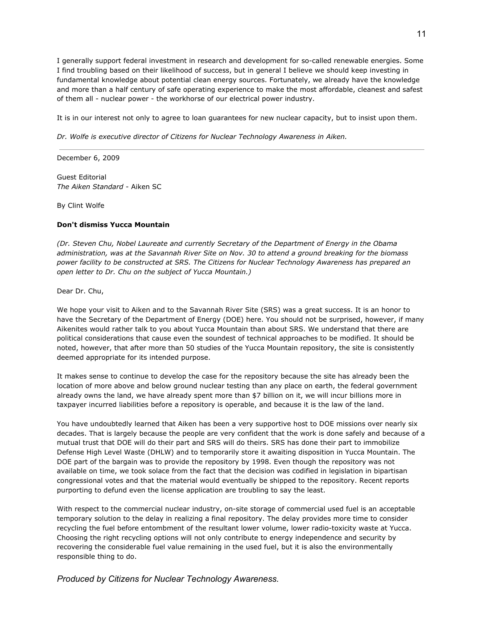I generally support federal investment in research and development for so-called renewable energies. Some I find troubling based on their likelihood of success, but in general I believe we should keep investing in fundamental knowledge about potential clean energy sources. Fortunately, we already have the knowledge and more than a half century of safe operating experience to make the most affordable, cleanest and safest of them all - nuclear power - the workhorse of our electrical power industry.

It is in our interest not only to agree to loan guarantees for new nuclear capacity, but to insist upon them.

*Dr. Wolfe is executive director of Citizens for Nuclear Technology Awareness in Aiken.*

December 6, 2009

Guest Editorial *The Aiken Standard* - Aiken SC

By Clint Wolfe

### **Don't dismiss Yucca Mountain**

*(Dr. Steven Chu, Nobel Laureate and currently Secretary of the Department of Energy in the Obama* administration, was at the Savannah River Site on Nov. 30 to attend a ground breaking for the biomass *power facility to be constructed at SRS. The Citizens for Nuclear Technology Awareness has prepared an open letter to Dr. Chu on the subject of Yucca Mountain.)*

Dear Dr. Chu,

We hope your visit to Aiken and to the Savannah River Site (SRS) was a great success. It is an honor to have the Secretary of the Department of Energy (DOE) here. You should not be surprised, however, if many Aikenites would rather talk to you about Yucca Mountain than about SRS. We understand that there are political considerations that cause even the soundest of technical approaches to be modified. It should be noted, however, that after more than 50 studies of the Yucca Mountain repository, the site is consistently deemed appropriate for its intended purpose.

It makes sense to continue to develop the case for the repository because the site has already been the location of more above and below ground nuclear testing than any place on earth, the federal government already owns the land, we have already spent more than \$7 billion on it, we will incur billions more in taxpayer incurred liabilities before a repository is operable, and because it is the law of the land.

You have undoubtedly learned that Aiken has been a very supportive host to DOE missions over nearly six decades. That is largely because the people are very confident that the work is done safely and because of a mutual trust that DOE will do their part and SRS will do theirs. SRS has done their part to immobilize Defense High Level Waste (DHLW) and to temporarily store it awaiting disposition in Yucca Mountain. The DOE part of the bargain was to provide the repository by 1998. Even though the repository was not available on time, we took solace from the fact that the decision was codified in legislation in bipartisan congressional votes and that the material would eventually be shipped to the repository. Recent reports purporting to defund even the license application are troubling to say the least.

With respect to the commercial nuclear industry, on-site storage of commercial used fuel is an acceptable temporary solution to the delay in realizing a final repository. The delay provides more time to consider recycling the fuel before entombment of the resultant lower volume, lower radio-toxicity waste at Yucca. Choosing the right recycling options will not only contribute to energy independence and security by recovering the considerable fuel value remaining in the used fuel, but it is also the environmentally responsible thing to do.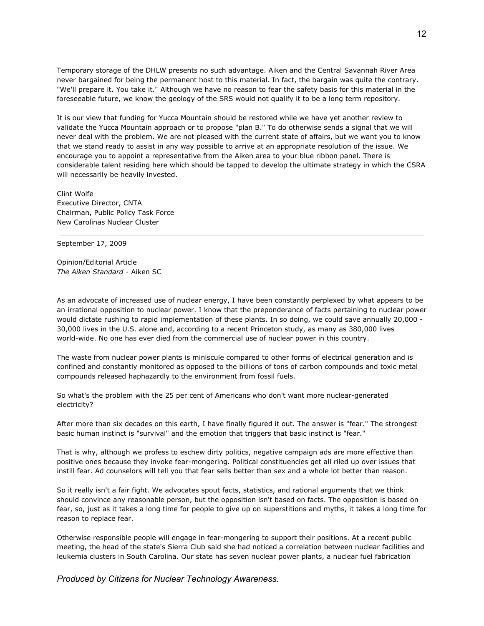Temporary storage of the DHLW presents no such advantage. Aiken and the Central Savannah River Area never bargained for being the permanent host to this material. In fact, the bargain was quite the contrary. "We'll prepare it. You take it." Although we have no reason to fear the safety basis for this material in the foreseeable future, we know the geology of the SRS would not qualify it to be a long term repository.

It is our view that funding for Yucca Mountain should be restored while we have yet another review to validate the Yucca Mountain approach or to propose "plan B." To do otherwise sends a signal that we will never deal with the problem. We are not pleased with the current state of affairs, but we want you to know that we stand ready to assist in any way possible to arrive at an appropriate resolution of the issue. We encourage you to appoint a representative from the Aiken area to your blue ribbon panel. There is considerable talent residing here which should be tapped to develop the ultimate strategy in which the CSRA will necessarily be heavily invested.

Clint Wolfe Executive Director, CNTA Chairman, Public Policy Task Force New Carolinas Nuclear Cluster

September 17, 2009

Opinion/Editorial Article *The Aiken Standard* - Aiken SC

As an advocate of increased use of nuclear energy, I have been constantly perplexed by what appears to be an irrational opposition to nuclear power. I know that the preponderance of facts pertaining to nuclear power would dictate rushing to rapid implementation of these plants. In so doing, we could save annually 20,000 - 30,000 lives in the U.S. alone and, according to a recent Princeton study, as many as 380,000 lives world-wide. No one has ever died from the commercial use of nuclear power in this country.

The waste from nuclear power plants is miniscule compared to other forms of electrical generation and is confined and constantly monitored as opposed to the billions of tons of carbon compounds and toxic metal compounds released haphazardly to the environment from fossil fuels.

So what's the problem with the 25 per cent of Americans who don't want more nuclear-generated electricity?

After more than six decades on this earth, I have finally figured it out. The answer is "fear." The strongest basic human instinct is "survival" and the emotion that triggers that basic instinct is "fear."

That is why, although we profess to eschew dirty politics, negative campaign ads are more effective than positive ones because they invoke fear-mongering. Political constituencies get all riled up over issues that instill fear. Ad counselors will tell you that fear sells better than sex and a whole lot better than reason.

So it really isn't a fair fight. We advocates spout facts, statistics, and rational arguments that we think should convince any reasonable person, but the opposition isn't based on facts. The opposition is based on fear, so, just as it takes a long time for people to give up on superstitions and myths, it takes a long time for reason to replace fear.

Otherwise responsible people will engage in fear-mongering to support their positions. At a recent public meeting, the head of the state's Sierra Club said she had noticed a correlation between nuclear facilities and leukemia clusters in South Carolina. Our state has seven nuclear power plants, a nuclear fuel fabrication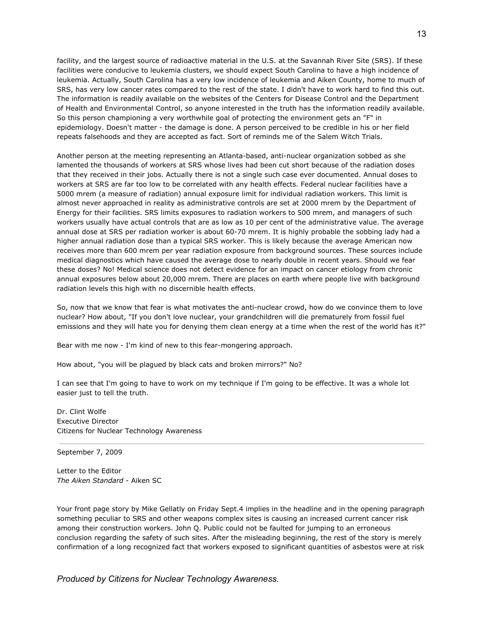facility, and the largest source of radioactive material in the U.S. at the Savannah River Site (SRS). If these facilities were conducive to leukemia clusters, we should expect South Carolina to have a high incidence of leukemia. Actually, South Carolina has a very low incidence of leukemia and Aiken County, home to much of SRS, has very low cancer rates compared to the rest of the state. I didn't have to work hard to find this out. The information is readily available on the websites of the Centers for Disease Control and the Department of Health and Environmental Control, so anyone interested in the truth has the information readily available. So this person championing a very worthwhile goal of protecting the environment gets an "F" in epidemiology. Doesn't matter - the damage is done. A person perceived to be credible in his or her field repeats falsehoods and they are accepted as fact. Sort of reminds me of the Salem Witch Trials.

Another person at the meeting representing an Atlanta-based, anti-nuclear organization sobbed as she lamented the thousands of workers at SRS whose lives had been cut short because of the radiation doses that they received in their jobs. Actually there is not a single such case ever documented. Annual doses to workers at SRS are far too low to be correlated with any health effects. Federal nuclear facilities have a 5000 mrem (a measure of radiation) annual exposure limit for individual radiation workers. This limit is almost never approached in reality as administrative controls are set at 2000 mrem by the Department of Energy for their facilities. SRS limits exposures to radiation workers to 500 mrem, and managers of such workers usually have actual controls that are as low as 10 per cent of the administrative value. The average annual dose at SRS per radiation worker is about 60-70 mrem. It is highly probable the sobbing lady had a higher annual radiation dose than a typical SRS worker. This is likely because the average American now receives more than 600 mrem per year radiation exposure from background sources. These sources include medical diagnostics which have caused the average dose to nearly double in recent years. Should we fear these doses? No! Medical science does not detect evidence for an impact on cancer etiology from chronic annual exposures below about 20,000 mrem. There are places on earth where people live with background radiation levels this high with no discernible health effects.

So, now that we know that fear is what motivates the anti-nuclear crowd, how do we convince them to love nuclear? How about, "If you don't love nuclear, your grandchildren will die prematurely from fossil fuel emissions and they will hate you for denying them clean energy at a time when the rest of the world has it?"

Bear with me now - I'm kind of new to this fear-mongering approach.

How about, "you will be plagued by black cats and broken mirrors?" No?

I can see that I'm going to have to work on my technique if I'm going to be effective. It was a whole lot easier just to tell the truth.

Dr. Clint Wolfe Executive Director Citizens for Nuclear Technology Awareness

September 7, 2009

Letter to the Editor *The Aiken Standard* - Aiken SC

Your front page story by Mike Gellatly on Friday Sept.4 implies in the headline and in the opening paragraph something peculiar to SRS and other weapons complex sites is causing an increased current cancer risk among their construction workers. John Q. Public could not be faulted for jumping to an erroneous conclusion regarding the safety of such sites. After the misleading beginning, the rest of the story is merely confirmation of a long recognized fact that workers exposed to significant quantities of asbestos were at risk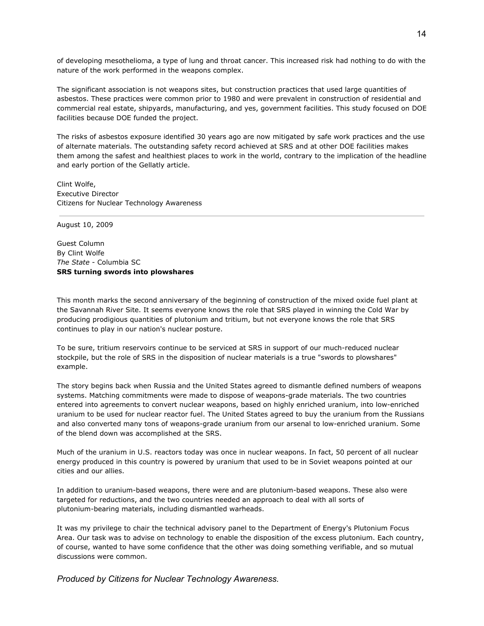of developing mesothelioma, a type of lung and throat cancer. This increased risk had nothing to do with the nature of the work performed in the weapons complex.

The significant association is not weapons sites, but construction practices that used large quantities of asbestos. These practices were common prior to 1980 and were prevalent in construction of residential and commercial real estate, shipyards, manufacturing, and yes, government facilities. This study focused on DOE facilities because DOE funded the project.

The risks of asbestos exposure identified 30 years ago are now mitigated by safe work practices and the use of alternate materials. The outstanding safety record achieved at SRS and at other DOE facilities makes them among the safest and healthiest places to work in the world, contrary to the implication of the headline and early portion of the Gellatly article.

Clint Wolfe, Executive Director Citizens for Nuclear Technology Awareness

August 10, 2009

Guest Column By Clint Wolfe *The State* - Columbia SC **SRS turning swords into plowshares**

This month marks the second anniversary of the beginning of construction of the mixed oxide fuel plant at the Savannah River Site. It seems everyone knows the role that SRS played in winning the Cold War by producing prodigious quantities of plutonium and tritium, but not everyone knows the role that SRS continues to play in our nation's nuclear posture.

To be sure, tritium reservoirs continue to be serviced at SRS in support of our much-reduced nuclear stockpile, but the role of SRS in the disposition of nuclear materials is a true "swords to plowshares" example.

The story begins back when Russia and the United States agreed to dismantle defined numbers of weapons systems. Matching commitments were made to dispose of weapons-grade materials. The two countries entered into agreements to convert nuclear weapons, based on highly enriched uranium, into low-enriched uranium to be used for nuclear reactor fuel. The United States agreed to buy the uranium from the Russians and also converted many tons of weapons-grade uranium from our arsenal to low-enriched uranium. Some of the blend down was accomplished at the SRS.

Much of the uranium in U.S. reactors today was once in nuclear weapons. In fact, 50 percent of all nuclear energy produced in this country is powered by uranium that used to be in Soviet weapons pointed at our cities and our allies.

In addition to uranium-based weapons, there were and are plutonium-based weapons. These also were targeted for reductions, and the two countries needed an approach to deal with all sorts of plutonium-bearing materials, including dismantled warheads.

It was my privilege to chair the technical advisory panel to the Department of Energy's Plutonium Focus Area. Our task was to advise on technology to enable the disposition of the excess plutonium. Each country, of course, wanted to have some confidence that the other was doing something verifiable, and so mutual discussions were common.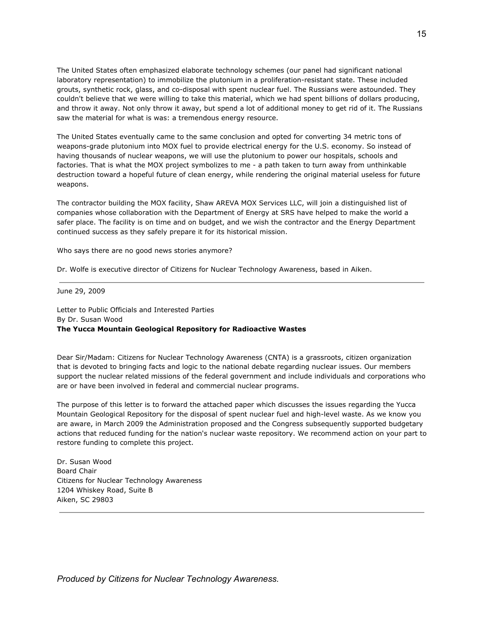The United States often emphasized elaborate technology schemes (our panel had significant national laboratory representation) to immobilize the plutonium in a proliferation-resistant state. These included grouts, synthetic rock, glass, and co-disposal with spent nuclear fuel. The Russians were astounded. They couldn't believe that we were willing to take this material, which we had spent billions of dollars producing, and throw it away. Not only throw it away, but spend a lot of additional money to get rid of it. The Russians saw the material for what is was: a tremendous energy resource.

The United States eventually came to the same conclusion and opted for converting 34 metric tons of weapons-grade plutonium into MOX fuel to provide electrical energy for the U.S. economy. So instead of having thousands of nuclear weapons, we will use the plutonium to power our hospitals, schools and factories. That is what the MOX project symbolizes to me - a path taken to turn away from unthinkable destruction toward a hopeful future of clean energy, while rendering the original material useless for future weapons.

The contractor building the MOX facility, Shaw AREVA MOX Services LLC, will join a distinguished list of companies whose collaboration with the Department of Energy at SRS have helped to make the world a safer place. The facility is on time and on budget, and we wish the contractor and the Energy Department continued success as they safely prepare it for its historical mission.

Who says there are no good news stories anymore?

Dr. Wolfe is executive director of Citizens for Nuclear Technology Awareness, based in Aiken.

June 29, 2009

Letter to Public Officials and Interested Parties By Dr. Susan Wood **The Yucca Mountain Geological Repository for Radioactive Wastes**

Dear Sir/Madam: Citizens for Nuclear Technology Awareness (CNTA) is a grassroots, citizen organization that is devoted to bringing facts and logic to the national debate regarding nuclear issues. Our members support the nuclear related missions of the federal government and include individuals and corporations who are or have been involved in federal and commercial nuclear programs.

The purpose of this letter is to forward the attached paper which discusses the issues regarding the Yucca Mountain Geological Repository for the disposal of spent nuclear fuel and high-level waste. As we know you are aware, in March 2009 the Administration proposed and the Congress subsequently supported budgetary actions that reduced funding for the nation's nuclear waste repository. We recommend action on your part to restore funding to complete this project.

Dr. Susan Wood Board Chair Citizens for Nuclear Technology Awareness 1204 Whiskey Road, Suite B Aiken, SC 29803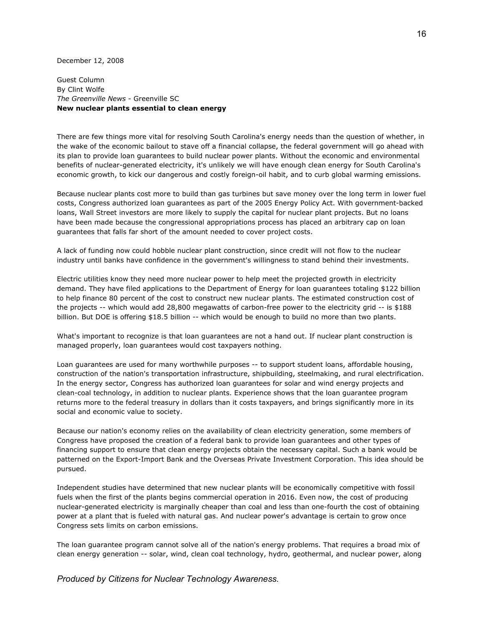December 12, 2008

Guest Column By Clint Wolfe *The Greenville News* - Greenville SC **New nuclear plants essential to clean energy**

There are few things more vital for resolving South Carolina's energy needs than the question of whether, in the wake of the economic bailout to stave off a financial collapse, the federal government will go ahead with its plan to provide loan guarantees to build nuclear power plants. Without the economic and environmental benefits of nuclear-generated electricity, it's unlikely we will have enough clean energy for South Carolina's economic growth, to kick our dangerous and costly foreign-oil habit, and to curb global warming emissions.

Because nuclear plants cost more to build than gas turbines but save money over the long term in lower fuel costs, Congress authorized loan guarantees as part of the 2005 Energy Policy Act. With government-backed loans, Wall Street investors are more likely to supply the capital for nuclear plant projects. But no loans have been made because the congressional appropriations process has placed an arbitrary cap on loan guarantees that falls far short of the amount needed to cover project costs.

A lack of funding now could hobble nuclear plant construction, since credit will not flow to the nuclear industry until banks have confidence in the government's willingness to stand behind their investments.

Electric utilities know they need more nuclear power to help meet the projected growth in electricity demand. They have filed applications to the Department of Energy for loan guarantees totaling \$122 billion to help finance 80 percent of the cost to construct new nuclear plants. The estimated construction cost of the projects -- which would add 28,800 megawatts of carbon-free power to the electricity grid -- is \$188 billion. But DOE is offering \$18.5 billion -- which would be enough to build no more than two plants.

What's important to recognize is that loan guarantees are not a hand out. If nuclear plant construction is managed properly, loan guarantees would cost taxpayers nothing.

Loan guarantees are used for many worthwhile purposes -- to support student loans, affordable housing, construction of the nation's transportation infrastructure, shipbuilding, steelmaking, and rural electrification. In the energy sector, Congress has authorized loan guarantees for solar and wind energy projects and clean-coal technology, in addition to nuclear plants. Experience shows that the loan guarantee program returns more to the federal treasury in dollars than it costs taxpayers, and brings significantly more in its social and economic value to society.

Because our nation's economy relies on the availability of clean electricity generation, some members of Congress have proposed the creation of a federal bank to provide loan guarantees and other types of financing support to ensure that clean energy projects obtain the necessary capital. Such a bank would be patterned on the Export-Import Bank and the Overseas Private Investment Corporation. This idea should be pursued.

Independent studies have determined that new nuclear plants will be economically competitive with fossil fuels when the first of the plants begins commercial operation in 2016. Even now, the cost of producing nuclear-generated electricity is marginally cheaper than coal and less than one-fourth the cost of obtaining power at a plant that is fueled with natural gas. And nuclear power's advantage is certain to grow once Congress sets limits on carbon emissions.

The loan guarantee program cannot solve all of the nation's energy problems. That requires a broad mix of clean energy generation -- solar, wind, clean coal technology, hydro, geothermal, and nuclear power, along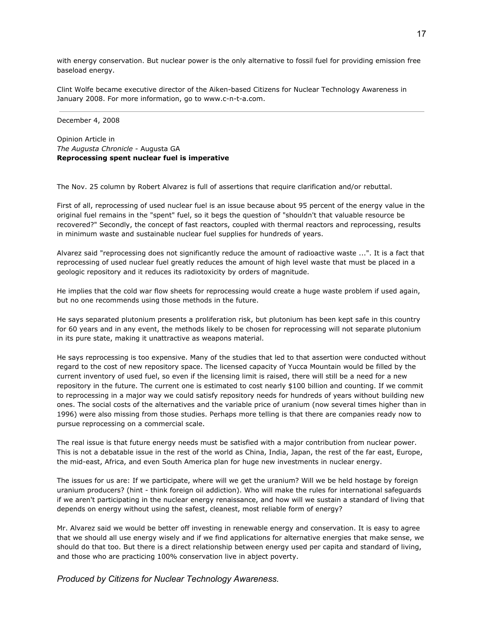with energy conservation. But nuclear power is the only alternative to fossil fuel for providing emission free baseload energy.

Clint Wolfe became executive director of the Aiken-based Citizens for Nuclear Technology Awareness in January 2008. For more information, go to www.c-n-t-a.com.

#### December 4, 2008

Opinion Article in *The Augusta Chronicle* - Augusta GA **Reprocessing spent nuclear fuel is imperative**

The Nov. 25 column by Robert Alvarez is full of assertions that require clarification and/or rebuttal.

First of all, reprocessing of used nuclear fuel is an issue because about 95 percent of the energy value in the original fuel remains in the "spent" fuel, so it begs the question of "shouldn't that valuable resource be recovered?" Secondly, the concept of fast reactors, coupled with thermal reactors and reprocessing, results in minimum waste and sustainable nuclear fuel supplies for hundreds of years.

Alvarez said "reprocessing does not significantly reduce the amount of radioactive waste ...". It is a fact that reprocessing of used nuclear fuel greatly reduces the amount of high level waste that must be placed in a geologic repository and it reduces its radiotoxicity by orders of magnitude.

He implies that the cold war flow sheets for reprocessing would create a huge waste problem if used again, but no one recommends using those methods in the future.

He says separated plutonium presents a proliferation risk, but plutonium has been kept safe in this country for 60 years and in any event, the methods likely to be chosen for reprocessing will not separate plutonium in its pure state, making it unattractive as weapons material.

He says reprocessing is too expensive. Many of the studies that led to that assertion were conducted without regard to the cost of new repository space. The licensed capacity of Yucca Mountain would be filled by the current inventory of used fuel, so even if the licensing limit is raised, there will still be a need for a new repository in the future. The current one is estimated to cost nearly \$100 billion and counting. If we commit to reprocessing in a major way we could satisfy repository needs for hundreds of years without building new ones. The social costs of the alternatives and the variable price of uranium (now several times higher than in 1996) were also missing from those studies. Perhaps more telling is that there are companies ready now to pursue reprocessing on a commercial scale.

The real issue is that future energy needs must be satisfied with a major contribution from nuclear power. This is not a debatable issue in the rest of the world as China, India, Japan, the rest of the far east, Europe, the mid-east, Africa, and even South America plan for huge new investments in nuclear energy.

The issues for us are: If we participate, where will we get the uranium? Will we be held hostage by foreign uranium producers? (hint - think foreign oil addiction). Who will make the rules for international safeguards if we aren't participating in the nuclear energy renaissance, and how will we sustain a standard of living that depends on energy without using the safest, cleanest, most reliable form of energy?

Mr. Alvarez said we would be better off investing in renewable energy and conservation. It is easy to agree that we should all use energy wisely and if we find applications for alternative energies that make sense, we should do that too. But there is a direct relationship between energy used per capita and standard of living, and those who are practicing 100% conservation live in abject poverty.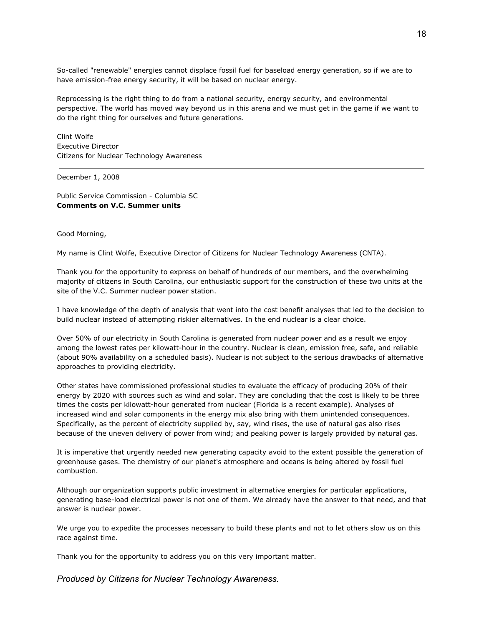So-called "renewable" energies cannot displace fossil fuel for baseload energy generation, so if we are to have emission-free energy security, it will be based on nuclear energy.

Reprocessing is the right thing to do from a national security, energy security, and environmental perspective. The world has moved way beyond us in this arena and we must get in the game if we want to do the right thing for ourselves and future generations.

Clint Wolfe Executive Director Citizens for Nuclear Technology Awareness

December 1, 2008

Public Service Commission - Columbia SC **Comments on V.C. Summer units**

Good Morning,

My name is Clint Wolfe, Executive Director of Citizens for Nuclear Technology Awareness (CNTA).

Thank you for the opportunity to express on behalf of hundreds of our members, and the overwhelming majority of citizens in South Carolina, our enthusiastic support for the construction of these two units at the site of the V.C. Summer nuclear power station.

I have knowledge of the depth of analysis that went into the cost benefit analyses that led to the decision to build nuclear instead of attempting riskier alternatives. In the end nuclear is a clear choice.

Over 50% of our electricity in South Carolina is generated from nuclear power and as a result we enjoy among the lowest rates per kilowatt-hour in the country. Nuclear is clean, emission free, safe, and reliable (about 90% availability on a scheduled basis). Nuclear is not subject to the serious drawbacks of alternative approaches to providing electricity.

Other states have commissioned professional studies to evaluate the efficacy of producing 20% of their energy by 2020 with sources such as wind and solar. They are concluding that the cost is likely to be three times the costs per kilowatt-hour generated from nuclear (Florida is a recent example). Analyses of increased wind and solar components in the energy mix also bring with them unintended consequences. Specifically, as the percent of electricity supplied by, say, wind rises, the use of natural gas also rises because of the uneven delivery of power from wind; and peaking power is largely provided by natural gas.

It is imperative that urgently needed new generating capacity avoid to the extent possible the generation of greenhouse gases. The chemistry of our planet's atmosphere and oceans is being altered by fossil fuel combustion.

Although our organization supports public investment in alternative energies for particular applications, generating base-load electrical power is not one of them. We already have the answer to that need, and that answer is nuclear power.

We urge you to expedite the processes necessary to build these plants and not to let others slow us on this race against time.

Thank you for the opportunity to address you on this very important matter.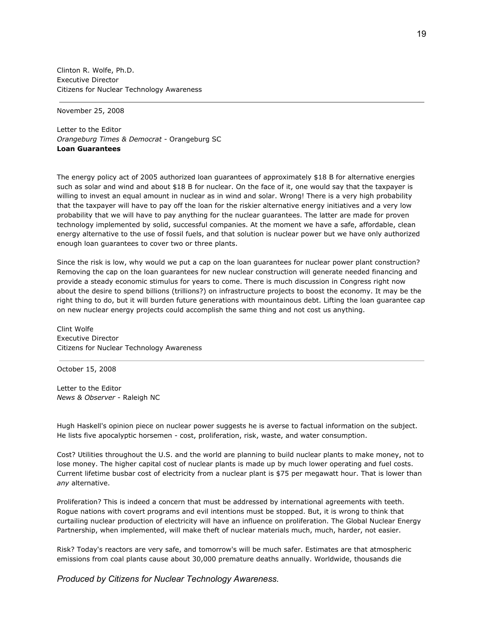Clinton R. Wolfe, Ph.D. Executive Director Citizens for Nuclear Technology Awareness

November 25, 2008

Letter to the Editor *Orangeburg Times & Democrat* - Orangeburg SC **Loan Guarantees**

The energy policy act of 2005 authorized loan guarantees of approximately \$18 B for alternative energies such as solar and wind and about \$18 B for nuclear. On the face of it, one would say that the taxpayer is willing to invest an equal amount in nuclear as in wind and solar. Wrong! There is a very high probability that the taxpayer will have to pay off the loan for the riskier alternative energy initiatives and a very low probability that we will have to pay anything for the nuclear guarantees. The latter are made for proven technology implemented by solid, successful companies. At the moment we have a safe, affordable, clean energy alternative to the use of fossil fuels, and that solution is nuclear power but we have only authorized enough loan guarantees to cover two or three plants.

Since the risk is low, why would we put a cap on the loan guarantees for nuclear power plant construction? Removing the cap on the loan guarantees for new nuclear construction will generate needed financing and provide a steady economic stimulus for years to come. There is much discussion in Congress right now about the desire to spend billions (trillions?) on infrastructure projects to boost the economy. It may be the right thing to do, but it will burden future generations with mountainous debt. Lifting the loan guarantee cap on new nuclear energy projects could accomplish the same thing and not cost us anything.

Clint Wolfe Executive Director Citizens for Nuclear Technology Awareness

October 15, 2008

Letter to the Editor *News & Observer* - Raleigh NC

Hugh Haskell's opinion piece on nuclear power suggests he is averse to factual information on the subject. He lists five apocalyptic horsemen - cost, proliferation, risk, waste, and water consumption.

Cost? Utilities throughout the U.S. and the world are planning to build nuclear plants to make money, not to lose money. The higher capital cost of nuclear plants is made up by much lower operating and fuel costs. Current lifetime busbar cost of electricity from a nuclear plant is \$75 per megawatt hour. That is lower than *any* alternative.

Proliferation? This is indeed a concern that must be addressed by international agreements with teeth. Rogue nations with covert programs and evil intentions must be stopped. But, it is wrong to think that curtailing nuclear production of electricity will have an influence on proliferation. The Global Nuclear Energy Partnership, when implemented, will make theft of nuclear materials much, much, harder, not easier.

Risk? Today's reactors are very safe, and tomorrow's will be much safer. Estimates are that atmospheric emissions from coal plants cause about 30,000 premature deaths annually. Worldwide, thousands die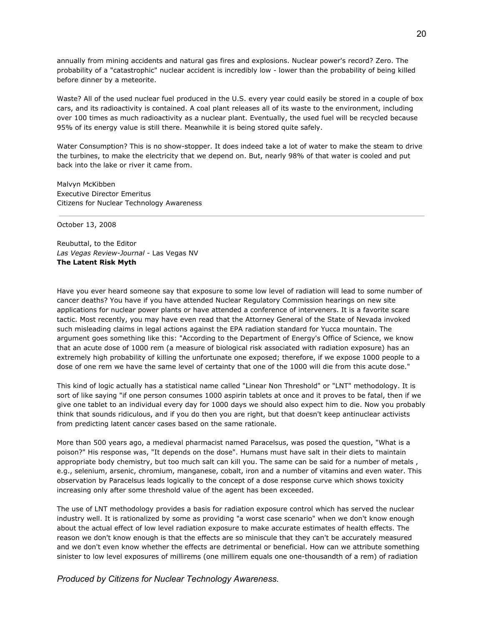annually from mining accidents and natural gas fires and explosions. Nuclear power's record? Zero. The probability of a "catastrophic" nuclear accident is incredibly low - lower than the probability of being killed before dinner by a meteorite.

Waste? All of the used nuclear fuel produced in the U.S. every year could easily be stored in a couple of box cars, and its radioactivity is contained. A coal plant releases all of its waste to the environment, including over 100 times as much radioactivity as a nuclear plant. Eventually, the used fuel will be recycled because 95% of its energy value is still there. Meanwhile it is being stored quite safely.

Water Consumption? This is no show-stopper. It does indeed take a lot of water to make the steam to drive the turbines, to make the electricity that we depend on. But, nearly 98% of that water is cooled and put back into the lake or river it came from.

Malvyn McKibben Executive Director Emeritus Citizens for Nuclear Technology Awareness

October 13, 2008

Reubuttal, to the Editor *Las Vegas Review-Journal* - Las Vegas NV **The Latent Risk Myth**

Have you ever heard someone say that exposure to some low level of radiation will lead to some number of cancer deaths? You have if you have attended Nuclear Regulatory Commission hearings on new site applications for nuclear power plants or have attended a conference of interveners. It is a favorite scare tactic. Most recently, you may have even read that the Attorney General of the State of Nevada invoked such misleading claims in legal actions against the EPA radiation standard for Yucca mountain. The argument goes something like this: "According to the Department of Energy's Office of Science, we know that an acute dose of 1000 rem (a measure of biological risk associated with radiation exposure) has an extremely high probability of killing the unfortunate one exposed; therefore, if we expose 1000 people to a dose of one rem we have the same level of certainty that one of the 1000 will die from this acute dose."

This kind of logic actually has a statistical name called "Linear Non Threshold" or "LNT" methodology. It is sort of like saying "if one person consumes 1000 aspirin tablets at once and it proves to be fatal, then if we give one tablet to an individual every day for 1000 days we should also expect him to die. Now you probably think that sounds ridiculous, and if you do then you are right, but that doesn't keep antinuclear activists from predicting latent cancer cases based on the same rationale.

More than 500 years ago, a medieval pharmacist named Paracelsus, was posed the question, "What is a poison?" His response was, "It depends on the dose". Humans must have salt in their diets to maintain appropriate body chemistry, but too much salt can kill you. The same can be said for a number of metals , e.g., selenium, arsenic, chromium, manganese, cobalt, iron and a number of vitamins and even water. This observation by Paracelsus leads logically to the concept of a dose response curve which shows toxicity increasing only after some threshold value of the agent has been exceeded.

The use of LNT methodology provides a basis for radiation exposure control which has served the nuclear industry well. It is rationalized by some as providing "a worst case scenario" when we don't know enough about the actual effect of low level radiation exposure to make accurate estimates of health effects. The reason we don't know enough is that the effects are so miniscule that they can't be accurately measured and we don't even know whether the effects are detrimental or beneficial. How can we attribute something sinister to low level exposures of millirems (one millirem equals one one-thousandth of a rem) of radiation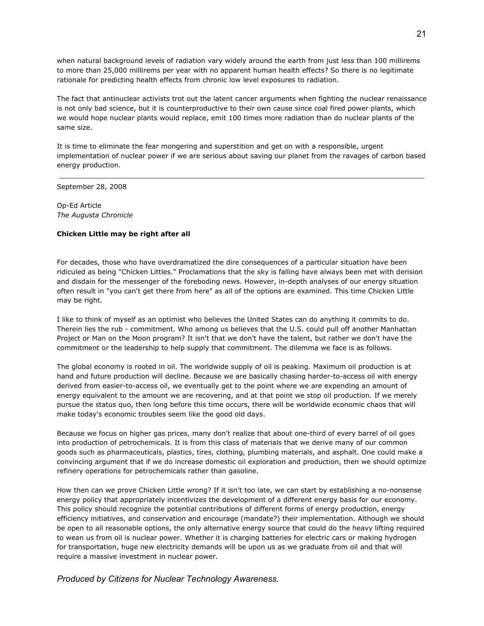when natural background levels of radiation vary widely around the earth from just less than 100 millirems to more than 25,000 millirems per year with no apparent human health effects? So there is no legitimate rationale for predicting health effects from chronic low level exposures to radiation.

The fact that antinuclear activists trot out the latent cancer arguments when fighting the nuclear renaissance is not only bad science, but it is counterproductive to their own cause since coal fired power plants, which we would hope nuclear plants would replace, emit 100 times more radiation than do nuclear plants of the same size.

It is time to eliminate the fear mongering and superstition and get on with a responsible, urgent implementation of nuclear power if we are serious about saving our planet from the ravages of carbon based energy production.

September 28, 2008

Op-Ed Article *The Augusta Chronicle*

### **Chicken Little may be right after all**

For decades, those who have overdramatized the dire consequences of a particular situation have been ridiculed as being "Chicken Littles." Proclamations that the sky is falling have always been met with derision and disdain for the messenger of the foreboding news. However, in-depth analyses of our energy situation often result in "you can't get there from here" as all of the options are examined. This time Chicken Little may be right.

I like to think of myself as an optimist who believes the United States can do anything it commits to do. Therein lies the rub - commitment. Who among us believes that the U.S. could pull off another Manhattan Project or Man on the Moon program? It isn't that we don't have the talent, but rather we don't have the commitment or the leadership to help supply that commitment. The dilemma we face is as follows.

The global economy is rooted in oil. The worldwide supply of oil is peaking. Maximum oil production is at hand and future production will decline. Because we are basically chasing harder-to-access oil with energy derived from easier-to-access oil, we eventually get to the point where we are expending an amount of energy equivalent to the amount we are recovering, and at that point we stop oil production. If we merely pursue the status quo, then long before this time occurs, there will be worldwide economic chaos that will make today's economic troubles seem like the good old days.

Because we focus on higher gas prices, many don't realize that about one-third of every barrel of oil goes into production of petrochemicals. It is from this class of materials that we derive many of our common goods such as pharmaceuticals, plastics, tires, clothing, plumbing materials, and asphalt. One could make a convincing argument that if we do increase domestic oil exploration and production, then we should optimize refinery operations for petrochemicals rather than gasoline.

How then can we prove Chicken Little wrong? If it isn't too late, we can start by establishing a no-nonsense energy policy that appropriately incentivizes the development of a different energy basis for our economy. This policy should recognize the potential contributions of different forms of energy production, energy efficiency initiatives, and conservation and encourage (mandate?) their implementation. Although we should be open to all reasonable options, the only alternative energy source that could do the heavy lifting required to wean us from oil is nuclear power. Whether it is charging batteries for electric cars or making hydrogen for transportation, huge new electricity demands will be upon us as we graduate from oil and that will require a massive investment in nuclear power.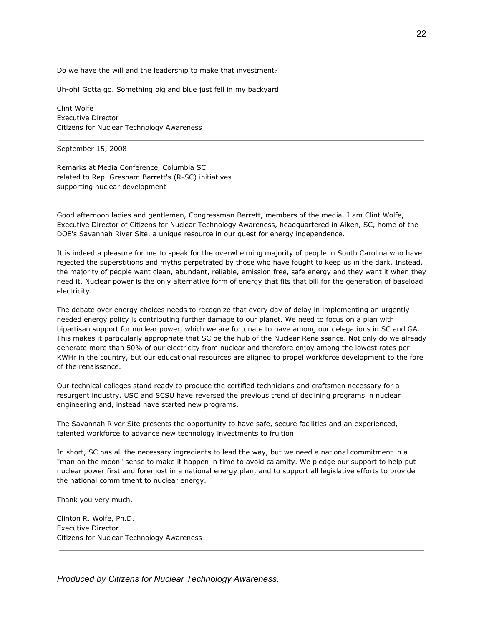Do we have the will and the leadership to make that investment?

Uh-oh! Gotta go. Something big and blue just fell in my backyard.

Clint Wolfe Executive Director Citizens for Nuclear Technology Awareness

September 15, 2008

Remarks at Media Conference, Columbia SC related to Rep. Gresham Barrett's (R-SC) initiatives supporting nuclear development

Good afternoon ladies and gentlemen, Congressman Barrett, members of the media. I am Clint Wolfe, Executive Director of Citizens for Nuclear Technology Awareness, headquartered in Aiken, SC, home of the DOE's Savannah River Site, a unique resource in our quest for energy independence.

It is indeed a pleasure for me to speak for the overwhelming majority of people in South Carolina who have rejected the superstitions and myths perpetrated by those who have fought to keep us in the dark. Instead, the majority of people want clean, abundant, reliable, emission free, safe energy and they want it when they need it. Nuclear power is the only alternative form of energy that fits that bill for the generation of baseload electricity.

The debate over energy choices needs to recognize that every day of delay in implementing an urgently needed energy policy is contributing further damage to our planet. We need to focus on a plan with bipartisan support for nuclear power, which we are fortunate to have among our delegations in SC and GA. This makes it particularly appropriate that SC be the hub of the Nuclear Renaissance. Not only do we already generate more than 50% of our electricity from nuclear and therefore enjoy among the lowest rates per KWHr in the country, but our educational resources are aligned to propel workforce development to the fore of the renaissance.

Our technical colleges stand ready to produce the certified technicians and craftsmen necessary for a resurgent industry. USC and SCSU have reversed the previous trend of declining programs in nuclear engineering and, instead have started new programs.

The Savannah River Site presents the opportunity to have safe, secure facilities and an experienced, talented workforce to advance new technology investments to fruition.

In short, SC has all the necessary ingredients to lead the way, but we need a national commitment in a "man on the moon" sense to make it happen in time to avoid calamity. We pledge our support to help put nuclear power first and foremost in a national energy plan, and to support all legislative efforts to provide the national commitment to nuclear energy.

Thank you very much.

Clinton R. Wolfe, Ph.D. Executive Director Citizens for Nuclear Technology Awareness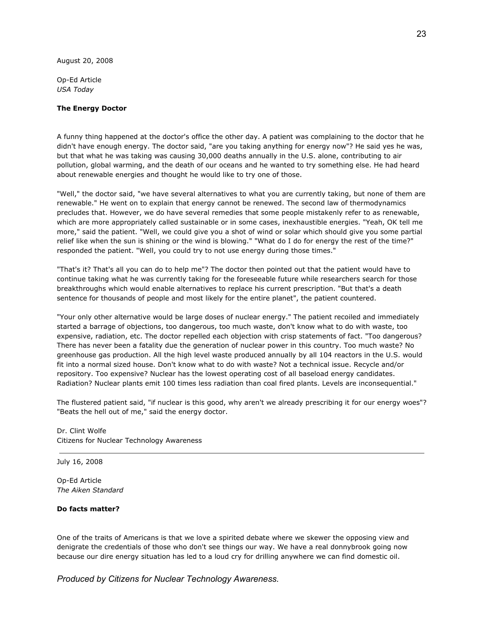August 20, 2008

Op-Ed Article *USA Today*

### **The Energy Doctor**

A funny thing happened at the doctor's office the other day. A patient was complaining to the doctor that he didn't have enough energy. The doctor said, "are you taking anything for energy now"? He said yes he was, but that what he was taking was causing 30,000 deaths annually in the U.S. alone, contributing to air pollution, global warming, and the death of our oceans and he wanted to try something else. He had heard about renewable energies and thought he would like to try one of those.

"Well," the doctor said, "we have several alternatives to what you are currently taking, but none of them are renewable." He went on to explain that energy cannot be renewed. The second law of thermodynamics precludes that. However, we do have several remedies that some people mistakenly refer to as renewable, which are more appropriately called sustainable or in some cases, inexhaustible energies. "Yeah, OK tell me more," said the patient. "Well, we could give you a shot of wind or solar which should give you some partial relief like when the sun is shining or the wind is blowing." "What do I do for energy the rest of the time?" responded the patient. "Well, you could try to not use energy during those times."

"That's it? That's all you can do to help me"? The doctor then pointed out that the patient would have to continue taking what he was currently taking for the foreseeable future while researchers search for those breakthroughs which would enable alternatives to replace his current prescription. "But that's a death sentence for thousands of people and most likely for the entire planet", the patient countered.

"Your only other alternative would be large doses of nuclear energy." The patient recoiled and immediately started a barrage of objections, too dangerous, too much waste, don't know what to do with waste, too expensive, radiation, etc. The doctor repelled each objection with crisp statements of fact. "Too dangerous? There has never been a fatality due the generation of nuclear power in this country. Too much waste? No greenhouse gas production. All the high level waste produced annually by all 104 reactors in the U.S. would fit into a normal sized house. Don't know what to do with waste? Not a technical issue. Recycle and/or repository. Too expensive? Nuclear has the lowest operating cost of all baseload energy candidates. Radiation? Nuclear plants emit 100 times less radiation than coal fired plants. Levels are inconsequential."

The flustered patient said, "if nuclear is this good, why aren't we already prescribing it for our energy woes"? "Beats the hell out of me," said the energy doctor.

Dr. Clint Wolfe Citizens for Nuclear Technology Awareness

#### July 16, 2008

Op-Ed Article *The Aiken Standard*

### **Do facts matter?**

One of the traits of Americans is that we love a spirited debate where we skewer the opposing view and denigrate the credentials of those who don't see things our way. We have a real donnybrook going now because our dire energy situation has led to a loud cry for drilling anywhere we can find domestic oil.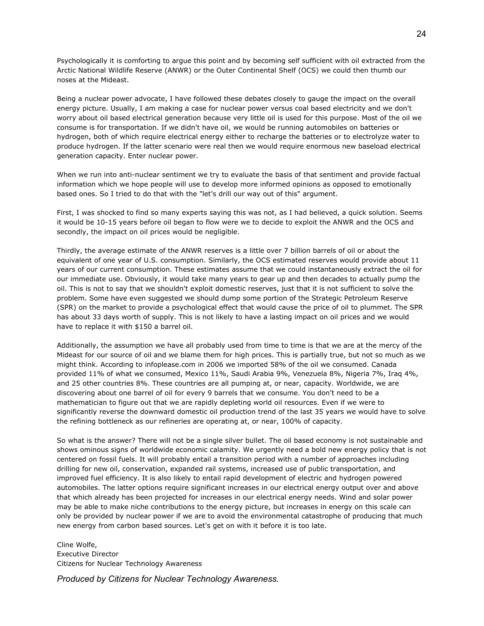Psychologically it is comforting to argue this point and by becoming self sufficient with oil extracted from the Arctic National Wildlife Reserve (ANWR) or the Outer Continental Shelf (OCS) we could then thumb our noses at the Mideast.

Being a nuclear power advocate, I have followed these debates closely to gauge the impact on the overall energy picture. Usually, I am making a case for nuclear power versus coal based electricity and we don't worry about oil based electrical generation because very little oil is used for this purpose. Most of the oil we consume is for transportation. If we didn't have oil, we would be running automobiles on batteries or hydrogen, both of which require electrical energy either to recharge the batteries or to electrolyze water to produce hydrogen. If the latter scenario were real then we would require enormous new baseload electrical generation capacity. Enter nuclear power.

When we run into anti-nuclear sentiment we try to evaluate the basis of that sentiment and provide factual information which we hope people will use to develop more informed opinions as opposed to emotionally based ones. So I tried to do that with the "let's drill our way out of this" argument.

First, I was shocked to find so many experts saying this was not, as I had believed, a quick solution. Seems it would be 10-15 years before oil began to flow were we to decide to exploit the ANWR and the OCS and secondly, the impact on oil prices would be negligible.

Thirdly, the average estimate of the ANWR reserves is a little over 7 billion barrels of oil or about the equivalent of one year of U.S. consumption. Similarly, the OCS estimated reserves would provide about 11 years of our current consumption. These estimates assume that we could instantaneously extract the oil for our immediate use. Obviously, it would take many years to gear up and then decades to actually pump the oil. This is not to say that we shouldn't exploit domestic reserves, just that it is not sufficient to solve the problem. Some have even suggested we should dump some portion of the Strategic Petroleum Reserve (SPR) on the market to provide a psychological effect that would cause the price of oil to plummet. The SPR has about 33 days worth of supply. This is not likely to have a lasting impact on oil prices and we would have to replace it with \$150 a barrel oil.

Additionally, the assumption we have all probably used from time to time is that we are at the mercy of the Mideast for our source of oil and we blame them for high prices. This is partially true, but not so much as we might think. According to infoplease.com in 2006 we imported 58% of the oil we consumed. Canada provided 11% of what we consumed, Mexico 11%, Saudi Arabia 9%, Venezuela 8%, Nigeria 7%, Iraq 4%, and 25 other countries 8%. These countries are all pumping at, or near, capacity. Worldwide, we are discovering about one barrel of oil for every 9 barrels that we consume. You don't need to be a mathematician to figure out that we are rapidly depleting world oil resources. Even if we were to significantly reverse the downward domestic oil production trend of the last 35 years we would have to solve the refining bottleneck as our refineries are operating at, or near, 100% of capacity.

So what is the answer? There will not be a single silver bullet. The oil based economy is not sustainable and shows ominous signs of worldwide economic calamity. We urgently need a bold new energy policy that is not centered on fossil fuels. It will probably entail a transition period with a number of approaches including drilling for new oil, conservation, expanded rail systems, increased use of public transportation, and improved fuel efficiency. It is also likely to entail rapid development of electric and hydrogen powered automobiles. The latter options require significant increases in our electrical energy output over and above that which already has been projected for increases in our electrical energy needs. Wind and solar power may be able to make niche contributions to the energy picture, but increases in energy on this scale can only be provided by nuclear power if we are to avoid the environmental catastrophe of producing that much new energy from carbon based sources. Let's get on with it before it is too late.

Cline Wolfe, Executive Director Citizens for Nuclear Technology Awareness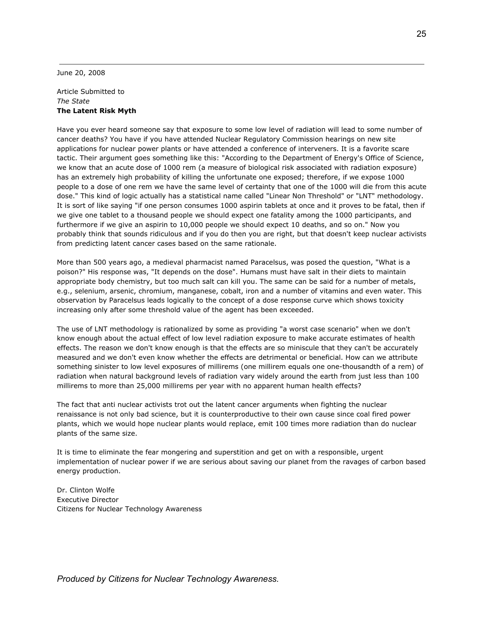June 20, 2008

Article Submitted to *The State* **The Latent Risk Myth**

Have you ever heard someone say that exposure to some low level of radiation will lead to some number of cancer deaths? You have if you have attended Nuclear Regulatory Commission hearings on new site applications for nuclear power plants or have attended a conference of interveners. It is a favorite scare tactic. Their argument goes something like this: "According to the Department of Energy's Office of Science, we know that an acute dose of 1000 rem (a measure of biological risk associated with radiation exposure) has an extremely high probability of killing the unfortunate one exposed; therefore, if we expose 1000 people to a dose of one rem we have the same level of certainty that one of the 1000 will die from this acute dose." This kind of logic actually has a statistical name called "Linear Non Threshold" or "LNT" methodology. It is sort of like saying "if one person consumes 1000 aspirin tablets at once and it proves to be fatal, then if we give one tablet to a thousand people we should expect one fatality among the 1000 participants, and furthermore if we give an aspirin to 10,000 people we should expect 10 deaths, and so on." Now you probably think that sounds ridiculous and if you do then you are right, but that doesn't keep nuclear activists from predicting latent cancer cases based on the same rationale.

More than 500 years ago, a medieval pharmacist named Paracelsus, was posed the question, "What is a poison?" His response was, "It depends on the dose". Humans must have salt in their diets to maintain appropriate body chemistry, but too much salt can kill you. The same can be said for a number of metals, e.g., selenium, arsenic, chromium, manganese, cobalt, iron and a number of vitamins and even water. This observation by Paracelsus leads logically to the concept of a dose response curve which shows toxicity increasing only after some threshold value of the agent has been exceeded.

The use of LNT methodology is rationalized by some as providing "a worst case scenario" when we don't know enough about the actual effect of low level radiation exposure to make accurate estimates of health effects. The reason we don't know enough is that the effects are so miniscule that they can't be accurately measured and we don't even know whether the effects are detrimental or beneficial. How can we attribute something sinister to low level exposures of millirems (one millirem equals one one-thousandth of a rem) of radiation when natural background levels of radiation vary widely around the earth from just less than 100 millirems to more than 25,000 millirems per year with no apparent human health effects?

The fact that anti nuclear activists trot out the latent cancer arguments when fighting the nuclear renaissance is not only bad science, but it is counterproductive to their own cause since coal fired power plants, which we would hope nuclear plants would replace, emit 100 times more radiation than do nuclear plants of the same size.

It is time to eliminate the fear mongering and superstition and get on with a responsible, urgent implementation of nuclear power if we are serious about saving our planet from the ravages of carbon based energy production.

Dr. Clinton Wolfe Executive Director Citizens for Nuclear Technology Awareness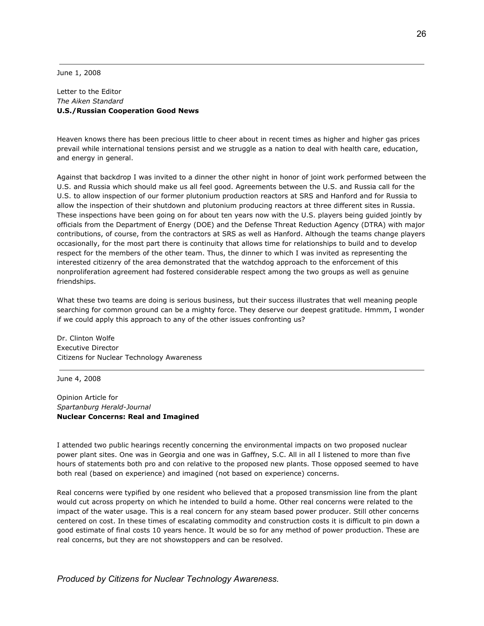June 1, 2008

### Letter to the Editor *The Aiken Standard* **U.S./Russian Cooperation Good News**

Heaven knows there has been precious little to cheer about in recent times as higher and higher gas prices prevail while international tensions persist and we struggle as a nation to deal with health care, education, and energy in general.

Against that backdrop I was invited to a dinner the other night in honor of joint work performed between the U.S. and Russia which should make us all feel good. Agreements between the U.S. and Russia call for the U.S. to allow inspection of our former plutonium production reactors at SRS and Hanford and for Russia to allow the inspection of their shutdown and plutonium producing reactors at three different sites in Russia. These inspections have been going on for about ten years now with the U.S. players being guided jointly by officials from the Department of Energy (DOE) and the Defense Threat Reduction Agency (DTRA) with major contributions, of course, from the contractors at SRS as well as Hanford. Although the teams change players occasionally, for the most part there is continuity that allows time for relationships to build and to develop respect for the members of the other team. Thus, the dinner to which I was invited as representing the interested citizenry of the area demonstrated that the watchdog approach to the enforcement of this nonproliferation agreement had fostered considerable respect among the two groups as well as genuine friendships.

What these two teams are doing is serious business, but their success illustrates that well meaning people searching for common ground can be a mighty force. They deserve our deepest gratitude. Hmmm, I wonder if we could apply this approach to any of the other issues confronting us?

Dr. Clinton Wolfe Executive Director Citizens for Nuclear Technology Awareness

June 4, 2008

Opinion Article for *Spartanburg Herald-Journal* **Nuclear Concerns: Real and Imagined**

I attended two public hearings recently concerning the environmental impacts on two proposed nuclear power plant sites. One was in Georgia and one was in Gaffney, S.C. All in all I listened to more than five hours of statements both pro and con relative to the proposed new plants. Those opposed seemed to have both real (based on experience) and imagined (not based on experience) concerns.

Real concerns were typified by one resident who believed that a proposed transmission line from the plant would cut across property on which he intended to build a home. Other real concerns were related to the impact of the water usage. This is a real concern for any steam based power producer. Still other concerns centered on cost. In these times of escalating commodity and construction costs it is difficult to pin down a good estimate of final costs 10 years hence. It would be so for any method of power production. These are real concerns, but they are not showstoppers and can be resolved.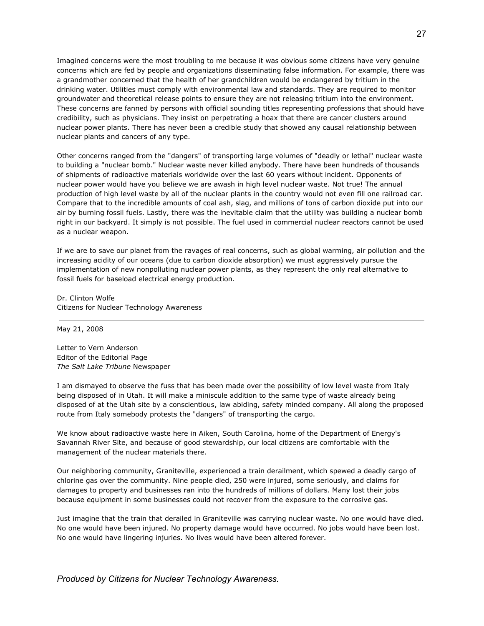Imagined concerns were the most troubling to me because it was obvious some citizens have very genuine concerns which are fed by people and organizations disseminating false information. For example, there was a grandmother concerned that the health of her grandchildren would be endangered by tritium in the drinking water. Utilities must comply with environmental law and standards. They are required to monitor groundwater and theoretical release points to ensure they are not releasing tritium into the environment. These concerns are fanned by persons with official sounding titles representing professions that should have credibility, such as physicians. They insist on perpetrating a hoax that there are cancer clusters around nuclear power plants. There has never been a credible study that showed any causal relationship between nuclear plants and cancers of any type.

Other concerns ranged from the "dangers" of transporting large volumes of "deadly or lethal" nuclear waste to building a "nuclear bomb." Nuclear waste never killed anybody. There have been hundreds of thousands of shipments of radioactive materials worldwide over the last 60 years without incident. Opponents of nuclear power would have you believe we are awash in high level nuclear waste. Not true! The annual production of high level waste by all of the nuclear plants in the country would not even fill one railroad car. Compare that to the incredible amounts of coal ash, slag, and millions of tons of carbon dioxide put into our air by burning fossil fuels. Lastly, there was the inevitable claim that the utility was building a nuclear bomb right in our backyard. It simply is not possible. The fuel used in commercial nuclear reactors cannot be used as a nuclear weapon.

If we are to save our planet from the ravages of real concerns, such as global warming, air pollution and the increasing acidity of our oceans (due to carbon dioxide absorption) we must aggressively pursue the implementation of new nonpolluting nuclear power plants, as they represent the only real alternative to fossil fuels for baseload electrical energy production.

Dr. Clinton Wolfe Citizens for Nuclear Technology Awareness

May 21, 2008

Letter to Vern Anderson Editor of the Editorial Page *The Salt Lake Tribune* Newspaper

I am dismayed to observe the fuss that has been made over the possibility of low level waste from Italy being disposed of in Utah. It will make a miniscule addition to the same type of waste already being disposed of at the Utah site by a conscientious, law abiding, safety minded company. All along the proposed route from Italy somebody protests the "dangers" of transporting the cargo.

We know about radioactive waste here in Aiken, South Carolina, home of the Department of Energy's Savannah River Site, and because of good stewardship, our local citizens are comfortable with the management of the nuclear materials there.

Our neighboring community, Graniteville, experienced a train derailment, which spewed a deadly cargo of chlorine gas over the community. Nine people died, 250 were injured, some seriously, and claims for damages to property and businesses ran into the hundreds of millions of dollars. Many lost their jobs because equipment in some businesses could not recover from the exposure to the corrosive gas.

Just imagine that the train that derailed in Graniteville was carrying nuclear waste. No one would have died. No one would have been injured. No property damage would have occurred. No jobs would have been lost. No one would have lingering injuries. No lives would have been altered forever.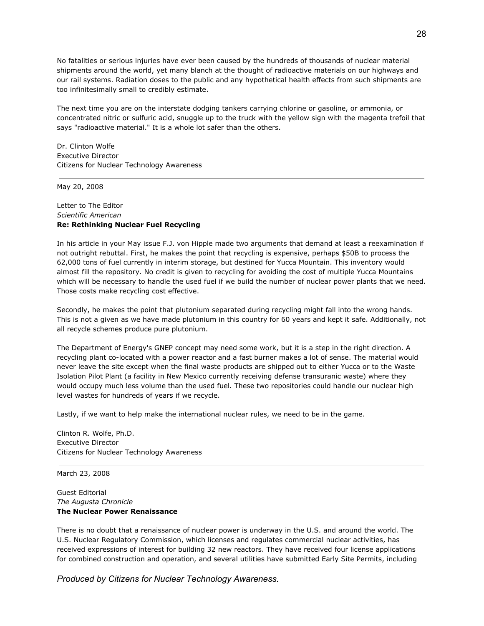No fatalities or serious injuries have ever been caused by the hundreds of thousands of nuclear material shipments around the world, yet many blanch at the thought of radioactive materials on our highways and our rail systems. Radiation doses to the public and any hypothetical health effects from such shipments are too infinitesimally small to credibly estimate.

The next time you are on the interstate dodging tankers carrying chlorine or gasoline, or ammonia, or concentrated nitric or sulfuric acid, snuggle up to the truck with the yellow sign with the magenta trefoil that says "radioactive material." It is a whole lot safer than the others.

Dr. Clinton Wolfe Executive Director Citizens for Nuclear Technology Awareness

May 20, 2008

# Letter to The Editor *Scientific American* **Re: Rethinking Nuclear Fuel Recycling**

In his article in your May issue F.J. von Hipple made two arguments that demand at least a reexamination if not outright rebuttal. First, he makes the point that recycling is expensive, perhaps \$50B to process the 62,000 tons of fuel currently in interim storage, but destined for Yucca Mountain. This inventory would almost fill the repository. No credit is given to recycling for avoiding the cost of multiple Yucca Mountains which will be necessary to handle the used fuel if we build the number of nuclear power plants that we need. Those costs make recycling cost effective.

Secondly, he makes the point that plutonium separated during recycling might fall into the wrong hands. This is not a given as we have made plutonium in this country for 60 years and kept it safe. Additionally, not all recycle schemes produce pure plutonium.

The Department of Energy's GNEP concept may need some work, but it is a step in the right direction. A recycling plant co-located with a power reactor and a fast burner makes a lot of sense. The material would never leave the site except when the final waste products are shipped out to either Yucca or to the Waste Isolation Pilot Plant (a facility in New Mexico currently receiving defense transuranic waste) where they would occupy much less volume than the used fuel. These two repositories could handle our nuclear high level wastes for hundreds of years if we recycle.

Lastly, if we want to help make the international nuclear rules, we need to be in the game.

Clinton R. Wolfe, Ph.D. Executive Director Citizens for Nuclear Technology Awareness

March 23, 2008

Guest Editorial *The Augusta Chronicle* **The Nuclear Power Renaissance**

There is no doubt that a renaissance of nuclear power is underway in the U.S. and around the world. The U.S. Nuclear Regulatory Commission, which licenses and regulates commercial nuclear activities, has received expressions of interest for building 32 new reactors. They have received four license applications for combined construction and operation, and several utilities have submitted Early Site Permits, including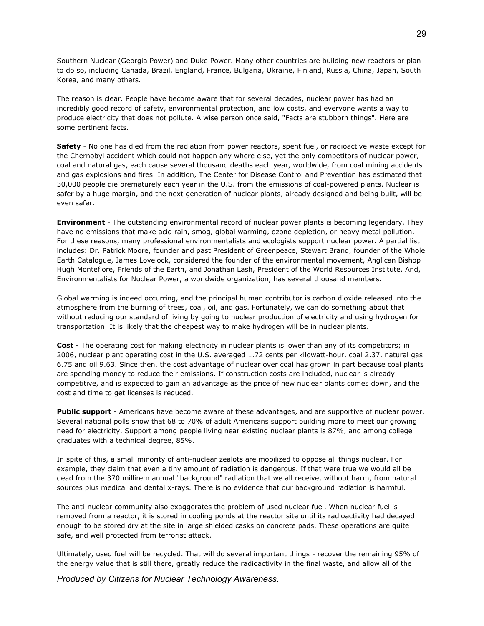Southern Nuclear (Georgia Power) and Duke Power. Many other countries are building new reactors or plan to do so, including Canada, Brazil, England, France, Bulgaria, Ukraine, Finland, Russia, China, Japan, South Korea, and many others.

The reason is clear. People have become aware that for several decades, nuclear power has had an incredibly good record of safety, environmental protection, and low costs, and everyone wants a way to produce electricity that does not pollute. A wise person once said, "Facts are stubborn things". Here are some pertinent facts.

**Safety** - No one has died from the radiation from power reactors, spent fuel, or radioactive waste except for the Chernobyl accident which could not happen any where else, yet the only competitors of nuclear power, coal and natural gas, each cause several thousand deaths each year, worldwide, from coal mining accidents and gas explosions and fires. In addition, The Center for Disease Control and Prevention has estimated that 30,000 people die prematurely each year in the U.S. from the emissions of coal-powered plants. Nuclear is safer by a huge margin, and the next generation of nuclear plants, already designed and being built, will be even safer.

**Environment** - The outstanding environmental record of nuclear power plants is becoming legendary. They have no emissions that make acid rain, smog, global warming, ozone depletion, or heavy metal pollution. For these reasons, many professional environmentalists and ecologists support nuclear power. A partial list includes: Dr. Patrick Moore, founder and past President of Greenpeace, Stewart Brand, founder of the Whole Earth Catalogue, James Lovelock, considered the founder of the environmental movement, Anglican Bishop Hugh Montefiore, Friends of the Earth, and Jonathan Lash, President of the World Resources Institute. And, Environmentalists for Nuclear Power, a worldwide organization, has several thousand members.

Global warming is indeed occurring, and the principal human contributor is carbon dioxide released into the atmosphere from the burning of trees, coal, oil, and gas. Fortunately, we can do something about that without reducing our standard of living by going to nuclear production of electricity and using hydrogen for transportation. It is likely that the cheapest way to make hydrogen will be in nuclear plants.

**Cost** - The operating cost for making electricity in nuclear plants is lower than any of its competitors; in 2006, nuclear plant operating cost in the U.S. averaged 1.72 cents per kilowatt-hour, coal 2.37, natural gas 6.75 and oil 9.63. Since then, the cost advantage of nuclear over coal has grown in part because coal plants are spending money to reduce their emissions. If construction costs are included, nuclear is already competitive, and is expected to gain an advantage as the price of new nuclear plants comes down, and the cost and time to get licenses is reduced.

**Public support** - Americans have become aware of these advantages, and are supportive of nuclear power. Several national polls show that 68 to 70% of adult Americans support building more to meet our growing need for electricity. Support among people living near existing nuclear plants is 87%, and among college graduates with a technical degree, 85%.

In spite of this, a small minority of anti-nuclear zealots are mobilized to oppose all things nuclear. For example, they claim that even a tiny amount of radiation is dangerous. If that were true we would all be dead from the 370 millirem annual "background" radiation that we all receive, without harm, from natural sources plus medical and dental x-rays. There is no evidence that our background radiation is harmful.

The anti-nuclear community also exaggerates the problem of used nuclear fuel. When nuclear fuel is removed from a reactor, it is stored in cooling ponds at the reactor site until its radioactivity had decayed enough to be stored dry at the site in large shielded casks on concrete pads. These operations are quite safe, and well protected from terrorist attack.

Ultimately, used fuel will be recycled. That will do several important things - recover the remaining 95% of the energy value that is still there, greatly reduce the radioactivity in the final waste, and allow all of the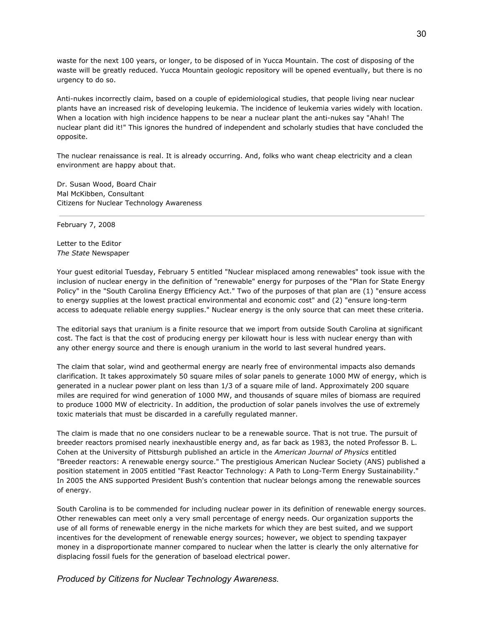waste for the next 100 years, or longer, to be disposed of in Yucca Mountain. The cost of disposing of the waste will be greatly reduced. Yucca Mountain geologic repository will be opened eventually, but there is no urgency to do so.

Anti-nukes incorrectly claim, based on a couple of epidemiological studies, that people living near nuclear plants have an increased risk of developing leukemia. The incidence of leukemia varies widely with location. When a location with high incidence happens to be near a nuclear plant the anti-nukes say "Ahah! The nuclear plant did it!" This ignores the hundred of independent and scholarly studies that have concluded the opposite.

The nuclear renaissance is real. It is already occurring. And, folks who want cheap electricity and a clean environment are happy about that.

Dr. Susan Wood, Board Chair Mal McKibben, Consultant Citizens for Nuclear Technology Awareness

February 7, 2008

Letter to the Editor *The State* Newspaper

Your guest editorial Tuesday, February 5 entitled "Nuclear misplaced among renewables" took issue with the inclusion of nuclear energy in the definition of "renewable" energy for purposes of the "Plan for State Energy Policy" in the "South Carolina Energy Efficiency Act." Two of the purposes of that plan are (1) "ensure access to energy supplies at the lowest practical environmental and economic cost" and (2) "ensure long-term access to adequate reliable energy supplies." Nuclear energy is the only source that can meet these criteria.

The editorial says that uranium is a finite resource that we import from outside South Carolina at significant cost. The fact is that the cost of producing energy per kilowatt hour is less with nuclear energy than with any other energy source and there is enough uranium in the world to last several hundred years.

The claim that solar, wind and geothermal energy are nearly free of environmental impacts also demands clarification. It takes approximately 50 square miles of solar panels to generate 1000 MW of energy, which is generated in a nuclear power plant on less than 1/3 of a square mile of land. Approximately 200 square miles are required for wind generation of 1000 MW, and thousands of square miles of biomass are required to produce 1000 MW of electricity. In addition, the production of solar panels involves the use of extremely toxic materials that must be discarded in a carefully regulated manner.

The claim is made that no one considers nuclear to be a renewable source. That is not true. The pursuit of breeder reactors promised nearly inexhaustible energy and, as far back as 1983, the noted Professor B. L. Cohen at the University of Pittsburgh published an article in the *American Journal of Physics* entitled "Breeder reactors: A renewable energy source." The prestigious American Nuclear Society (ANS) published a position statement in 2005 entitled "Fast Reactor Technology: A Path to Long-Term Energy Sustainability." In 2005 the ANS supported President Bush's contention that nuclear belongs among the renewable sources of energy.

South Carolina is to be commended for including nuclear power in its definition of renewable energy sources. Other renewables can meet only a very small percentage of energy needs. Our organization supports the use of all forms of renewable energy in the niche markets for which they are best suited, and we support incentives for the development of renewable energy sources; however, we object to spending taxpayer money in a disproportionate manner compared to nuclear when the latter is clearly the only alternative for displacing fossil fuels for the generation of baseload electrical power.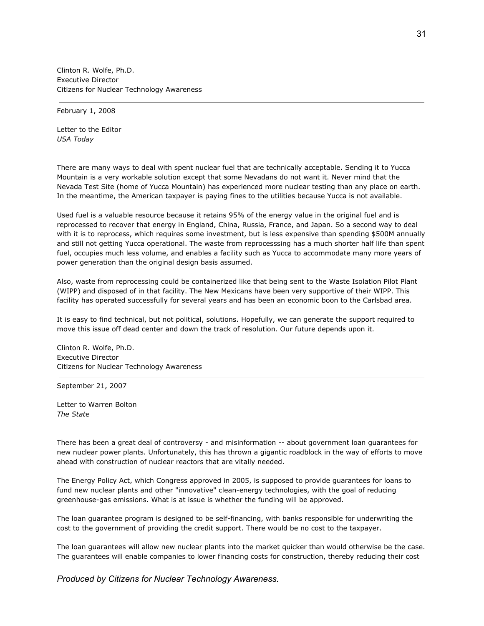Clinton R. Wolfe, Ph.D. Executive Director Citizens for Nuclear Technology Awareness

February 1, 2008

Letter to the Editor *USA Today*

There are many ways to deal with spent nuclear fuel that are technically acceptable. Sending it to Yucca Mountain is a very workable solution except that some Nevadans do not want it. Never mind that the Nevada Test Site (home of Yucca Mountain) has experienced more nuclear testing than any place on earth. In the meantime, the American taxpayer is paying fines to the utilities because Yucca is not available.

Used fuel is a valuable resource because it retains 95% of the energy value in the original fuel and is reprocessed to recover that energy in England, China, Russia, France, and Japan. So a second way to deal with it is to reprocess, which requires some investment, but is less expensive than spending \$500M annually and still not getting Yucca operational. The waste from reprocesssing has a much shorter half life than spent fuel, occupies much less volume, and enables a facility such as Yucca to accommodate many more years of power generation than the original design basis assumed.

Also, waste from reprocessing could be containerized like that being sent to the Waste Isolation Pilot Plant (WIPP) and disposed of in that facility. The New Mexicans have been very supportive of their WIPP. This facility has operated successfully for several years and has been an economic boon to the Carlsbad area.

It is easy to find technical, but not political, solutions. Hopefully, we can generate the support required to move this issue off dead center and down the track of resolution. Our future depends upon it.

Clinton R. Wolfe, Ph.D. Executive Director Citizens for Nuclear Technology Awareness

September 21, 2007

Letter to Warren Bolton *The State*

There has been a great deal of controversy - and misinformation -- about government loan guarantees for new nuclear power plants. Unfortunately, this has thrown a gigantic roadblock in the way of efforts to move ahead with construction of nuclear reactors that are vitally needed.

The Energy Policy Act, which Congress approved in 2005, is supposed to provide guarantees for loans to fund new nuclear plants and other "innovative" clean-energy technologies, with the goal of reducing greenhouse-gas emissions. What is at issue is whether the funding will be approved.

The loan guarantee program is designed to be self-financing, with banks responsible for underwriting the cost to the government of providing the credit support. There would be no cost to the taxpayer.

The loan guarantees will allow new nuclear plants into the market quicker than would otherwise be the case. The guarantees will enable companies to lower financing costs for construction, thereby reducing their cost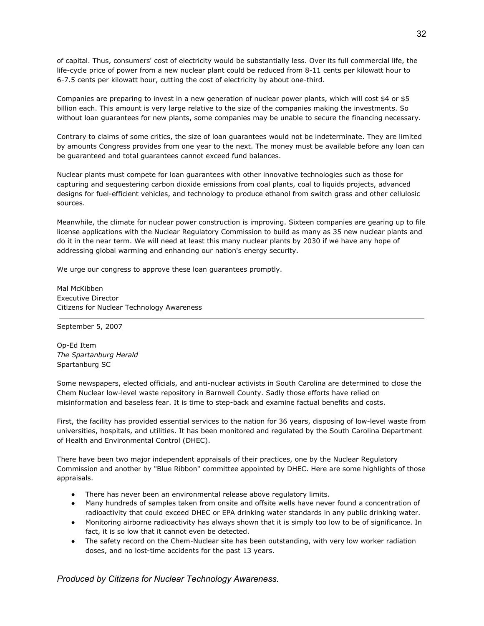of capital. Thus, consumers' cost of electricity would be substantially less. Over its full commercial life, the life-cycle price of power from a new nuclear plant could be reduced from 8-11 cents per kilowatt hour to 6-7.5 cents per kilowatt hour, cutting the cost of electricity by about one-third.

Companies are preparing to invest in a new generation of nuclear power plants, which will cost \$4 or \$5 billion each. This amount is very large relative to the size of the companies making the investments. So without loan guarantees for new plants, some companies may be unable to secure the financing necessary.

Contrary to claims of some critics, the size of loan guarantees would not be indeterminate. They are limited by amounts Congress provides from one year to the next. The money must be available before any loan can be guaranteed and total guarantees cannot exceed fund balances.

Nuclear plants must compete for loan guarantees with other innovative technologies such as those for capturing and sequestering carbon dioxide emissions from coal plants, coal to liquids projects, advanced designs for fuel-efficient vehicles, and technology to produce ethanol from switch grass and other cellulosic sources.

Meanwhile, the climate for nuclear power construction is improving. Sixteen companies are gearing up to file license applications with the Nuclear Regulatory Commission to build as many as 35 new nuclear plants and do it in the near term. We will need at least this many nuclear plants by 2030 if we have any hope of addressing global warming and enhancing our nation's energy security.

We urge our congress to approve these loan guarantees promptly.

Mal McKibben Executive Director Citizens for Nuclear Technology Awareness

September 5, 2007

Op-Ed Item *The Spartanburg Herald* Spartanburg SC

Some newspapers, elected officials, and anti-nuclear activists in South Carolina are determined to close the Chem Nuclear low-level waste repository in Barnwell County. Sadly those efforts have relied on misinformation and baseless fear. It is time to step-back and examine factual benefits and costs.

First, the facility has provided essential services to the nation for 36 years, disposing of low-level waste from universities, hospitals, and utilities. It has been monitored and regulated by the South Carolina Department of Health and Environmental Control (DHEC).

There have been two major independent appraisals of their practices, one by the Nuclear Regulatory Commission and another by "Blue Ribbon" committee appointed by DHEC. Here are some highlights of those appraisals.

- There has never been an environmental release above regulatory limits.
- Many hundreds of samples taken from onsite and offsite wells have never found a concentration of radioactivity that could exceed DHEC or EPA drinking water standards in any public drinking water.
- Monitoring airborne radioactivity has always shown that it is simply too low to be of significance. In fact, it is so low that it cannot even be detected.
- The safety record on the Chem-Nuclear site has been outstanding, with very low worker radiation doses, and no lost-time accidents for the past 13 years.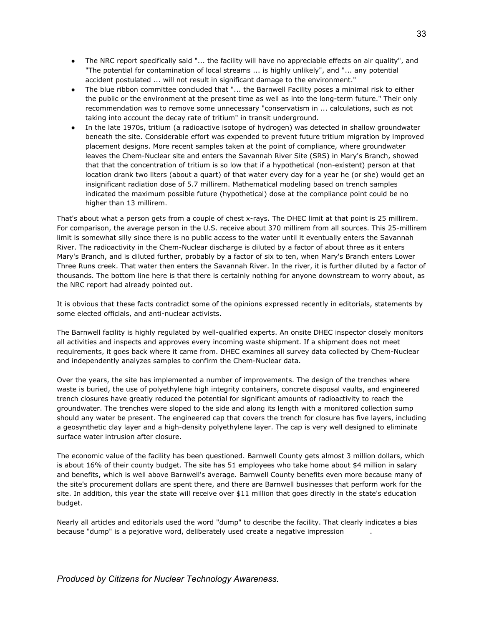- The NRC report specifically said "... the facility will have no appreciable effects on air quality", and "The potential for contamination of local streams ... is highly unlikely", and "... any potential accident postulated ... will not result in significant damage to the environment."
- The blue ribbon committee concluded that "... the Barnwell Facility poses a minimal risk to either the public or the environment at the present time as well as into the long-term future." Their only recommendation was to remove some unnecessary "conservatism in ... calculations, such as not taking into account the decay rate of tritium" in transit underground.
- In the late 1970s, tritium (a radioactive isotope of hydrogen) was detected in shallow groundwater beneath the site. Considerable effort was expended to prevent future tritium migration by improved placement designs. More recent samples taken at the point of compliance, where groundwater leaves the Chem-Nuclear site and enters the Savannah River Site (SRS) in Mary's Branch, showed that that the concentration of tritium is so low that if a hypothetical (non-existent) person at that location drank two liters (about a quart) of that water every day for a year he (or she) would get an insignificant radiation dose of 5.7 millirem. Mathematical modeling based on trench samples indicated the maximum possible future (hypothetical) dose at the compliance point could be no higher than 13 millirem.

That's about what a person gets from a couple of chest x-rays. The DHEC limit at that point is 25 millirem. For comparison, the average person in the U.S. receive about 370 millirem from all sources. This 25-millirem limit is somewhat silly since there is no public access to the water until it eventually enters the Savannah River. The radioactivity in the Chem-Nuclear discharge is diluted by a factor of about three as it enters Mary's Branch, and is diluted further, probably by a factor of six to ten, when Mary's Branch enters Lower Three Runs creek. That water then enters the Savannah River. In the river, it is further diluted by a factor of thousands. The bottom line here is that there is certainly nothing for anyone downstream to worry about, as the NRC report had already pointed out.

It is obvious that these facts contradict some of the opinions expressed recently in editorials, statements by some elected officials, and anti-nuclear activists.

The Barnwell facility is highly regulated by well-qualified experts. An onsite DHEC inspector closely monitors all activities and inspects and approves every incoming waste shipment. If a shipment does not meet requirements, it goes back where it came from. DHEC examines all survey data collected by Chem-Nuclear and independently analyzes samples to confirm the Chem-Nuclear data.

Over the years, the site has implemented a number of improvements. The design of the trenches where waste is buried, the use of polyethylene high integrity containers, concrete disposal vaults, and engineered trench closures have greatly reduced the potential for significant amounts of radioactivity to reach the groundwater. The trenches were sloped to the side and along its length with a monitored collection sump should any water be present. The engineered cap that covers the trench for closure has five layers, including a geosynthetic clay layer and a high-density polyethylene layer. The cap is very well designed to eliminate surface water intrusion after closure.

The economic value of the facility has been questioned. Barnwell County gets almost 3 million dollars, which is about 16% of their county budget. The site has 51 employees who take home about \$4 million in salary and benefits, which is well above Barnwell's average. Barnwell County benefits even more because many of the site's procurement dollars are spent there, and there are Barnwell businesses that perform work for the site. In addition, this year the state will receive over \$11 million that goes directly in the state's education budget.

Nearly all articles and editorials used the word "dump" to describe the facility. That clearly indicates a bias because "dump" is a pejorative word, deliberately used create a negative impression .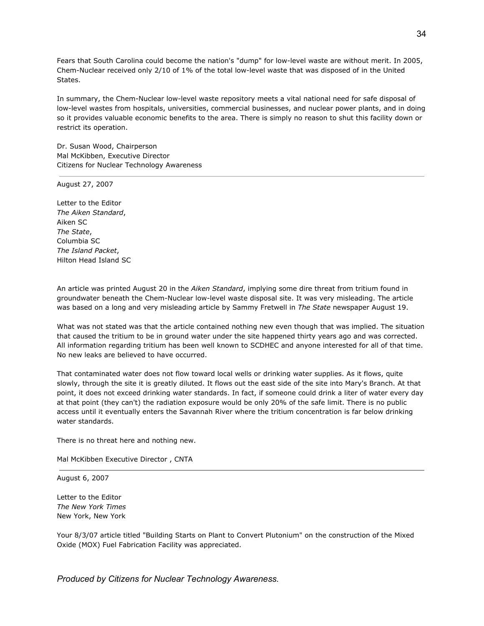Fears that South Carolina could become the nation's "dump" for low-level waste are without merit. In 2005, Chem-Nuclear received only 2/10 of 1% of the total low-level waste that was disposed of in the United States.

In summary, the Chem-Nuclear low-level waste repository meets a vital national need for safe disposal of low-level wastes from hospitals, universities, commercial businesses, and nuclear power plants, and in doing so it provides valuable economic benefits to the area. There is simply no reason to shut this facility down or restrict its operation.

Dr. Susan Wood, Chairperson Mal McKibben, Executive Director Citizens for Nuclear Technology Awareness

August 27, 2007

Letter to the Editor *The Aiken Standard*, Aiken SC *The State*, Columbia SC *The Island Packet*, Hilton Head Island SC

An article was printed August 20 in the *Aiken Standard*, implying some dire threat from tritium found in groundwater beneath the Chem-Nuclear low-level waste disposal site. It was very misleading. The article was based on a long and very misleading article by Sammy Fretwell in *The State* newspaper August 19.

What was not stated was that the article contained nothing new even though that was implied. The situation that caused the tritium to be in ground water under the site happened thirty years ago and was corrected. All information regarding tritium has been well known to SCDHEC and anyone interested for all of that time. No new leaks are believed to have occurred.

That contaminated water does not flow toward local wells or drinking water supplies. As it flows, quite slowly, through the site it is greatly diluted. It flows out the east side of the site into Mary's Branch. At that point, it does not exceed drinking water standards. In fact, if someone could drink a liter of water every day at that point (they can't) the radiation exposure would be only 20% of the safe limit. There is no public access until it eventually enters the Savannah River where the tritium concentration is far below drinking water standards.

There is no threat here and nothing new.

Mal McKibben Executive Director , CNTA

August 6, 2007

Letter to the Editor *The New York Times* New York, New York

Your 8/3/07 article titled "Building Starts on Plant to Convert Plutonium" on the construction of the Mixed Oxide (MOX) Fuel Fabrication Facility was appreciated.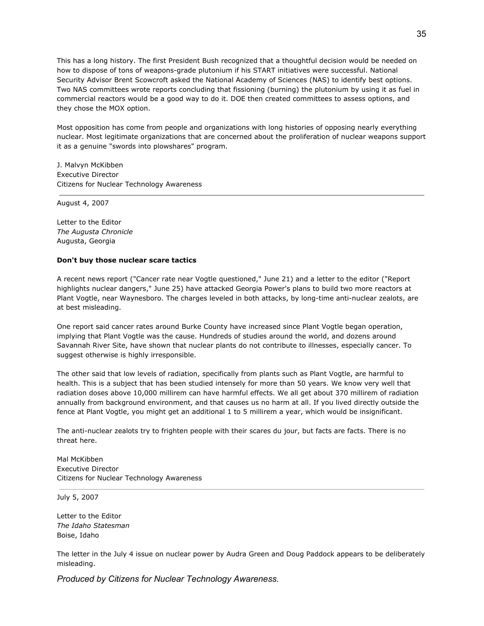This has a long history. The first President Bush recognized that a thoughtful decision would be needed on how to dispose of tons of weapons-grade plutonium if his START initiatives were successful. National Security Advisor Brent Scowcroft asked the National Academy of Sciences (NAS) to identify best options. Two NAS committees wrote reports concluding that fissioning (burning) the plutonium by using it as fuel in commercial reactors would be a good way to do it. DOE then created committees to assess options, and they chose the MOX option.

Most opposition has come from people and organizations with long histories of opposing nearly everything nuclear. Most legitimate organizations that are concerned about the proliferation of nuclear weapons support it as a genuine "swords into plowshares" program.

J. Malvyn McKibben Executive Director Citizens for Nuclear Technology Awareness

August 4, 2007

Letter to the Editor *The Augusta Chronicle* Augusta, Georgia

# **Don't buy those nuclear scare tactics**

A recent news report ("Cancer rate near Vogtle questioned," June 21) and a letter to the editor ("Report highlights nuclear dangers," June 25) have attacked Georgia Power's plans to build two more reactors at Plant Vogtle, near Waynesboro. The charges leveled in both attacks, by long-time anti-nuclear zealots, are at best misleading.

One report said cancer rates around Burke County have increased since Plant Vogtle began operation, implying that Plant Vogtle was the cause. Hundreds of studies around the world, and dozens around Savannah River Site, have shown that nuclear plants do not contribute to illnesses, especially cancer. To suggest otherwise is highly irresponsible.

The other said that low levels of radiation, specifically from plants such as Plant Vogtle, are harmful to health. This is a subject that has been studied intensely for more than 50 years. We know very well that radiation doses above 10,000 millirem can have harmful effects. We all get about 370 millirem of radiation annually from background environment, and that causes us no harm at all. If you lived directly outside the fence at Plant Vogtle, you might get an additional 1 to 5 millirem a year, which would be insignificant.

The anti-nuclear zealots try to frighten people with their scares du jour, but facts are facts. There is no threat here.

Mal McKibben Executive Director Citizens for Nuclear Technology Awareness

July 5, 2007

Letter to the Editor *The Idaho Statesman* Boise, Idaho

The letter in the July 4 issue on nuclear power by Audra Green and Doug Paddock appears to be deliberately misleading.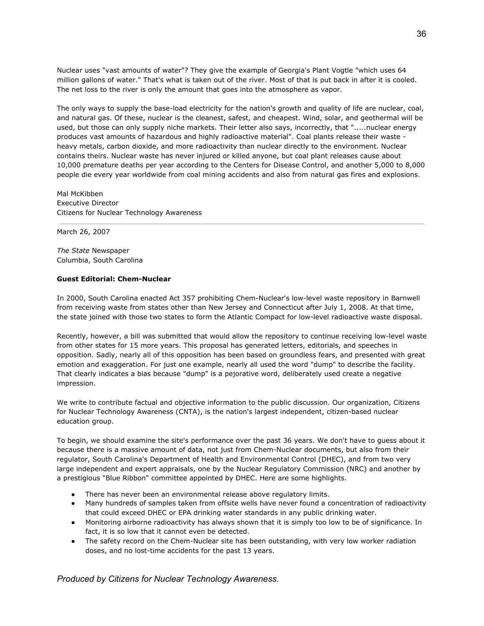Nuclear uses "vast amounts of water"? They give the example of Georgia's Plant Vogtle "which uses 64 million gallons of water." That's what is taken out of the river. Most of that is put back in after it is cooled. The net loss to the river is only the amount that goes into the atmosphere as vapor.

The only ways to supply the base-load electricity for the nation's growth and quality of life are nuclear, coal, and natural gas. Of these, nuclear is the cleanest, safest, and cheapest. Wind, solar, and geothermal will be used, but those can only supply niche markets. Their letter also says, incorrectly, that ".....nuclear energy produces vast amounts of hazardous and highly radioactive material". Coal plants release their waste heavy metals, carbon dioxide, and more radioactivity than nuclear directly to the environment. Nuclear contains theirs. Nuclear waste has never injured or killed anyone, but coal plant releases cause about 10,000 premature deaths per year according to the Centers for Disease Control, and another 5,000 to 8,000 people die every year worldwide from coal mining accidents and also from natural gas fires and explosions.

Mal McKibben Executive Director Citizens for Nuclear Technology Awareness

March 26, 2007

*The State* Newspaper Columbia, South Carolina

### **Guest Editorial: Chem-Nuclear**

In 2000, South Carolina enacted Act 357 prohibiting Chem-Nuclear's low-level waste repository in Barnwell from receiving waste from states other than New Jersey and Connecticut after July 1, 2008. At that time, the state joined with those two states to form the Atlantic Compact for low-level radioactive waste disposal.

Recently, however, a bill was submitted that would allow the repository to continue receiving low-level waste from other states for 15 more years. This proposal has generated letters, editorials, and speeches in opposition. Sadly, nearly all of this opposition has been based on groundless fears, and presented with great emotion and exaggeration. For just one example, nearly all used the word "dump" to describe the facility. That clearly indicates a bias because "dump" is a pejorative word, deliberately used create a negative impression.

We write to contribute factual and objective information to the public discussion. Our organization, Citizens for Nuclear Technology Awareness (CNTA), is the nation's largest independent, citizen-based nuclear education group.

To begin, we should examine the site's performance over the past 36 years. We don't have to guess about it because there is a massive amount of data, not just from Chem-Nuclear documents, but also from their regulator, South Carolina's Department of Health and Environmental Control (DHEC), and from two very large independent and expert appraisals, one by the Nuclear Regulatory Commission (NRC) and another by a prestigious "Blue Ribbon" committee appointed by DHEC. Here are some highlights.

- There has never been an environmental release above regulatory limits.
- Many hundreds of samples taken from offsite wells have never found a concentration of radioactivity that could exceed DHEC or EPA drinking water standards in any public drinking water.
- Monitoring airborne radioactivity has always shown that it is simply too low to be of significance. In fact, it is so low that it cannot even be detected.
- The safety record on the Chem-Nuclear site has been outstanding, with very low worker radiation doses, and no lost-time accidents for the past 13 years.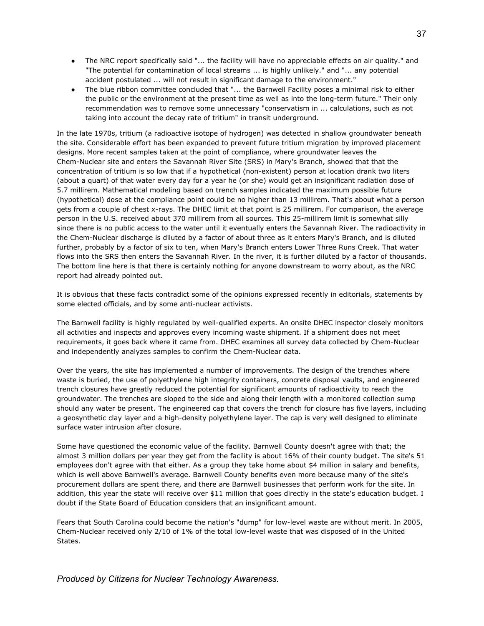- The NRC report specifically said "... the facility will have no appreciable effects on air quality." and "The potential for contamination of local streams ... is highly unlikely." and "... any potential accident postulated ... will not result in significant damage to the environment."
- The blue ribbon committee concluded that "... the Barnwell Facility poses a minimal risk to either the public or the environment at the present time as well as into the long-term future." Their only recommendation was to remove some unnecessary "conservatism in ... calculations, such as not taking into account the decay rate of tritium" in transit underground.

In the late 1970s, tritium (a radioactive isotope of hydrogen) was detected in shallow groundwater beneath the site. Considerable effort has been expanded to prevent future tritium migration by improved placement designs. More recent samples taken at the point of compliance, where groundwater leaves the Chem-Nuclear site and enters the Savannah River Site (SRS) in Mary's Branch, showed that that the concentration of tritium is so low that if a hypothetical (non-existent) person at location drank two liters (about a quart) of that water every day for a year he (or she) would get an insignificant radiation dose of 5.7 millirem. Mathematical modeling based on trench samples indicated the maximum possible future (hypothetical) dose at the compliance point could be no higher than 13 millirem. That's about what a person gets from a couple of chest x-rays. The DHEC limit at that point is 25 millirem. For comparison, the average person in the U.S. received about 370 millirem from all sources. This 25-millirem limit is somewhat silly since there is no public access to the water until it eventually enters the Savannah River. The radioactivity in the Chem-Nuclear discharge is diluted by a factor of about three as it enters Mary's Branch, and is diluted further, probably by a factor of six to ten, when Mary's Branch enters Lower Three Runs Creek. That water flows into the SRS then enters the Savannah River. In the river, it is further diluted by a factor of thousands. The bottom line here is that there is certainly nothing for anyone downstream to worry about, as the NRC report had already pointed out.

It is obvious that these facts contradict some of the opinions expressed recently in editorials, statements by some elected officials, and by some anti-nuclear activists.

The Barnwell facility is highly regulated by well-qualified experts. An onsite DHEC inspector closely monitors all activities and inspects and approves every incoming waste shipment. If a shipment does not meet requirements, it goes back where it came from. DHEC examines all survey data collected by Chem-Nuclear and independently analyzes samples to confirm the Chem-Nuclear data.

Over the years, the site has implemented a number of improvements. The design of the trenches where waste is buried, the use of polyethylene high integrity containers, concrete disposal vaults, and engineered trench closures have greatly reduced the potential for significant amounts of radioactivity to reach the groundwater. The trenches are sloped to the side and along their length with a monitored collection sump should any water be present. The engineered cap that covers the trench for closure has five layers, including a geosynthetic clay layer and a high-density polyethylene layer. The cap is very well designed to eliminate surface water intrusion after closure.

Some have questioned the economic value of the facility. Barnwell County doesn't agree with that; the almost 3 million dollars per year they get from the facility is about 16% of their county budget. The site's 51 employees don't agree with that either. As a group they take home about \$4 million in salary and benefits, which is well above Barnwell's average. Barnwell County benefits even more because many of the site's procurement dollars are spent there, and there are Barnwell businesses that perform work for the site. In addition, this year the state will receive over \$11 million that goes directly in the state's education budget. I doubt if the State Board of Education considers that an insignificant amount.

Fears that South Carolina could become the nation's "dump" for low-level waste are without merit. In 2005, Chem-Nuclear received only 2/10 of 1% of the total low-level waste that was disposed of in the United States.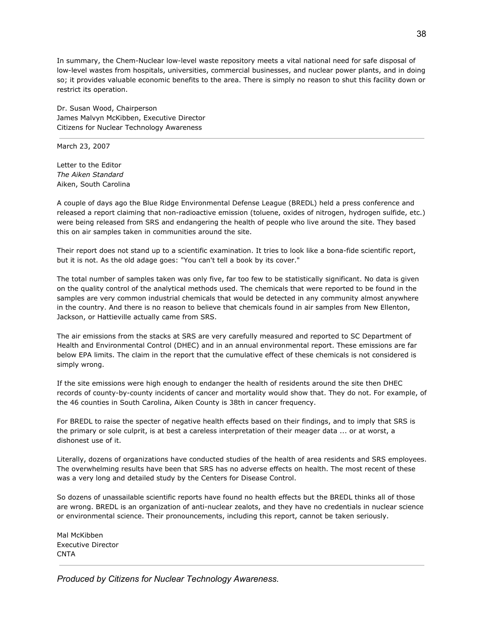In summary, the Chem-Nuclear low-level waste repository meets a vital national need for safe disposal of low-level wastes from hospitals, universities, commercial businesses, and nuclear power plants, and in doing so; it provides valuable economic benefits to the area. There is simply no reason to shut this facility down or restrict its operation.

Dr. Susan Wood, Chairperson James Malvyn McKibben, Executive Director Citizens for Nuclear Technology Awareness

March 23, 2007

Letter to the Editor *The Aiken Standard* Aiken, South Carolina

A couple of days ago the Blue Ridge Environmental Defense League (BREDL) held a press conference and released a report claiming that non-radioactive emission (toluene, oxides of nitrogen, hydrogen sulfide, etc.) were being released from SRS and endangering the health of people who live around the site. They based this on air samples taken in communities around the site.

Their report does not stand up to a scientific examination. It tries to look like a bona-fide scientific report, but it is not. As the old adage goes: "You can't tell a book by its cover."

The total number of samples taken was only five, far too few to be statistically significant. No data is given on the quality control of the analytical methods used. The chemicals that were reported to be found in the samples are very common industrial chemicals that would be detected in any community almost anywhere in the country. And there is no reason to believe that chemicals found in air samples from New Ellenton, Jackson, or Hattieville actually came from SRS.

The air emissions from the stacks at SRS are very carefully measured and reported to SC Department of Health and Environmental Control (DHEC) and in an annual environmental report. These emissions are far below EPA limits. The claim in the report that the cumulative effect of these chemicals is not considered is simply wrong.

If the site emissions were high enough to endanger the health of residents around the site then DHEC records of county-by-county incidents of cancer and mortality would show that. They do not. For example, of the 46 counties in South Carolina, Aiken County is 38th in cancer frequency.

For BREDL to raise the specter of negative health effects based on their findings, and to imply that SRS is the primary or sole culprit, is at best a careless interpretation of their meager data ... or at worst, a dishonest use of it.

Literally, dozens of organizations have conducted studies of the health of area residents and SRS employees. The overwhelming results have been that SRS has no adverse effects on health. The most recent of these was a very long and detailed study by the Centers for Disease Control.

So dozens of unassailable scientific reports have found no health effects but the BREDL thinks all of those are wrong. BREDL is an organization of anti-nuclear zealots, and they have no credentials in nuclear science or environmental science. Their pronouncements, including this report, cannot be taken seriously.

Mal McKibben Executive Director CNTA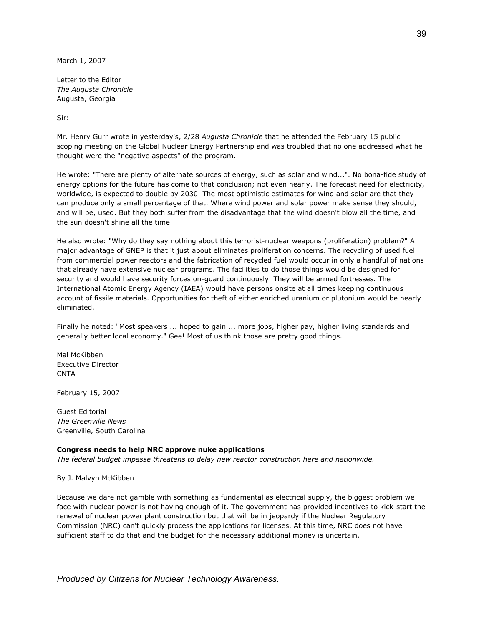March 1, 2007

Letter to the Editor *The Augusta Chronicle* Augusta, Georgia

Sir:

Mr. Henry Gurr wrote in yesterday's, 2/28 *Augusta Chronicle* that he attended the February 15 public scoping meeting on the Global Nuclear Energy Partnership and was troubled that no one addressed what he thought were the "negative aspects" of the program.

He wrote: "There are plenty of alternate sources of energy, such as solar and wind...". No bona-fide study of energy options for the future has come to that conclusion; not even nearly. The forecast need for electricity, worldwide, is expected to double by 2030. The most optimistic estimates for wind and solar are that they can produce only a small percentage of that. Where wind power and solar power make sense they should, and will be, used. But they both suffer from the disadvantage that the wind doesn't blow all the time, and the sun doesn't shine all the time.

He also wrote: "Why do they say nothing about this terrorist-nuclear weapons (proliferation) problem?" A major advantage of GNEP is that it just about eliminates proliferation concerns. The recycling of used fuel from commercial power reactors and the fabrication of recycled fuel would occur in only a handful of nations that already have extensive nuclear programs. The facilities to do those things would be designed for security and would have security forces on-guard continuously. They will be armed fortresses. The International Atomic Energy Agency (IAEA) would have persons onsite at all times keeping continuous account of fissile materials. Opportunities for theft of either enriched uranium or plutonium would be nearly eliminated.

Finally he noted: "Most speakers ... hoped to gain ... more jobs, higher pay, higher living standards and generally better local economy." Gee! Most of us think those are pretty good things.

Mal McKibben Executive Director **CNTA** 

February 15, 2007

Guest Editorial *The Greenville News* Greenville, South Carolina

## **Congress needs to help NRC approve nuke applications**

*The federal budget impasse threatens to delay new reactor construction here and nationwide.*

### By J. Malvyn McKibben

Because we dare not gamble with something as fundamental as electrical supply, the biggest problem we face with nuclear power is not having enough of it. The government has provided incentives to kick-start the renewal of nuclear power plant construction but that will be in jeopardy if the Nuclear Regulatory Commission (NRC) can't quickly process the applications for licenses. At this time, NRC does not have sufficient staff to do that and the budget for the necessary additional money is uncertain.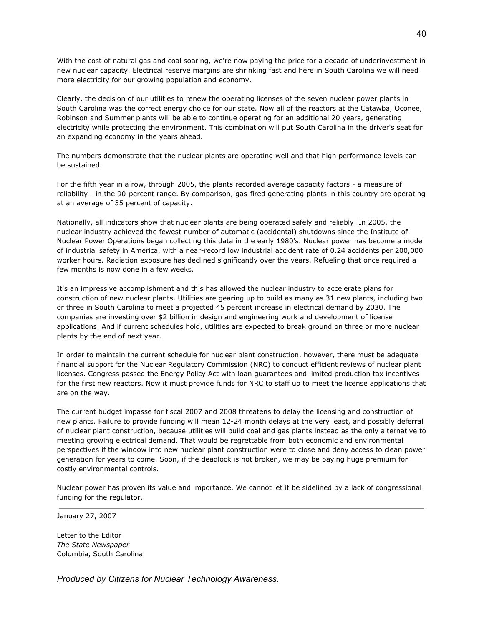With the cost of natural gas and coal soaring, we're now paying the price for a decade of underinvestment in new nuclear capacity. Electrical reserve margins are shrinking fast and here in South Carolina we will need more electricity for our growing population and economy.

Clearly, the decision of our utilities to renew the operating licenses of the seven nuclear power plants in South Carolina was the correct energy choice for our state. Now all of the reactors at the Catawba, Oconee, Robinson and Summer plants will be able to continue operating for an additional 20 years, generating electricity while protecting the environment. This combination will put South Carolina in the driver's seat for an expanding economy in the years ahead.

The numbers demonstrate that the nuclear plants are operating well and that high performance levels can be sustained.

For the fifth year in a row, through 2005, the plants recorded average capacity factors - a measure of reliability - in the 90-percent range. By comparison, gas-fired generating plants in this country are operating at an average of 35 percent of capacity.

Nationally, all indicators show that nuclear plants are being operated safely and reliably. In 2005, the nuclear industry achieved the fewest number of automatic (accidental) shutdowns since the Institute of Nuclear Power Operations began collecting this data in the early 1980's. Nuclear power has become a model of industrial safety in America, with a near-record low industrial accident rate of 0.24 accidents per 200,000 worker hours. Radiation exposure has declined significantly over the years. Refueling that once required a few months is now done in a few weeks.

It's an impressive accomplishment and this has allowed the nuclear industry to accelerate plans for construction of new nuclear plants. Utilities are gearing up to build as many as 31 new plants, including two or three in South Carolina to meet a projected 45 percent increase in electrical demand by 2030. The companies are investing over \$2 billion in design and engineering work and development of license applications. And if current schedules hold, utilities are expected to break ground on three or more nuclear plants by the end of next year.

In order to maintain the current schedule for nuclear plant construction, however, there must be adequate financial support for the Nuclear Regulatory Commission (NRC) to conduct efficient reviews of nuclear plant licenses. Congress passed the Energy Policy Act with loan guarantees and limited production tax incentives for the first new reactors. Now it must provide funds for NRC to staff up to meet the license applications that are on the way.

The current budget impasse for fiscal 2007 and 2008 threatens to delay the licensing and construction of new plants. Failure to provide funding will mean 12-24 month delays at the very least, and possibly deferral of nuclear plant construction, because utilities will build coal and gas plants instead as the only alternative to meeting growing electrical demand. That would be regrettable from both economic and environmental perspectives if the window into new nuclear plant construction were to close and deny access to clean power generation for years to come. Soon, if the deadlock is not broken, we may be paying huge premium for costly environmental controls.

Nuclear power has proven its value and importance. We cannot let it be sidelined by a lack of congressional funding for the regulator.

January 27, 2007

Letter to the Editor *The State Newspaper* Columbia, South Carolina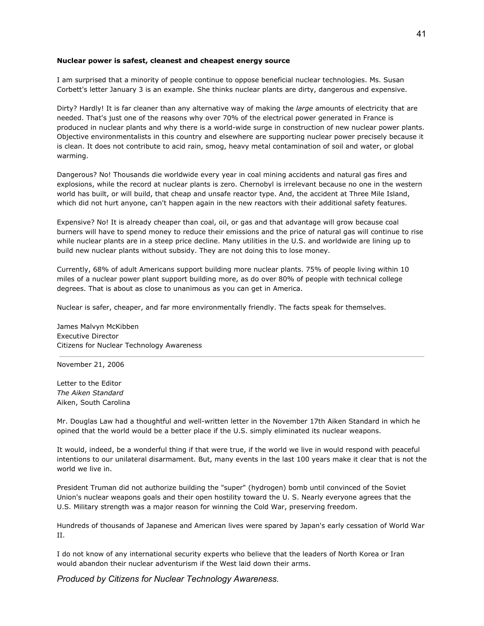### **Nuclear power is safest, cleanest and cheapest energy source**

I am surprised that a minority of people continue to oppose beneficial nuclear technologies. Ms. Susan Corbett's letter January 3 is an example. She thinks nuclear plants are dirty, dangerous and expensive.

Dirty? Hardly! It is far cleaner than any alternative way of making the *large* amounts of electricity that are needed. That's just one of the reasons why over 70% of the electrical power generated in France is produced in nuclear plants and why there is a world-wide surge in construction of new nuclear power plants. Objective environmentalists in this country and elsewhere are supporting nuclear power precisely because it is clean. It does not contribute to acid rain, smog, heavy metal contamination of soil and water, or global warming.

Dangerous? No! Thousands die worldwide every year in coal mining accidents and natural gas fires and explosions, while the record at nuclear plants is zero. Chernobyl is irrelevant because no one in the western world has built, or will build, that cheap and unsafe reactor type. And, the accident at Three Mile Island, which did not hurt anyone, can't happen again in the new reactors with their additional safety features.

Expensive? No! It is already cheaper than coal, oil, or gas and that advantage will grow because coal burners will have to spend money to reduce their emissions and the price of natural gas will continue to rise while nuclear plants are in a steep price decline. Many utilities in the U.S. and worldwide are lining up to build new nuclear plants without subsidy. They are not doing this to lose money.

Currently, 68% of adult Americans support building more nuclear plants. 75% of people living within 10 miles of a nuclear power plant support building more, as do over 80% of people with technical college degrees. That is about as close to unanimous as you can get in America.

Nuclear is safer, cheaper, and far more environmentally friendly. The facts speak for themselves.

James Malvyn McKibben Executive Director Citizens for Nuclear Technology Awareness

November 21, 2006

Letter to the Editor *The Aiken Standard* Aiken, South Carolina

Mr. Douglas Law had a thoughtful and well-written letter in the November 17th Aiken Standard in which he opined that the world would be a better place if the U.S. simply eliminated its nuclear weapons.

It would, indeed, be a wonderful thing if that were true, if the world we live in would respond with peaceful intentions to our unilateral disarmament. But, many events in the last 100 years make it clear that is not the world we live in.

President Truman did not authorize building the "super" (hydrogen) bomb until convinced of the Soviet Union's nuclear weapons goals and their open hostility toward the U. S. Nearly everyone agrees that the U.S. Military strength was a major reason for winning the Cold War, preserving freedom.

Hundreds of thousands of Japanese and American lives were spared by Japan's early cessation of World War II.

I do not know of any international security experts who believe that the leaders of North Korea or Iran would abandon their nuclear adventurism if the West laid down their arms.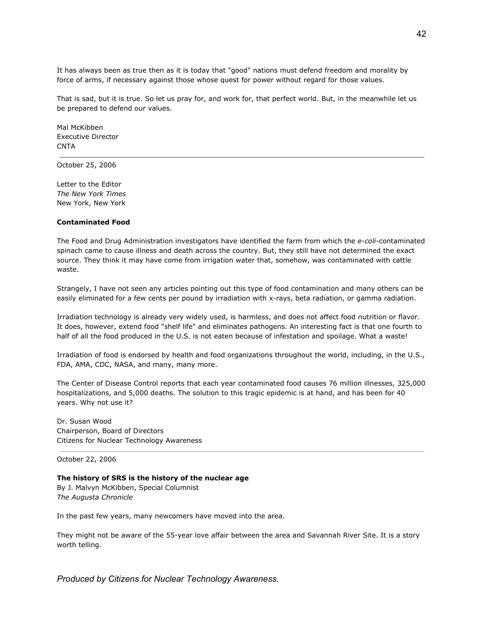It has always been as true then as it is today that "good" nations must defend freedom and morality by force of arms, if necessary against those whose quest for power without regard for those values.

That is sad, but it is true. So let us pray for, and work for, that perfect world. But, in the meanwhile let us be prepared to defend our values.

Mal McKibben Executive Director **CNTA** 

October 25, 2006

Letter to the Editor *The New York Times* New York, New York

## **Contaminated Food**

The Food and Drug Administration investigators have identified the farm from which the *e-coli*-contaminated spinach came to cause illness and death across the country. But, they still have not determined the exact source. They think it may have come from irrigation water that, somehow, was contaminated with cattle waste.

Strangely, I have not seen any articles pointing out this type of food contamination and many others can be easily eliminated for a few cents per pound by irradiation with x-rays, beta radiation, or gamma radiation.

Irradiation technology is already very widely used, is harmless, and does not affect food nutrition or flavor. It does, however, extend food "shelf life" and eliminates pathogens. An interesting fact is that one fourth to half of all the food produced in the U.S. is not eaten because of infestation and spoilage. What a waste!

Irradiation of food is endorsed by health and food organizations throughout the world, including, in the U.S., FDA, AMA, CDC, NASA, and many, many more.

The Center of Disease Control reports that each year contaminated food causes 76 million illnesses, 325,000 hospitalizations, and 5,000 deaths. The solution to this tragic epidemic is at hand, and has been for 40 years. Why not use it?

Dr. Susan Wood Chairperson, Board of Directors Citizens for Nuclear Technology Awareness

October 22, 2006

## **The history of SRS is the history of the nuclear age** By J. Malvyn McKibben, Special Columnist *The Augusta Chronicle*

In the past few years, many newcomers have moved into the area.

They might not be aware of the 55-year love affair between the area and Savannah River Site. It is a story worth telling.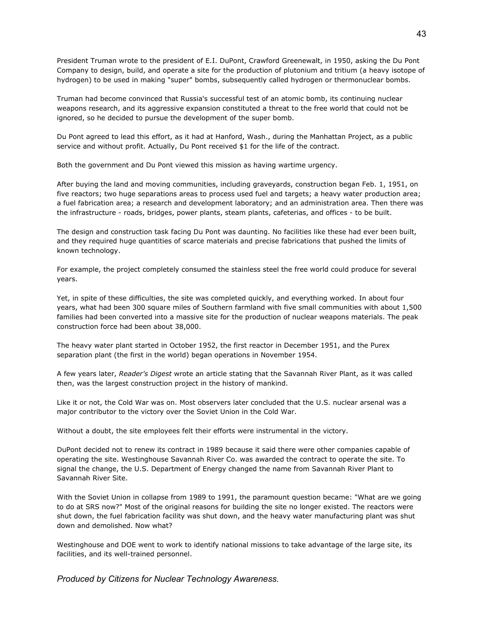President Truman wrote to the president of E.I. DuPont, Crawford Greenewalt, in 1950, asking the Du Pont Company to design, build, and operate a site for the production of plutonium and tritium (a heavy isotope of hydrogen) to be used in making "super" bombs, subsequently called hydrogen or thermonuclear bombs.

Truman had become convinced that Russia's successful test of an atomic bomb, its continuing nuclear weapons research, and its aggressive expansion constituted a threat to the free world that could not be ignored, so he decided to pursue the development of the super bomb.

Du Pont agreed to lead this effort, as it had at Hanford, Wash., during the Manhattan Project, as a public service and without profit. Actually, Du Pont received \$1 for the life of the contract.

Both the government and Du Pont viewed this mission as having wartime urgency.

After buying the land and moving communities, including graveyards, construction began Feb. 1, 1951, on five reactors; two huge separations areas to process used fuel and targets; a heavy water production area; a fuel fabrication area; a research and development laboratory; and an administration area. Then there was the infrastructure - roads, bridges, power plants, steam plants, cafeterias, and offices - to be built.

The design and construction task facing Du Pont was daunting. No facilities like these had ever been built, and they required huge quantities of scarce materials and precise fabrications that pushed the limits of known technology.

For example, the project completely consumed the stainless steel the free world could produce for several years.

Yet, in spite of these difficulties, the site was completed quickly, and everything worked. In about four years, what had been 300 square miles of Southern farmland with five small communities with about 1,500 families had been converted into a massive site for the production of nuclear weapons materials. The peak construction force had been about 38,000.

The heavy water plant started in October 1952, the first reactor in December 1951, and the Purex separation plant (the first in the world) began operations in November 1954.

A few years later, *Reader's Digest* wrote an article stating that the Savannah River Plant, as it was called then, was the largest construction project in the history of mankind.

Like it or not, the Cold War was on. Most observers later concluded that the U.S. nuclear arsenal was a major contributor to the victory over the Soviet Union in the Cold War.

Without a doubt, the site employees felt their efforts were instrumental in the victory.

DuPont decided not to renew its contract in 1989 because it said there were other companies capable of operating the site. Westinghouse Savannah River Co. was awarded the contract to operate the site. To signal the change, the U.S. Department of Energy changed the name from Savannah River Plant to Savannah River Site.

With the Soviet Union in collapse from 1989 to 1991, the paramount question became: "What are we going to do at SRS now?" Most of the original reasons for building the site no longer existed. The reactors were shut down, the fuel fabrication facility was shut down, and the heavy water manufacturing plant was shut down and demolished. Now what?

Westinghouse and DOE went to work to identify national missions to take advantage of the large site, its facilities, and its well-trained personnel.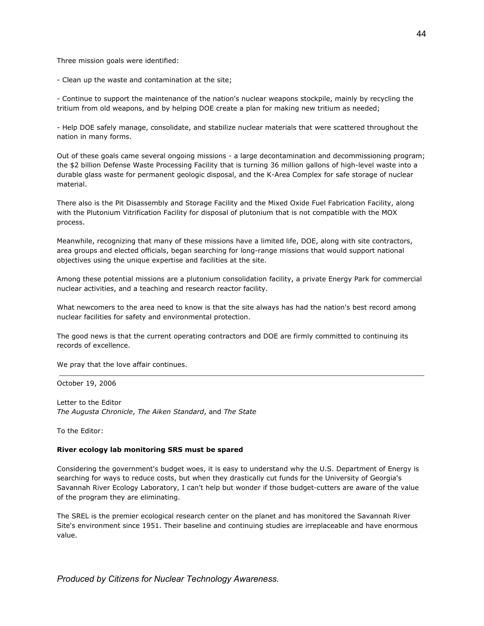Three mission goals were identified:

- Clean up the waste and contamination at the site;

- Continue to support the maintenance of the nation's nuclear weapons stockpile, mainly by recycling the tritium from old weapons, and by helping DOE create a plan for making new tritium as needed;

- Help DOE safely manage, consolidate, and stabilize nuclear materials that were scattered throughout the nation in many forms.

Out of these goals came several ongoing missions - a large decontamination and decommissioning program; the \$2 billion Defense Waste Processing Facility that is turning 36 million gallons of high-level waste into a durable glass waste for permanent geologic disposal, and the K-Area Complex for safe storage of nuclear material.

There also is the Pit Disassembly and Storage Facility and the Mixed Oxide Fuel Fabrication Facility, along with the Plutonium Vitrification Facility for disposal of plutonium that is not compatible with the MOX process.

Meanwhile, recognizing that many of these missions have a limited life, DOE, along with site contractors, area groups and elected officials, began searching for long-range missions that would support national objectives using the unique expertise and facilities at the site.

Among these potential missions are a plutonium consolidation facility, a private Energy Park for commercial nuclear activities, and a teaching and research reactor facility.

What newcomers to the area need to know is that the site always has had the nation's best record among nuclear facilities for safety and environmental protection.

The good news is that the current operating contractors and DOE are firmly committed to continuing its records of excellence.

We pray that the love affair continues.

October 19, 2006

Letter to the Editor *The Augusta Chronicle*, *The Aiken Standard*, and *The State*

To the Editor:

#### **River ecology lab monitoring SRS must be spared**

Considering the government's budget woes, it is easy to understand why the U.S. Department of Energy is searching for ways to reduce costs, but when they drastically cut funds for the University of Georgia's Savannah River Ecology Laboratory, I can't help but wonder if those budget-cutters are aware of the value of the program they are eliminating.

The SREL is the premier ecological research center on the planet and has monitored the Savannah River Site's environment since 1951. Their baseline and continuing studies are irreplaceable and have enormous value.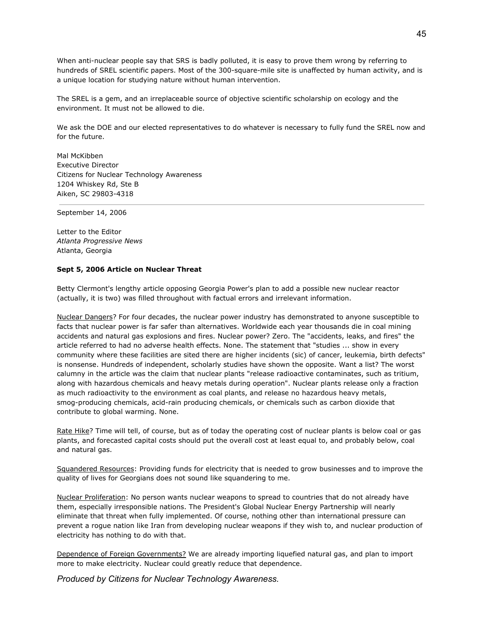When anti-nuclear people say that SRS is badly polluted, it is easy to prove them wrong by referring to hundreds of SREL scientific papers. Most of the 300-square-mile site is unaffected by human activity, and is a unique location for studying nature without human intervention.

The SREL is a gem, and an irreplaceable source of objective scientific scholarship on ecology and the environment. It must not be allowed to die.

We ask the DOE and our elected representatives to do whatever is necessary to fully fund the SREL now and for the future.

Mal McKibben Executive Director Citizens for Nuclear Technology Awareness 1204 Whiskey Rd, Ste B Aiken, SC 29803-4318

September 14, 2006

Letter to the Editor *Atlanta Progressive News* Atlanta, Georgia

## **Sept 5, 2006 Article on Nuclear Threat**

Betty Clermont's lengthy article opposing Georgia Power's plan to add a possible new nuclear reactor (actually, it is two) was filled throughout with factual errors and irrelevant information.

Nuclear Dangers? For four decades, the nuclear power industry has demonstrated to anyone susceptible to facts that nuclear power is far safer than alternatives. Worldwide each year thousands die in coal mining accidents and natural gas explosions and fires. Nuclear power? Zero. The "accidents, leaks, and fires" the article referred to had no adverse health effects. None. The statement that "studies ... show in every community where these facilities are sited there are higher incidents (sic) of cancer, leukemia, birth defects" is nonsense. Hundreds of independent, scholarly studies have shown the opposite. Want a list? The worst calumny in the article was the claim that nuclear plants "release radioactive contaminates, such as tritium, along with hazardous chemicals and heavy metals during operation". Nuclear plants release only a fraction as much radioactivity to the environment as coal plants, and release no hazardous heavy metals, smog-producing chemicals, acid-rain producing chemicals, or chemicals such as carbon dioxide that contribute to global warming. None.

Rate Hike? Time will tell, of course, but as of today the operating cost of nuclear plants is below coal or gas plants, and forecasted capital costs should put the overall cost at least equal to, and probably below, coal and natural gas.

Squandered Resources: Providing funds for electricity that is needed to grow businesses and to improve the quality of lives for Georgians does not sound like squandering to me.

Nuclear Proliferation: No person wants nuclear weapons to spread to countries that do not already have them, especially irresponsible nations. The President's Global Nuclear Energy Partnership will nearly eliminate that threat when fully implemented. Of course, nothing other than international pressure can prevent a rogue nation like Iran from developing nuclear weapons if they wish to, and nuclear production of electricity has nothing to do with that.

Dependence of Foreign Governments? We are already importing liquefied natural gas, and plan to import more to make electricity. Nuclear could greatly reduce that dependence.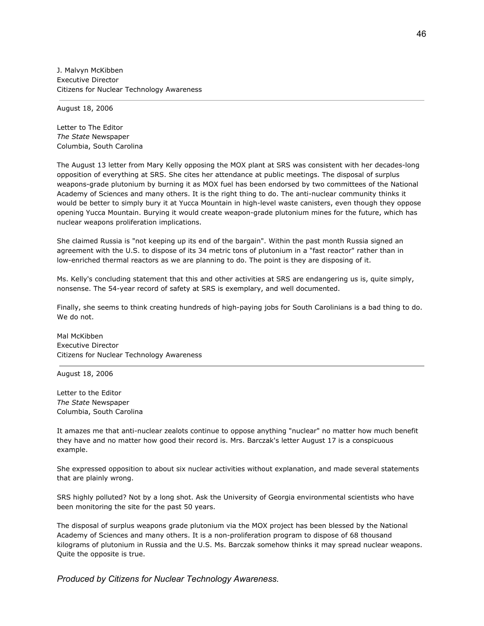J. Malvyn McKibben Executive Director Citizens for Nuclear Technology Awareness

August 18, 2006

Letter to The Editor *The State* Newspaper Columbia, South Carolina

The August 13 letter from Mary Kelly opposing the MOX plant at SRS was consistent with her decades-long opposition of everything at SRS. She cites her attendance at public meetings. The disposal of surplus weapons-grade plutonium by burning it as MOX fuel has been endorsed by two committees of the National Academy of Sciences and many others. It is the right thing to do. The anti-nuclear community thinks it would be better to simply bury it at Yucca Mountain in high-level waste canisters, even though they oppose opening Yucca Mountain. Burying it would create weapon-grade plutonium mines for the future, which has nuclear weapons proliferation implications.

She claimed Russia is "not keeping up its end of the bargain". Within the past month Russia signed an agreement with the U.S. to dispose of its 34 metric tons of plutonium in a "fast reactor" rather than in low-enriched thermal reactors as we are planning to do. The point is they are disposing of it.

Ms. Kelly's concluding statement that this and other activities at SRS are endangering us is, quite simply, nonsense. The 54-year record of safety at SRS is exemplary, and well documented.

Finally, she seems to think creating hundreds of high-paying jobs for South Carolinians is a bad thing to do. We do not.

Mal McKibben Executive Director Citizens for Nuclear Technology Awareness

August 18, 2006

Letter to the Editor *The State* Newspaper Columbia, South Carolina

It amazes me that anti-nuclear zealots continue to oppose anything "nuclear" no matter how much benefit they have and no matter how good their record is. Mrs. Barczak's letter August 17 is a conspicuous example.

She expressed opposition to about six nuclear activities without explanation, and made several statements that are plainly wrong.

SRS highly polluted? Not by a long shot. Ask the University of Georgia environmental scientists who have been monitoring the site for the past 50 years.

The disposal of surplus weapons grade plutonium via the MOX project has been blessed by the National Academy of Sciences and many others. It is a non-proliferation program to dispose of 68 thousand kilograms of plutonium in Russia and the U.S. Ms. Barczak somehow thinks it may spread nuclear weapons. Quite the opposite is true.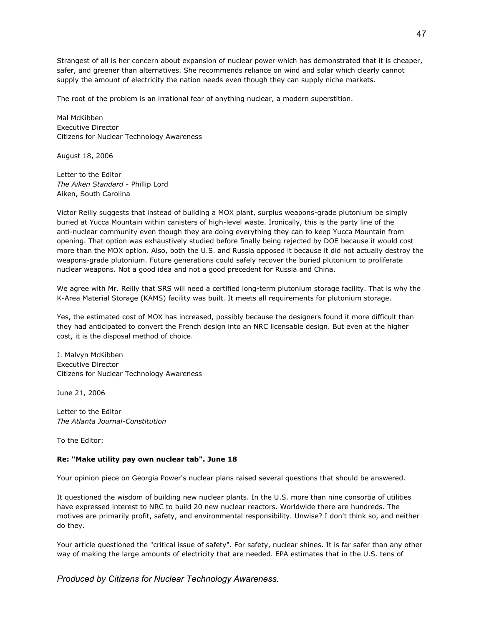Strangest of all is her concern about expansion of nuclear power which has demonstrated that it is cheaper, safer, and greener than alternatives. She recommends reliance on wind and solar which clearly cannot supply the amount of electricity the nation needs even though they can supply niche markets.

The root of the problem is an irrational fear of anything nuclear, a modern superstition.

Mal McKibben Executive Director Citizens for Nuclear Technology Awareness

August 18, 2006

Letter to the Editor *The Aiken Standard* - Phillip Lord Aiken, South Carolina

Victor Reilly suggests that instead of building a MOX plant, surplus weapons-grade plutonium be simply buried at Yucca Mountain within canisters of high-level waste. Ironically, this is the party line of the anti-nuclear community even though they are doing everything they can to keep Yucca Mountain from opening. That option was exhaustively studied before finally being rejected by DOE because it would cost more than the MOX option. Also, both the U.S. and Russia opposed it because it did not actually destroy the weapons-grade plutonium. Future generations could safely recover the buried plutonium to proliferate nuclear weapons. Not a good idea and not a good precedent for Russia and China.

We agree with Mr. Reilly that SRS will need a certified long-term plutonium storage facility. That is why the K-Area Material Storage (KAMS) facility was built. It meets all requirements for plutonium storage.

Yes, the estimated cost of MOX has increased, possibly because the designers found it more difficult than they had anticipated to convert the French design into an NRC licensable design. But even at the higher cost, it is the disposal method of choice.

J. Malvyn McKibben Executive Director Citizens for Nuclear Technology Awareness

June 21, 2006

Letter to the Editor *The Atlanta Journal-Constitution*

To the Editor:

## **Re: "Make utility pay own nuclear tab". June 18**

Your opinion piece on Georgia Power's nuclear plans raised several questions that should be answered.

It questioned the wisdom of building new nuclear plants. In the U.S. more than nine consortia of utilities have expressed interest to NRC to build 20 new nuclear reactors. Worldwide there are hundreds. The motives are primarily profit, safety, and environmental responsibility. Unwise? I don't think so, and neither do they.

Your article questioned the "critical issue of safety". For safety, nuclear shines. It is far safer than any other way of making the large amounts of electricity that are needed. EPA estimates that in the U.S. tens of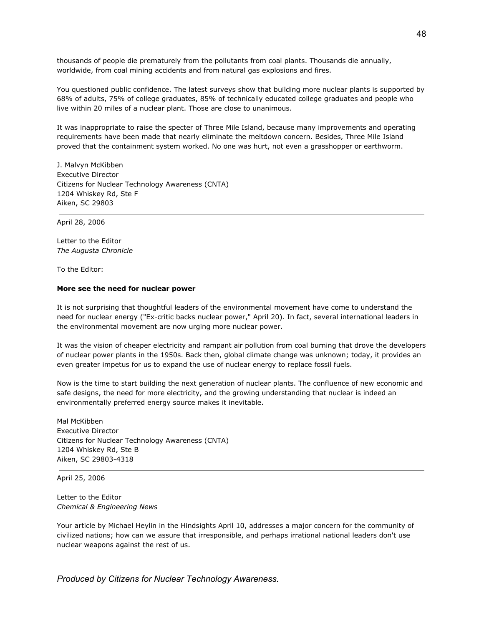thousands of people die prematurely from the pollutants from coal plants. Thousands die annually, worldwide, from coal mining accidents and from natural gas explosions and fires.

You questioned public confidence. The latest surveys show that building more nuclear plants is supported by 68% of adults, 75% of college graduates, 85% of technically educated college graduates and people who live within 20 miles of a nuclear plant. Those are close to unanimous.

It was inappropriate to raise the specter of Three Mile Island, because many improvements and operating requirements have been made that nearly eliminate the meltdown concern. Besides, Three Mile Island proved that the containment system worked. No one was hurt, not even a grasshopper or earthworm.

J. Malvyn McKibben Executive Director Citizens for Nuclear Technology Awareness (CNTA) 1204 Whiskey Rd, Ste F Aiken, SC 29803

April 28, 2006

Letter to the Editor *The Augusta Chronicle*

To the Editor:

#### **More see the need for nuclear power**

It is not surprising that thoughtful leaders of the environmental movement have come to understand the need for nuclear energy ("Ex-critic backs nuclear power," April 20). In fact, several international leaders in the environmental movement are now urging more nuclear power.

It was the vision of cheaper electricity and rampant air pollution from coal burning that drove the developers of nuclear power plants in the 1950s. Back then, global climate change was unknown; today, it provides an even greater impetus for us to expand the use of nuclear energy to replace fossil fuels.

Now is the time to start building the next generation of nuclear plants. The confluence of new economic and safe designs, the need for more electricity, and the growing understanding that nuclear is indeed an environmentally preferred energy source makes it inevitable.

Mal McKibben Executive Director Citizens for Nuclear Technology Awareness (CNTA) 1204 Whiskey Rd, Ste B Aiken, SC 29803-4318

April 25, 2006

Letter to the Editor *Chemical & Engineering News*

Your article by Michael Heylin in the Hindsights April 10, addresses a major concern for the community of civilized nations; how can we assure that irresponsible, and perhaps irrational national leaders don't use nuclear weapons against the rest of us.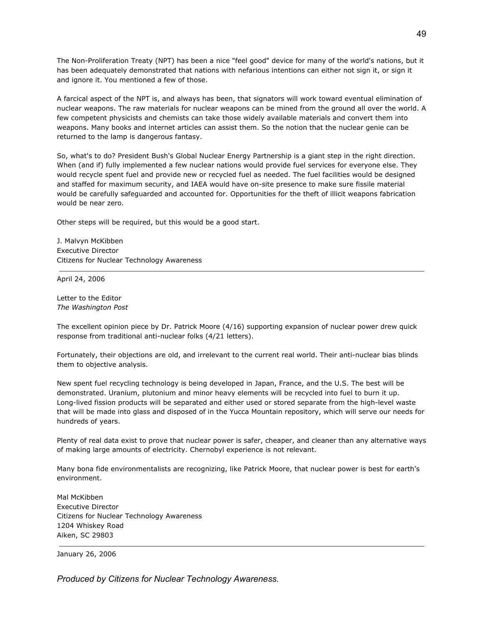The Non-Proliferation Treaty (NPT) has been a nice "feel good" device for many of the world's nations, but it has been adequately demonstrated that nations with nefarious intentions can either not sign it, or sign it and ignore it. You mentioned a few of those.

A farcical aspect of the NPT is, and always has been, that signators will work toward eventual elimination of nuclear weapons. The raw materials for nuclear weapons can be mined from the ground all over the world. A few competent physicists and chemists can take those widely available materials and convert them into weapons. Many books and internet articles can assist them. So the notion that the nuclear genie can be returned to the lamp is dangerous fantasy.

So, what's to do? President Bush's Global Nuclear Energy Partnership is a giant step in the right direction. When (and if) fully implemented a few nuclear nations would provide fuel services for everyone else. They would recycle spent fuel and provide new or recycled fuel as needed. The fuel facilities would be designed and staffed for maximum security, and IAEA would have on-site presence to make sure fissile material would be carefully safeguarded and accounted for. Opportunities for the theft of illicit weapons fabrication would be near zero.

Other steps will be required, but this would be a good start.

J. Malvyn McKibben Executive Director Citizens for Nuclear Technology Awareness

April 24, 2006

Letter to the Editor *The Washington Post*

The excellent opinion piece by Dr. Patrick Moore (4/16) supporting expansion of nuclear power drew quick response from traditional anti-nuclear folks (4/21 letters).

Fortunately, their objections are old, and irrelevant to the current real world. Their anti-nuclear bias blinds them to objective analysis.

New spent fuel recycling technology is being developed in Japan, France, and the U.S. The best will be demonstrated. Uranium, plutonium and minor heavy elements will be recycled into fuel to burn it up. Long-lived fission products will be separated and either used or stored separate from the high-level waste that will be made into glass and disposed of in the Yucca Mountain repository, which will serve our needs for hundreds of years.

Plenty of real data exist to prove that nuclear power is safer, cheaper, and cleaner than any alternative ways of making large amounts of electricity. Chernobyl experience is not relevant.

Many bona fide environmentalists are recognizing, like Patrick Moore, that nuclear power is best for earth's environment.

Mal McKibben Executive Director Citizens for Nuclear Technology Awareness 1204 Whiskey Road Aiken, SC 29803

January 26, 2006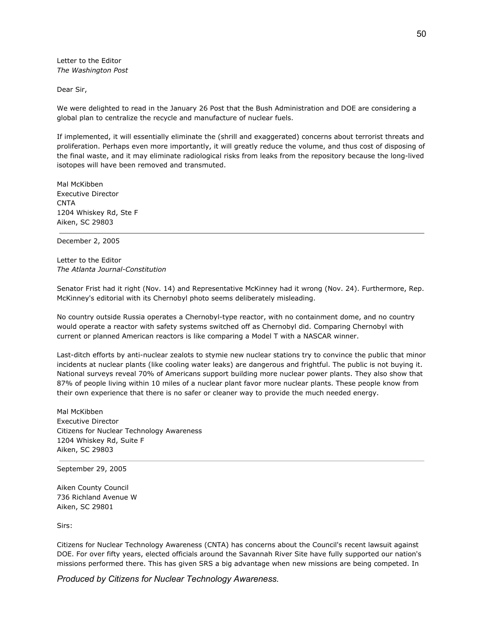Letter to the Editor *The Washington Post*

Dear Sir,

We were delighted to read in the January 26 Post that the Bush Administration and DOE are considering a global plan to centralize the recycle and manufacture of nuclear fuels.

If implemented, it will essentially eliminate the (shrill and exaggerated) concerns about terrorist threats and proliferation. Perhaps even more importantly, it will greatly reduce the volume, and thus cost of disposing of the final waste, and it may eliminate radiological risks from leaks from the repository because the long-lived isotopes will have been removed and transmuted.

Mal McKibben Executive Director CNTA 1204 Whiskey Rd, Ste F Aiken, SC 29803

December 2, 2005

Letter to the Editor *The Atlanta Journal-Constitution*

Senator Frist had it right (Nov. 14) and Representative McKinney had it wrong (Nov. 24). Furthermore, Rep. McKinney's editorial with its Chernobyl photo seems deliberately misleading.

No country outside Russia operates a Chernobyl-type reactor, with no containment dome, and no country would operate a reactor with safety systems switched off as Chernobyl did. Comparing Chernobyl with current or planned American reactors is like comparing a Model T with a NASCAR winner.

Last-ditch efforts by anti-nuclear zealots to stymie new nuclear stations try to convince the public that minor incidents at nuclear plants (like cooling water leaks) are dangerous and frightful. The public is not buying it. National surveys reveal 70% of Americans support building more nuclear power plants. They also show that 87% of people living within 10 miles of a nuclear plant favor more nuclear plants. These people know from their own experience that there is no safer or cleaner way to provide the much needed energy.

Mal McKibben Executive Director Citizens for Nuclear Technology Awareness 1204 Whiskey Rd, Suite F Aiken, SC 29803

September 29, 2005

Aiken County Council 736 Richland Avenue W Aiken, SC 29801

Sirs:

Citizens for Nuclear Technology Awareness (CNTA) has concerns about the Council's recent lawsuit against DOE. For over fifty years, elected officials around the Savannah River Site have fully supported our nation's missions performed there. This has given SRS a big advantage when new missions are being competed. In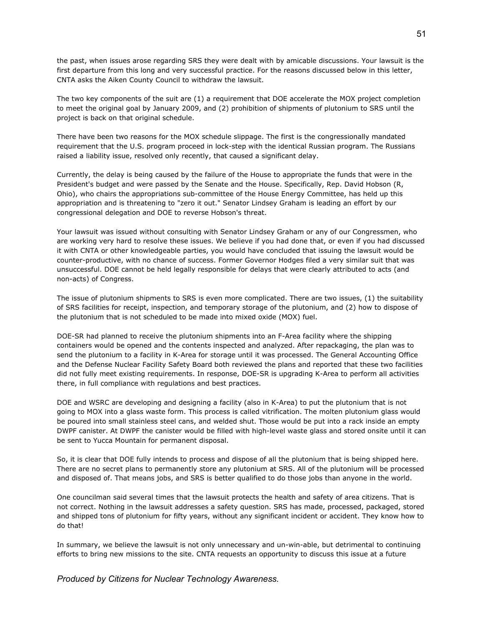the past, when issues arose regarding SRS they were dealt with by amicable discussions. Your lawsuit is the first departure from this long and very successful practice. For the reasons discussed below in this letter, CNTA asks the Aiken County Council to withdraw the lawsuit.

The two key components of the suit are (1) a requirement that DOE accelerate the MOX project completion to meet the original goal by January 2009, and (2) prohibition of shipments of plutonium to SRS until the project is back on that original schedule.

There have been two reasons for the MOX schedule slippage. The first is the congressionally mandated requirement that the U.S. program proceed in lock-step with the identical Russian program. The Russians raised a liability issue, resolved only recently, that caused a significant delay.

Currently, the delay is being caused by the failure of the House to appropriate the funds that were in the President's budget and were passed by the Senate and the House. Specifically, Rep. David Hobson (R, Ohio), who chairs the appropriations sub-committee of the House Energy Committee, has held up this appropriation and is threatening to "zero it out." Senator Lindsey Graham is leading an effort by our congressional delegation and DOE to reverse Hobson's threat.

Your lawsuit was issued without consulting with Senator Lindsey Graham or any of our Congressmen, who are working very hard to resolve these issues. We believe if you had done that, or even if you had discussed it with CNTA or other knowledgeable parties, you would have concluded that issuing the lawsuit would be counter-productive, with no chance of success. Former Governor Hodges filed a very similar suit that was unsuccessful. DOE cannot be held legally responsible for delays that were clearly attributed to acts (and non-acts) of Congress.

The issue of plutonium shipments to SRS is even more complicated. There are two issues, (1) the suitability of SRS facilities for receipt, inspection, and temporary storage of the plutonium, and (2) how to dispose of the plutonium that is not scheduled to be made into mixed oxide (MOX) fuel.

DOE-SR had planned to receive the plutonium shipments into an F-Area facility where the shipping containers would be opened and the contents inspected and analyzed. After repackaging, the plan was to send the plutonium to a facility in K-Area for storage until it was processed. The General Accounting Office and the Defense Nuclear Facility Safety Board both reviewed the plans and reported that these two facilities did not fully meet existing requirements. In response, DOE-SR is upgrading K-Area to perform all activities there, in full compliance with regulations and best practices.

DOE and WSRC are developing and designing a facility (also in K-Area) to put the plutonium that is not going to MOX into a glass waste form. This process is called vitrification. The molten plutonium glass would be poured into small stainless steel cans, and welded shut. Those would be put into a rack inside an empty DWPF canister. At DWPF the canister would be filled with high-level waste glass and stored onsite until it can be sent to Yucca Mountain for permanent disposal.

So, it is clear that DOE fully intends to process and dispose of all the plutonium that is being shipped here. There are no secret plans to permanently store any plutonium at SRS. All of the plutonium will be processed and disposed of. That means jobs, and SRS is better qualified to do those jobs than anyone in the world.

One councilman said several times that the lawsuit protects the health and safety of area citizens. That is not correct. Nothing in the lawsuit addresses a safety question. SRS has made, processed, packaged, stored and shipped tons of plutonium for fifty years, without any significant incident or accident. They know how to do that!

In summary, we believe the lawsuit is not only unnecessary and un-win-able, but detrimental to continuing efforts to bring new missions to the site. CNTA requests an opportunity to discuss this issue at a future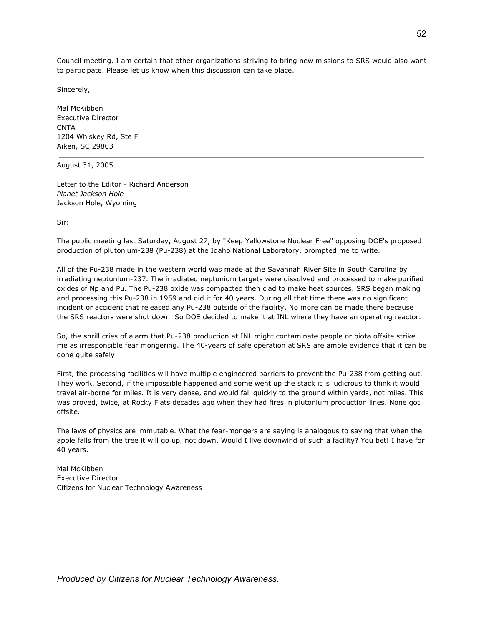Council meeting. I am certain that other organizations striving to bring new missions to SRS would also want to participate. Please let us know when this discussion can take place.

Sincerely,

Mal McKibben Executive Director **CNTA** 1204 Whiskey Rd, Ste F Aiken, SC 29803

August 31, 2005

Letter to the Editor - Richard Anderson *Planet Jackson Hole* Jackson Hole, Wyoming

Sir:

The public meeting last Saturday, August 27, by "Keep Yellowstone Nuclear Free" opposing DOE's proposed production of plutonium-238 (Pu-238) at the Idaho National Laboratory, prompted me to write.

All of the Pu-238 made in the western world was made at the Savannah River Site in South Carolina by irradiating neptunium-237. The irradiated neptunium targets were dissolved and processed to make purified oxides of Np and Pu. The Pu-238 oxide was compacted then clad to make heat sources. SRS began making and processing this Pu-238 in 1959 and did it for 40 years. During all that time there was no significant incident or accident that released any Pu-238 outside of the facility. No more can be made there because the SRS reactors were shut down. So DOE decided to make it at INL where they have an operating reactor.

So, the shrill cries of alarm that Pu-238 production at INL might contaminate people or biota offsite strike me as irresponsible fear mongering. The 40-years of safe operation at SRS are ample evidence that it can be done quite safely.

First, the processing facilities will have multiple engineered barriers to prevent the Pu-238 from getting out. They work. Second, if the impossible happened and some went up the stack it is ludicrous to think it would travel air-borne for miles. It is very dense, and would fall quickly to the ground within yards, not miles. This was proved, twice, at Rocky Flats decades ago when they had fires in plutonium production lines. None got offsite.

The laws of physics are immutable. What the fear-mongers are saying is analogous to saying that when the apple falls from the tree it will go up, not down. Would I live downwind of such a facility? You bet! I have for 40 years.

Mal McKibben Executive Director Citizens for Nuclear Technology Awareness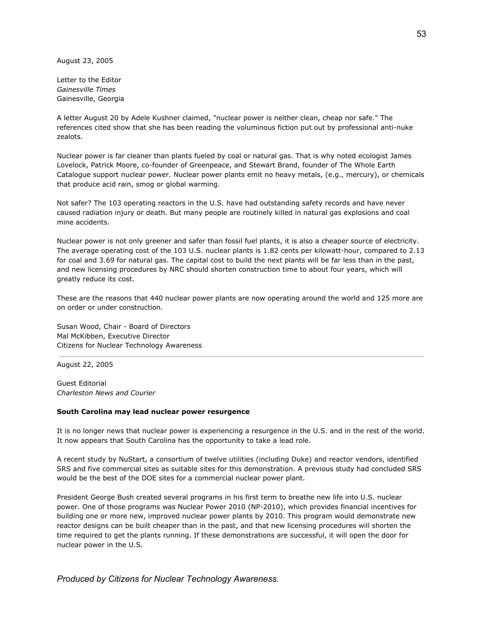August 23, 2005

Letter to the Editor *Gainesville Times* Gainesville, Georgia

A letter August 20 by Adele Kushner claimed, "nuclear power is neither clean, cheap nor safe." The references cited show that she has been reading the voluminous fiction put out by professional anti-nuke zealots.

Nuclear power is far cleaner than plants fueled by coal or natural gas. That is why noted ecologist James Lovelock, Patrick Moore, co-founder of Greenpeace, and Stewart Brand, founder of The Whole Earth Catalogue support nuclear power. Nuclear power plants emit no heavy metals, (e.g., mercury), or chemicals that produce acid rain, smog or global warming.

Not safer? The 103 operating reactors in the U.S. have had outstanding safety records and have never caused radiation injury or death. But many people are routinely killed in natural gas explosions and coal mine accidents.

Nuclear power is not only greener and safer than fossil fuel plants, it is also a cheaper source of electricity. The average operating cost of the 103 U.S. nuclear plants is 1.82 cents per kilowatt-hour, compared to 2.13 for coal and 3.69 for natural gas. The capital cost to build the next plants will be far less than in the past, and new licensing procedures by NRC should shorten construction time to about four years, which will greatly reduce its cost.

These are the reasons that 440 nuclear power plants are now operating around the world and 125 more are on order or under construction.

Susan Wood, Chair - Board of Directors Mal McKibben, Executive Director Citizens for Nuclear Technology Awareness

August 22, 2005

Guest Editorial *Charleston News and Courier*

### **South Carolina may lead nuclear power resurgence**

It is no longer news that nuclear power is experiencing a resurgence in the U.S. and in the rest of the world. It now appears that South Carolina has the opportunity to take a lead role.

A recent study by NuStart, a consortium of twelve utilities (including Duke) and reactor vendors, identified SRS and five commercial sites as suitable sites for this demonstration. A previous study had concluded SRS would be the best of the DOE sites for a commercial nuclear power plant.

President George Bush created several programs in his first term to breathe new life into U.S. nuclear power. One of those programs was Nuclear Power 2010 (NP-2010), which provides financial incentives for building one or more new, improved nuclear power plants by 2010. This program would demonstrate new reactor designs can be built cheaper than in the past, and that new licensing procedures will shorten the time required to get the plants running. If these demonstrations are successful, it will open the door for nuclear power in the U.S.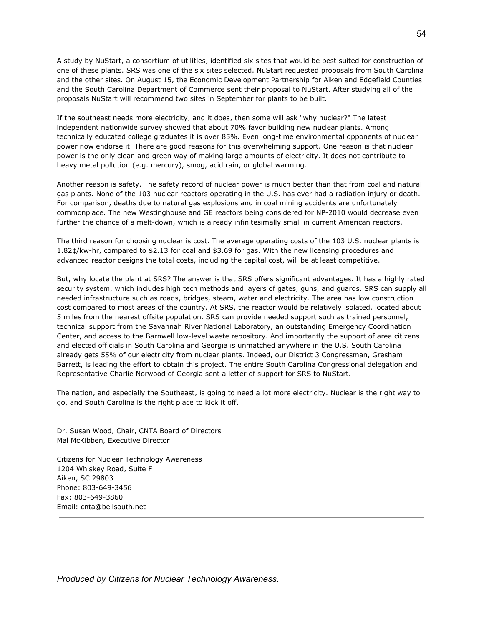A study by NuStart, a consortium of utilities, identified six sites that would be best suited for construction of one of these plants. SRS was one of the six sites selected. NuStart requested proposals from South Carolina and the other sites. On August 15, the Economic Development Partnership for Aiken and Edgefield Counties and the South Carolina Department of Commerce sent their proposal to NuStart. After studying all of the proposals NuStart will recommend two sites in September for plants to be built.

If the southeast needs more electricity, and it does, then some will ask "why nuclear?" The latest independent nationwide survey showed that about 70% favor building new nuclear plants. Among technically educated college graduates it is over 85%. Even long-time environmental opponents of nuclear power now endorse it. There are good reasons for this overwhelming support. One reason is that nuclear power is the only clean and green way of making large amounts of electricity. It does not contribute to heavy metal pollution (e.g. mercury), smog, acid rain, or global warming.

Another reason is safety. The safety record of nuclear power is much better than that from coal and natural gas plants. None of the 103 nuclear reactors operating in the U.S. has ever had a radiation injury or death. For comparison, deaths due to natural gas explosions and in coal mining accidents are unfortunately commonplace. The new Westinghouse and GE reactors being considered for NP-2010 would decrease even further the chance of a melt-down, which is already infinitesimally small in current American reactors.

The third reason for choosing nuclear is cost. The average operating costs of the 103 U.S. nuclear plants is 1.82¢/kw-hr, compared to \$2.13 for coal and \$3.69 for gas. With the new licensing procedures and advanced reactor designs the total costs, including the capital cost, will be at least competitive.

But, why locate the plant at SRS? The answer is that SRS offers significant advantages. It has a highly rated security system, which includes high tech methods and layers of gates, guns, and guards. SRS can supply all needed infrastructure such as roads, bridges, steam, water and electricity. The area has low construction cost compared to most areas of the country. At SRS, the reactor would be relatively isolated, located about 5 miles from the nearest offsite population. SRS can provide needed support such as trained personnel, technical support from the Savannah River National Laboratory, an outstanding Emergency Coordination Center, and access to the Barnwell low-level waste repository. And importantly the support of area citizens and elected officials in South Carolina and Georgia is unmatched anywhere in the U.S. South Carolina already gets 55% of our electricity from nuclear plants. Indeed, our District 3 Congressman, Gresham Barrett, is leading the effort to obtain this project. The entire South Carolina Congressional delegation and Representative Charlie Norwood of Georgia sent a letter of support for SRS to NuStart.

The nation, and especially the Southeast, is going to need a lot more electricity. Nuclear is the right way to go, and South Carolina is the right place to kick it off.

Dr. Susan Wood, Chair, CNTA Board of Directors Mal McKibben, Executive Director

Citizens for Nuclear Technology Awareness 1204 Whiskey Road, Suite F Aiken, SC 29803 Phone: 803-649-3456 Fax: 803-649-3860 Email: cnta@bellsouth.net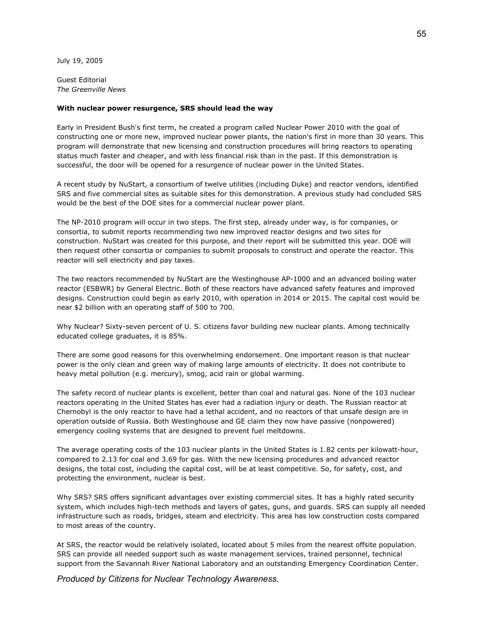July 19, 2005

Guest Editorial *The Greenville News*

### **With nuclear power resurgence, SRS should lead the way**

Early in President Bush's first term, he created a program called Nuclear Power 2010 with the goal of constructing one or more new, improved nuclear power plants, the nation's first in more than 30 years. This program will demonstrate that new licensing and construction procedures will bring reactors to operating status much faster and cheaper, and with less financial risk than in the past. If this demonstration is successful, the door will be opened for a resurgence of nuclear power in the United States.

A recent study by NuStart, a consortium of twelve utilities (including Duke) and reactor vendors, identified SRS and five commercial sites as suitable sites for this demonstration. A previous study had concluded SRS would be the best of the DOE sites for a commercial nuclear power plant.

The NP-2010 program will occur in two steps. The first step, already under way, is for companies, or consortia, to submit reports recommending two new improved reactor designs and two sites for construction. NuStart was created for this purpose, and their report will be submitted this year. DOE will then request other consortia or companies to submit proposals to construct and operate the reactor. This reactor will sell electricity and pay taxes.

The two reactors recommended by NuStart are the Westinghouse AP-1000 and an advanced boiling water reactor (ESBWR) by General Electric. Both of these reactors have advanced safety features and improved designs. Construction could begin as early 2010, with operation in 2014 or 2015. The capital cost would be near \$2 billion with an operating staff of 500 to 700.

Why Nuclear? Sixty-seven percent of U. S. citizens favor building new nuclear plants. Among technically educated college graduates, it is 85%.

There are some good reasons for this overwhelming endorsement. One important reason is that nuclear power is the only clean and green way of making large amounts of electricity. It does not contribute to heavy metal pollution (e.g. mercury), smog, acid rain or global warming.

The safety record of nuclear plants is excellent, better than coal and natural gas. None of the 103 nuclear reactors operating in the United States has ever had a radiation injury or death. The Russian reactor at Chernobyl is the only reactor to have had a lethal accident, and no reactors of that unsafe design are in operation outside of Russia. Both Westinghouse and GE claim they now have passive (nonpowered) emergency cooling systems that are designed to prevent fuel meltdowns.

The average operating costs of the 103 nuclear plants in the United States is 1.82 cents per kilowatt-hour, compared to 2.13 for coal and 3.69 for gas. With the new licensing procedures and advanced reactor designs, the total cost, including the capital cost, will be at least competitive. So, for safety, cost, and protecting the environment, nuclear is best.

Why SRS? SRS offers significant advantages over existing commercial sites. It has a highly rated security system, which includes high-tech methods and layers of gates, guns, and guards. SRS can supply all needed infrastructure such as roads, bridges, steam and electricity. This area has low construction costs compared to most areas of the country.

At SRS, the reactor would be relatively isolated, located about 5 miles from the nearest offsite population. SRS can provide all needed support such as waste management services, trained personnel, technical support from the Savannah River National Laboratory and an outstanding Emergency Coordination Center.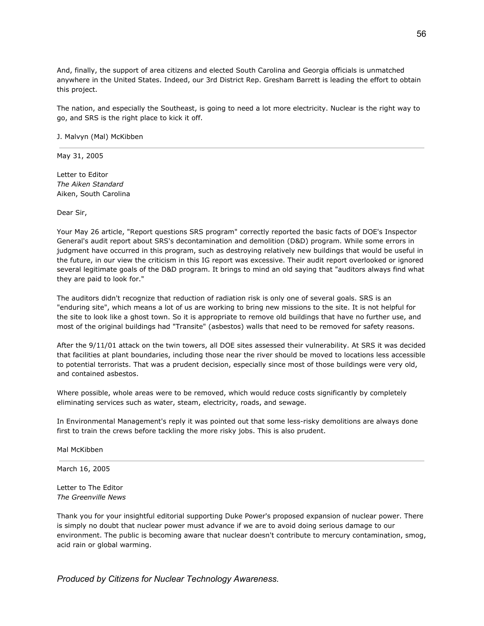And, finally, the support of area citizens and elected South Carolina and Georgia officials is unmatched anywhere in the United States. Indeed, our 3rd District Rep. Gresham Barrett is leading the effort to obtain this project.

The nation, and especially the Southeast, is going to need a lot more electricity. Nuclear is the right way to go, and SRS is the right place to kick it off.

J. Malvyn (Mal) McKibben

May 31, 2005

Letter to Editor *The Aiken Standard* Aiken, South Carolina

Dear Sir,

Your May 26 article, "Report questions SRS program" correctly reported the basic facts of DOE's Inspector General's audit report about SRS's decontamination and demolition (D&D) program. While some errors in judgment have occurred in this program, such as destroying relatively new buildings that would be useful in the future, in our view the criticism in this IG report was excessive. Their audit report overlooked or ignored several legitimate goals of the D&D program. It brings to mind an old saying that "auditors always find what they are paid to look for."

The auditors didn't recognize that reduction of radiation risk is only one of several goals. SRS is an "enduring site", which means a lot of us are working to bring new missions to the site. It is not helpful for the site to look like a ghost town. So it is appropriate to remove old buildings that have no further use, and most of the original buildings had "Transite" (asbestos) walls that need to be removed for safety reasons.

After the 9/11/01 attack on the twin towers, all DOE sites assessed their vulnerability. At SRS it was decided that facilities at plant boundaries, including those near the river should be moved to locations less accessible to potential terrorists. That was a prudent decision, especially since most of those buildings were very old, and contained asbestos.

Where possible, whole areas were to be removed, which would reduce costs significantly by completely eliminating services such as water, steam, electricity, roads, and sewage.

In Environmental Management's reply it was pointed out that some less-risky demolitions are always done first to train the crews before tackling the more risky jobs. This is also prudent.

Mal McKibben

March 16, 2005

Letter to The Editor *The Greenville News*

Thank you for your insightful editorial supporting Duke Power's proposed expansion of nuclear power. There is simply no doubt that nuclear power must advance if we are to avoid doing serious damage to our environment. The public is becoming aware that nuclear doesn't contribute to mercury contamination, smog, acid rain or global warming.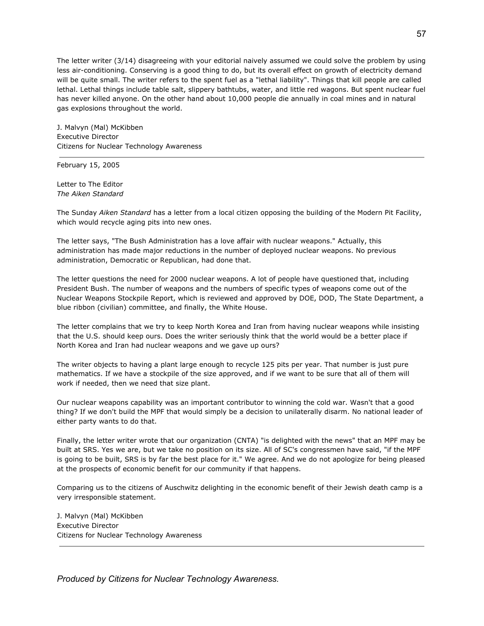The letter writer (3/14) disagreeing with your editorial naively assumed we could solve the problem by using less air-conditioning. Conserving is a good thing to do, but its overall effect on growth of electricity demand will be quite small. The writer refers to the spent fuel as a "lethal liability". Things that kill people are called lethal. Lethal things include table salt, slippery bathtubs, water, and little red wagons. But spent nuclear fuel has never killed anyone. On the other hand about 10,000 people die annually in coal mines and in natural gas explosions throughout the world.

J. Malvyn (Mal) McKibben Executive Director Citizens for Nuclear Technology Awareness

February 15, 2005

Letter to The Editor *The Aiken Standard*

The Sunday *Aiken Standard* has a letter from a local citizen opposing the building of the Modern Pit Facility, which would recycle aging pits into new ones.

The letter says, "The Bush Administration has a love affair with nuclear weapons." Actually, this administration has made major reductions in the number of deployed nuclear weapons. No previous administration, Democratic or Republican, had done that.

The letter questions the need for 2000 nuclear weapons. A lot of people have questioned that, including President Bush. The number of weapons and the numbers of specific types of weapons come out of the Nuclear Weapons Stockpile Report, which is reviewed and approved by DOE, DOD, The State Department, a blue ribbon (civilian) committee, and finally, the White House.

The letter complains that we try to keep North Korea and Iran from having nuclear weapons while insisting that the U.S. should keep ours. Does the writer seriously think that the world would be a better place if North Korea and Iran had nuclear weapons and we gave up ours?

The writer objects to having a plant large enough to recycle 125 pits per year. That number is just pure mathematics. If we have a stockpile of the size approved, and if we want to be sure that all of them will work if needed, then we need that size plant.

Our nuclear weapons capability was an important contributor to winning the cold war. Wasn't that a good thing? If we don't build the MPF that would simply be a decision to unilaterally disarm. No national leader of either party wants to do that.

Finally, the letter writer wrote that our organization (CNTA) "is delighted with the news" that an MPF may be built at SRS. Yes we are, but we take no position on its size. All of SC's congressmen have said, "if the MPF is going to be built, SRS is by far the best place for it." We agree. And we do not apologize for being pleased at the prospects of economic benefit for our community if that happens.

Comparing us to the citizens of Auschwitz delighting in the economic benefit of their Jewish death camp is a very irresponsible statement.

J. Malvyn (Mal) McKibben Executive Director Citizens for Nuclear Technology Awareness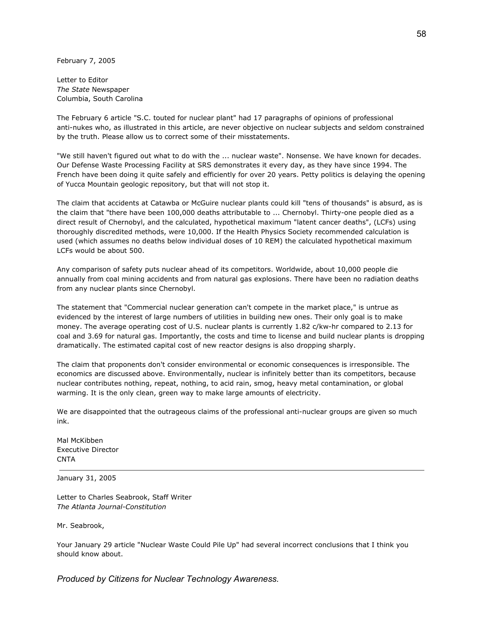February 7, 2005

Letter to Editor *The State* Newspaper Columbia, South Carolina

The February 6 article "S.C. touted for nuclear plant" had 17 paragraphs of opinions of professional anti-nukes who, as illustrated in this article, are never objective on nuclear subjects and seldom constrained by the truth. Please allow us to correct some of their misstatements.

"We still haven't figured out what to do with the ... nuclear waste". Nonsense. We have known for decades. Our Defense Waste Processing Facility at SRS demonstrates it every day, as they have since 1994. The French have been doing it quite safely and efficiently for over 20 years. Petty politics is delaying the opening of Yucca Mountain geologic repository, but that will not stop it.

The claim that accidents at Catawba or McGuire nuclear plants could kill "tens of thousands" is absurd, as is the claim that "there have been 100,000 deaths attributable to ... Chernobyl. Thirty-one people died as a direct result of Chernobyl, and the calculated, hypothetical maximum "latent cancer deaths", (LCFs) using thoroughly discredited methods, were 10,000. If the Health Physics Society recommended calculation is used (which assumes no deaths below individual doses of 10 REM) the calculated hypothetical maximum LCFs would be about 500.

Any comparison of safety puts nuclear ahead of its competitors. Worldwide, about 10,000 people die annually from coal mining accidents and from natural gas explosions. There have been no radiation deaths from any nuclear plants since Chernobyl.

The statement that "Commercial nuclear generation can't compete in the market place," is untrue as evidenced by the interest of large numbers of utilities in building new ones. Their only goal is to make money. The average operating cost of U.S. nuclear plants is currently 1.82 c/kw-hr compared to 2.13 for coal and 3.69 for natural gas. Importantly, the costs and time to license and build nuclear plants is dropping dramatically. The estimated capital cost of new reactor designs is also dropping sharply.

The claim that proponents don't consider environmental or economic consequences is irresponsible. The economics are discussed above. Environmentally, nuclear is infinitely better than its competitors, because nuclear contributes nothing, repeat, nothing, to acid rain, smog, heavy metal contamination, or global warming. It is the only clean, green way to make large amounts of electricity.

We are disappointed that the outrageous claims of the professional anti-nuclear groups are given so much ink.

Mal McKibben Executive Director **CNTA** 

January 31, 2005

Letter to Charles Seabrook, Staff Writer *The Atlanta Journal-Constitution*

Mr. Seabrook,

Your January 29 article "Nuclear Waste Could Pile Up" had several incorrect conclusions that I think you should know about.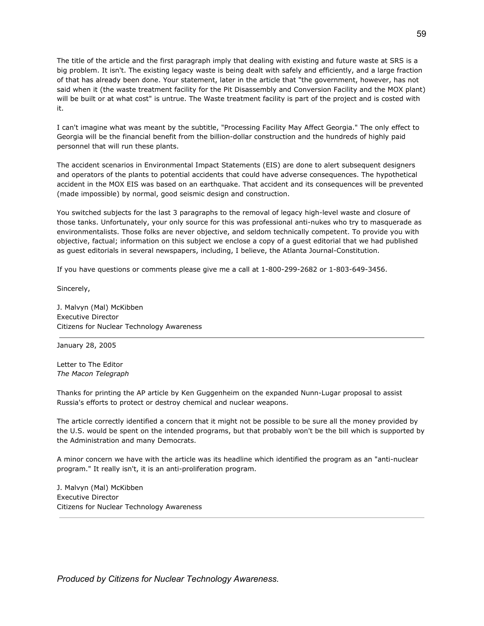The title of the article and the first paragraph imply that dealing with existing and future waste at SRS is a big problem. It isn't. The existing legacy waste is being dealt with safely and efficiently, and a large fraction of that has already been done. Your statement, later in the article that "the government, however, has not said when it (the waste treatment facility for the Pit Disassembly and Conversion Facility and the MOX plant) will be built or at what cost" is untrue. The Waste treatment facility is part of the project and is costed with it.

I can't imagine what was meant by the subtitle, "Processing Facility May Affect Georgia." The only effect to Georgia will be the financial benefit from the billion-dollar construction and the hundreds of highly paid personnel that will run these plants.

The accident scenarios in Environmental Impact Statements (EIS) are done to alert subsequent designers and operators of the plants to potential accidents that could have adverse consequences. The hypothetical accident in the MOX EIS was based on an earthquake. That accident and its consequences will be prevented (made impossible) by normal, good seismic design and construction.

You switched subjects for the last 3 paragraphs to the removal of legacy high-level waste and closure of those tanks. Unfortunately, your only source for this was professional anti-nukes who try to masquerade as environmentalists. Those folks are never objective, and seldom technically competent. To provide you with objective, factual; information on this subject we enclose a copy of a guest editorial that we had published as guest editorials in several newspapers, including, I believe, the Atlanta Journal-Constitution.

If you have questions or comments please give me a call at 1-800-299-2682 or 1-803-649-3456.

Sincerely,

J. Malvyn (Mal) McKibben Executive Director Citizens for Nuclear Technology Awareness

January 28, 2005

Letter to The Editor *The Macon Telegraph*

Thanks for printing the AP article by Ken Guggenheim on the expanded Nunn-Lugar proposal to assist Russia's efforts to protect or destroy chemical and nuclear weapons.

The article correctly identified a concern that it might not be possible to be sure all the money provided by the U.S. would be spent on the intended programs, but that probably won't be the bill which is supported by the Administration and many Democrats.

A minor concern we have with the article was its headline which identified the program as an "anti-nuclear program." It really isn't, it is an anti-proliferation program.

J. Malvyn (Mal) McKibben Executive Director Citizens for Nuclear Technology Awareness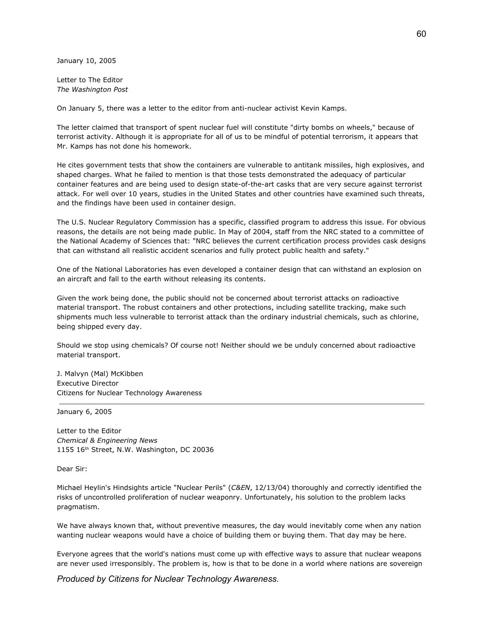January 10, 2005

Letter to The Editor *The Washington Post*

On January 5, there was a letter to the editor from anti-nuclear activist Kevin Kamps.

The letter claimed that transport of spent nuclear fuel will constitute "dirty bombs on wheels," because of terrorist activity. Although it is appropriate for all of us to be mindful of potential terrorism, it appears that Mr. Kamps has not done his homework.

He cites government tests that show the containers are vulnerable to antitank missiles, high explosives, and shaped charges. What he failed to mention is that those tests demonstrated the adequacy of particular container features and are being used to design state-of-the-art casks that are very secure against terrorist attack. For well over 10 years, studies in the United States and other countries have examined such threats, and the findings have been used in container design.

The U.S. Nuclear Regulatory Commission has a specific, classified program to address this issue. For obvious reasons, the details are not being made public. In May of 2004, staff from the NRC stated to a committee of the National Academy of Sciences that: "NRC believes the current certification process provides cask designs that can withstand all realistic accident scenarios and fully protect public health and safety."

One of the National Laboratories has even developed a container design that can withstand an explosion on an aircraft and fall to the earth without releasing its contents.

Given the work being done, the public should not be concerned about terrorist attacks on radioactive material transport. The robust containers and other protections, including satellite tracking, make such shipments much less vulnerable to terrorist attack than the ordinary industrial chemicals, such as chlorine, being shipped every day.

Should we stop using chemicals? Of course not! Neither should we be unduly concerned about radioactive material transport.

J. Malvyn (Mal) McKibben Executive Director Citizens for Nuclear Technology Awareness

January 6, 2005

Letter to the Editor *Chemical & Engineering News* 1155 16 th Street, N.W. Washington, DC 20036

Dear Sir:

Michael Heylin's Hindsights article "Nuclear Perils" (*C&EN*, 12/13/04) thoroughly and correctly identified the risks of uncontrolled proliferation of nuclear weaponry. Unfortunately, his solution to the problem lacks pragmatism.

We have always known that, without preventive measures, the day would inevitably come when any nation wanting nuclear weapons would have a choice of building them or buying them. That day may be here.

Everyone agrees that the world's nations must come up with effective ways to assure that nuclear weapons are never used irresponsibly. The problem is, how is that to be done in a world where nations are sovereign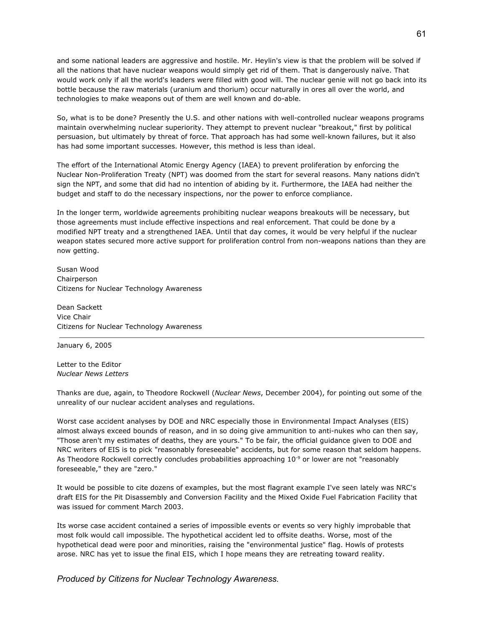and some national leaders are aggressive and hostile. Mr. Heylin's view is that the problem will be solved if all the nations that have nuclear weapons would simply get rid of them. That is dangerously naïve. That would work only if all the world's leaders were filled with good will. The nuclear genie will not go back into its bottle because the raw materials (uranium and thorium) occur naturally in ores all over the world, and technologies to make weapons out of them are well known and do-able.

So, what is to be done? Presently the U.S. and other nations with well-controlled nuclear weapons programs maintain overwhelming nuclear superiority. They attempt to prevent nuclear "breakout," first by political persuasion, but ultimately by threat of force. That approach has had some well-known failures, but it also has had some important successes. However, this method is less than ideal.

The effort of the International Atomic Energy Agency (IAEA) to prevent proliferation by enforcing the Nuclear Non-Proliferation Treaty (NPT) was doomed from the start for several reasons. Many nations didn't sign the NPT, and some that did had no intention of abiding by it. Furthermore, the IAEA had neither the budget and staff to do the necessary inspections, nor the power to enforce compliance.

In the longer term, worldwide agreements prohibiting nuclear weapons breakouts will be necessary, but those agreements must include effective inspections and real enforcement. That could be done by a modified NPT treaty and a strengthened IAEA. Until that day comes, it would be very helpful if the nuclear weapon states secured more active support for proliferation control from non-weapons nations than they are now getting.

Susan Wood Chairperson Citizens for Nuclear Technology Awareness

Dean Sackett Vice Chair Citizens for Nuclear Technology Awareness

January 6, 2005

Letter to the Editor *Nuclear News Letters*

Thanks are due, again, to Theodore Rockwell (*Nuclear News*, December 2004), for pointing out some of the unreality of our nuclear accident analyses and regulations.

Worst case accident analyses by DOE and NRC especially those in Environmental Impact Analyses (EIS) almost always exceed bounds of reason, and in so doing give ammunition to anti-nukes who can then say, "Those aren't my estimates of deaths, they are yours." To be fair, the official guidance given to DOE and NRC writers of EIS is to pick "reasonably foreseeable" accidents, but for some reason that seldom happens. As Theodore Rockwell correctly concludes probabilities approaching  $10^{\degree}$  or lower are not "reasonably foreseeable," they are "zero."

It would be possible to cite dozens of examples, but the most flagrant example I've seen lately was NRC's draft EIS for the Pit Disassembly and Conversion Facility and the Mixed Oxide Fuel Fabrication Facility that was issued for comment March 2003.

Its worse case accident contained a series of impossible events or events so very highly improbable that most folk would call impossible. The hypothetical accident led to offsite deaths. Worse, most of the hypothetical dead were poor and minorities, raising the "environmental justice" flag. Howls of protests arose. NRC has yet to issue the final EIS, which I hope means they are retreating toward reality.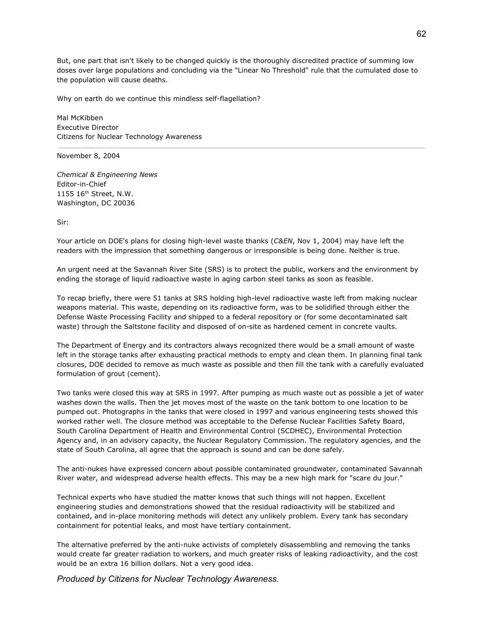But, one part that isn't likely to be changed quickly is the thoroughly discredited practice of summing low doses over large populations and concluding via the "Linear No Threshold" rule that the cumulated dose to the population will cause deaths.

Why on earth do we continue this mindless self-flagellation?

Mal McKibben Executive Director Citizens for Nuclear Technology Awareness

November 8, 2004

*Chemical & Engineering News* Editor-in-Chief 1155 16 th Street, N.W. Washington, DC 20036

Sir:

Your article on DOE's plans for closing high-level waste thanks (*C&EN*, Nov 1, 2004) may have left the readers with the impression that something dangerous or irresponsible is being done. Neither is true.

An urgent need at the Savannah River Site (SRS) is to protect the public, workers and the environment by ending the storage of liquid radioactive waste in aging carbon steel tanks as soon as feasible.

To recap briefly, there were 51 tanks at SRS holding high-level radioactive waste left from making nuclear weapons material. This waste, depending on its radioactive form, was to be solidified through either the Defense Waste Processing Facility and shipped to a federal repository or (for some decontaminated salt waste) through the Saltstone facility and disposed of on-site as hardened cement in concrete vaults.

The Department of Energy and its contractors always recognized there would be a small amount of waste left in the storage tanks after exhausting practical methods to empty and clean them. In planning final tank closures, DOE decided to remove as much waste as possible and then fill the tank with a carefully evaluated formulation of grout (cement).

Two tanks were closed this way at SRS in 1997. After pumping as much waste out as possible a jet of water washes down the walls. Then the jet moves most of the waste on the tank bottom to one location to be pumped out. Photographs in the tanks that were closed in 1997 and various engineering tests showed this worked rather well. The closure method was acceptable to the Defense Nuclear Facilities Safety Board, South Carolina Department of Health and Environmental Control (SCDHEC), Environmental Protection Agency and, in an advisory capacity, the Nuclear Regulatory Commission. The regulatory agencies, and the state of South Carolina, all agree that the approach is sound and can be done safely.

The anti-nukes have expressed concern about possible contaminated groundwater, contaminated Savannah River water, and widespread adverse health effects. This may be a new high mark for "scare du jour."

Technical experts who have studied the matter knows that such things will not happen. Excellent engineering studies and demonstrations showed that the residual radioactivity will be stabilized and contained, and in-place monitoring methods will detect any unlikely problem. Every tank has secondary containment for potential leaks, and most have tertiary containment.

The alternative preferred by the anti-nuke activists of completely disassembling and removing the tanks would create far greater radiation to workers, and much greater risks of leaking radioactivity, and the cost would be an extra 16 billion dollars. Not a very good idea.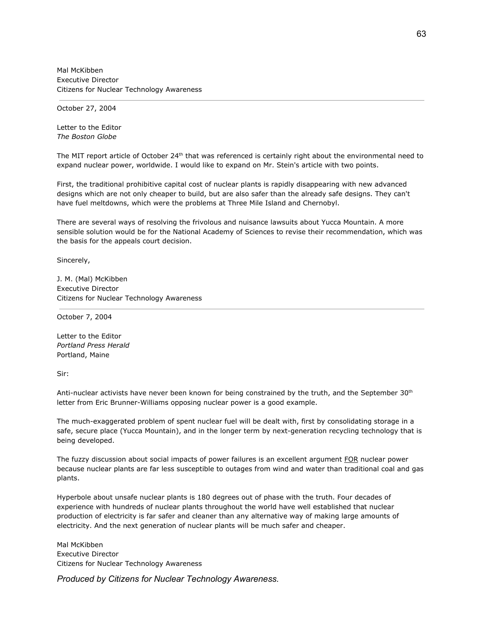Mal McKibben Executive Director Citizens for Nuclear Technology Awareness

October 27, 2004

Letter to the Editor *The Boston Globe*

The MIT report article of October 24<sup>th</sup> that was referenced is certainly right about the environmental need to expand nuclear power, worldwide. I would like to expand on Mr. Stein's article with two points.

First, the traditional prohibitive capital cost of nuclear plants is rapidly disappearing with new advanced designs which are not only cheaper to build, but are also safer than the already safe designs. They can't have fuel meltdowns, which were the problems at Three Mile Island and Chernobyl.

There are several ways of resolving the frivolous and nuisance lawsuits about Yucca Mountain. A more sensible solution would be for the National Academy of Sciences to revise their recommendation, which was the basis for the appeals court decision.

Sincerely,

J. M. (Mal) McKibben Executive Director Citizens for Nuclear Technology Awareness

October 7, 2004

Letter to the Editor *Portland Press Herald* Portland, Maine

Sir:

Anti-nuclear activists have never been known for being constrained by the truth, and the September 30<sup>th</sup> letter from Eric Brunner-Williams opposing nuclear power is a good example.

The much-exaggerated problem of spent nuclear fuel will be dealt with, first by consolidating storage in a safe, secure place (Yucca Mountain), and in the longer term by next-generation recycling technology that is being developed.

The fuzzy discussion about social impacts of power failures is an excellent argument FOR nuclear power because nuclear plants are far less susceptible to outages from wind and water than traditional coal and gas plants.

Hyperbole about unsafe nuclear plants is 180 degrees out of phase with the truth. Four decades of experience with hundreds of nuclear plants throughout the world have well established that nuclear production of electricity is far safer and cleaner than any alternative way of making large amounts of electricity. And the next generation of nuclear plants will be much safer and cheaper.

Mal McKibben Executive Director Citizens for Nuclear Technology Awareness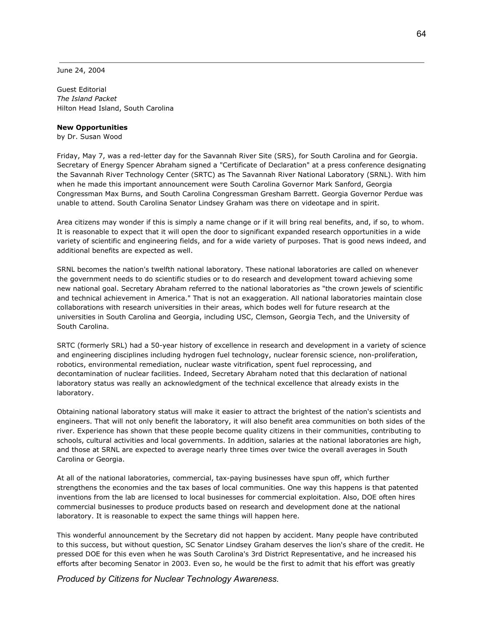June 24, 2004

Guest Editorial *The Island Packet* Hilton Head Island, South Carolina

### **New Opportunities**

by Dr. Susan Wood

Friday, May 7, was a red-letter day for the Savannah River Site (SRS), for South Carolina and for Georgia. Secretary of Energy Spencer Abraham signed a "Certificate of Declaration" at a press conference designating the Savannah River Technology Center (SRTC) as The Savannah River National Laboratory (SRNL). With him when he made this important announcement were South Carolina Governor Mark Sanford, Georgia Congressman Max Burns, and South Carolina Congressman Gresham Barrett. Georgia Governor Perdue was unable to attend. South Carolina Senator Lindsey Graham was there on videotape and in spirit.

Area citizens may wonder if this is simply a name change or if it will bring real benefits, and, if so, to whom. It is reasonable to expect that it will open the door to significant expanded research opportunities in a wide variety of scientific and engineering fields, and for a wide variety of purposes. That is good news indeed, and additional benefits are expected as well.

SRNL becomes the nation's twelfth national laboratory. These national laboratories are called on whenever the government needs to do scientific studies or to do research and development toward achieving some new national goal. Secretary Abraham referred to the national laboratories as "the crown jewels of scientific and technical achievement in America." That is not an exaggeration. All national laboratories maintain close collaborations with research universities in their areas, which bodes well for future research at the universities in South Carolina and Georgia, including USC, Clemson, Georgia Tech, and the University of South Carolina.

SRTC (formerly SRL) had a 50-year history of excellence in research and development in a variety of science and engineering disciplines including hydrogen fuel technology, nuclear forensic science, non-proliferation, robotics, environmental remediation, nuclear waste vitrification, spent fuel reprocessing, and decontamination of nuclear facilities. Indeed, Secretary Abraham noted that this declaration of national laboratory status was really an acknowledgment of the technical excellence that already exists in the laboratory.

Obtaining national laboratory status will make it easier to attract the brightest of the nation's scientists and engineers. That will not only benefit the laboratory, it will also benefit area communities on both sides of the river. Experience has shown that these people become quality citizens in their communities, contributing to schools, cultural activities and local governments. In addition, salaries at the national laboratories are high, and those at SRNL are expected to average nearly three times over twice the overall averages in South Carolina or Georgia.

At all of the national laboratories, commercial, tax-paying businesses have spun off, which further strengthens the economies and the tax bases of local communities. One way this happens is that patented inventions from the lab are licensed to local businesses for commercial exploitation. Also, DOE often hires commercial businesses to produce products based on research and development done at the national laboratory. It is reasonable to expect the same things will happen here.

This wonderful announcement by the Secretary did not happen by accident. Many people have contributed to this success, but without question, SC Senator Lindsey Graham deserves the lion's share of the credit. He pressed DOE for this even when he was South Carolina's 3rd District Representative, and he increased his efforts after becoming Senator in 2003. Even so, he would be the first to admit that his effort was greatly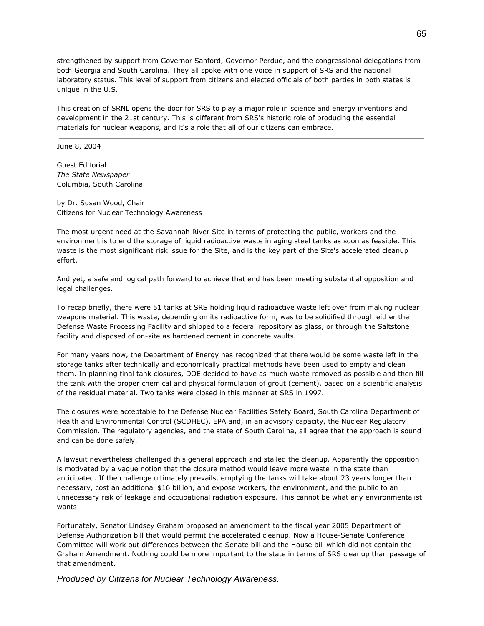strengthened by support from Governor Sanford, Governor Perdue, and the congressional delegations from both Georgia and South Carolina. They all spoke with one voice in support of SRS and the national laboratory status. This level of support from citizens and elected officials of both parties in both states is unique in the U.S.

This creation of SRNL opens the door for SRS to play a major role in science and energy inventions and development in the 21st century. This is different from SRS's historic role of producing the essential materials for nuclear weapons, and it's a role that all of our citizens can embrace.

### June 8, 2004

Guest Editorial *The State Newspaper* Columbia, South Carolina

by Dr. Susan Wood, Chair Citizens for Nuclear Technology Awareness

The most urgent need at the Savannah River Site in terms of protecting the public, workers and the environment is to end the storage of liquid radioactive waste in aging steel tanks as soon as feasible. This waste is the most significant risk issue for the Site, and is the key part of the Site's accelerated cleanup effort.

And yet, a safe and logical path forward to achieve that end has been meeting substantial opposition and legal challenges.

To recap briefly, there were 51 tanks at SRS holding liquid radioactive waste left over from making nuclear weapons material. This waste, depending on its radioactive form, was to be solidified through either the Defense Waste Processing Facility and shipped to a federal repository as glass, or through the Saltstone facility and disposed of on-site as hardened cement in concrete vaults.

For many years now, the Department of Energy has recognized that there would be some waste left in the storage tanks after technically and economically practical methods have been used to empty and clean them. In planning final tank closures, DOE decided to have as much waste removed as possible and then fill the tank with the proper chemical and physical formulation of grout (cement), based on a scientific analysis of the residual material. Two tanks were closed in this manner at SRS in 1997.

The closures were acceptable to the Defense Nuclear Facilities Safety Board, South Carolina Department of Health and Environmental Control (SCDHEC), EPA and, in an advisory capacity, the Nuclear Regulatory Commission. The regulatory agencies, and the state of South Carolina, all agree that the approach is sound and can be done safely.

A lawsuit nevertheless challenged this general approach and stalled the cleanup. Apparently the opposition is motivated by a vague notion that the closure method would leave more waste in the state than anticipated. If the challenge ultimately prevails, emptying the tanks will take about 23 years longer than necessary, cost an additional \$16 billion, and expose workers, the environment, and the public to an unnecessary risk of leakage and occupational radiation exposure. This cannot be what any environmentalist wants.

Fortunately, Senator Lindsey Graham proposed an amendment to the fiscal year 2005 Department of Defense Authorization bill that would permit the accelerated cleanup. Now a House-Senate Conference Committee will work out differences between the Senate bill and the House bill which did not contain the Graham Amendment. Nothing could be more important to the state in terms of SRS cleanup than passage of that amendment.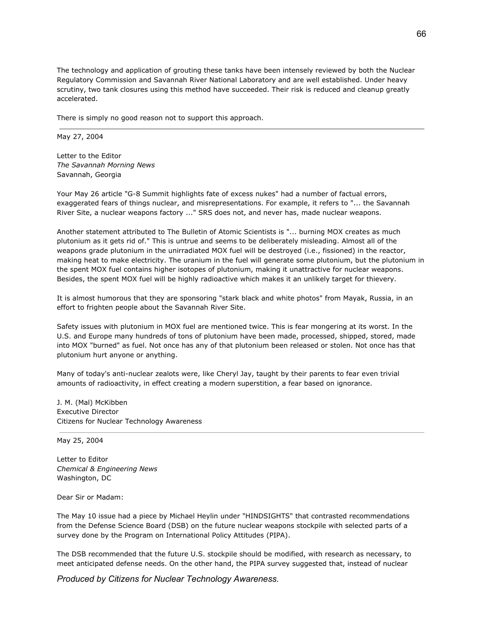The technology and application of grouting these tanks have been intensely reviewed by both the Nuclear Regulatory Commission and Savannah River National Laboratory and are well established. Under heavy scrutiny, two tank closures using this method have succeeded. Their risk is reduced and cleanup greatly accelerated.

There is simply no good reason not to support this approach.

May 27, 2004

Letter to the Editor *The Savannah Morning News* Savannah, Georgia

Your May 26 article "G-8 Summit highlights fate of excess nukes" had a number of factual errors, exaggerated fears of things nuclear, and misrepresentations. For example, it refers to "... the Savannah River Site, a nuclear weapons factory ..." SRS does not, and never has, made nuclear weapons.

Another statement attributed to The Bulletin of Atomic Scientists is "... burning MOX creates as much plutonium as it gets rid of." This is untrue and seems to be deliberately misleading. Almost all of the weapons grade plutonium in the unirradiated MOX fuel will be destroyed (i.e., fissioned) in the reactor, making heat to make electricity. The uranium in the fuel will generate some plutonium, but the plutonium in the spent MOX fuel contains higher isotopes of plutonium, making it unattractive for nuclear weapons. Besides, the spent MOX fuel will be highly radioactive which makes it an unlikely target for thievery.

It is almost humorous that they are sponsoring "stark black and white photos" from Mayak, Russia, in an effort to frighten people about the Savannah River Site.

Safety issues with plutonium in MOX fuel are mentioned twice. This is fear mongering at its worst. In the U.S. and Europe many hundreds of tons of plutonium have been made, processed, shipped, stored, made into MOX "burned" as fuel. Not once has any of that plutonium been released or stolen. Not once has that plutonium hurt anyone or anything.

Many of today's anti-nuclear zealots were, like Cheryl Jay, taught by their parents to fear even trivial amounts of radioactivity, in effect creating a modern superstition, a fear based on ignorance.

J. M. (Mal) McKibben Executive Director Citizens for Nuclear Technology Awareness

May 25, 2004

Letter to Editor *Chemical & Engineering News* Washington, DC

Dear Sir or Madam:

The May 10 issue had a piece by Michael Heylin under "HINDSIGHTS" that contrasted recommendations from the Defense Science Board (DSB) on the future nuclear weapons stockpile with selected parts of a survey done by the Program on International Policy Attitudes (PIPA).

The DSB recommended that the future U.S. stockpile should be modified, with research as necessary, to meet anticipated defense needs. On the other hand, the PIPA survey suggested that, instead of nuclear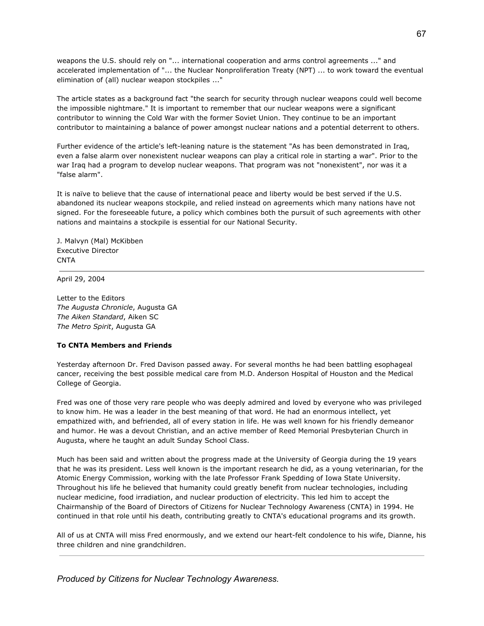weapons the U.S. should rely on "... international cooperation and arms control agreements ..." and accelerated implementation of "... the Nuclear Nonproliferation Treaty (NPT) ... to work toward the eventual elimination of (all) nuclear weapon stockpiles ..."

The article states as a background fact "the search for security through nuclear weapons could well become the impossible nightmare." It is important to remember that our nuclear weapons were a significant contributor to winning the Cold War with the former Soviet Union. They continue to be an important contributor to maintaining a balance of power amongst nuclear nations and a potential deterrent to others.

Further evidence of the article's left-leaning nature is the statement "As has been demonstrated in Iraq, even a false alarm over nonexistent nuclear weapons can play a critical role in starting a war". Prior to the war Iraq had a program to develop nuclear weapons. That program was not "nonexistent", nor was it a "false alarm".

It is naïve to believe that the cause of international peace and liberty would be best served if the U.S. abandoned its nuclear weapons stockpile, and relied instead on agreements which many nations have not signed. For the foreseeable future, a policy which combines both the pursuit of such agreements with other nations and maintains a stockpile is essential for our National Security.

J. Malvyn (Mal) McKibben Executive Director CNTA

April 29, 2004

Letter to the Editors *The Augusta Chronicle*, Augusta GA *The Aiken Standard*, Aiken SC *The Metro Spirit*, Augusta GA

# **To CNTA Members and Friends**

Yesterday afternoon Dr. Fred Davison passed away. For several months he had been battling esophageal cancer, receiving the best possible medical care from M.D. Anderson Hospital of Houston and the Medical College of Georgia.

Fred was one of those very rare people who was deeply admired and loved by everyone who was privileged to know him. He was a leader in the best meaning of that word. He had an enormous intellect, yet empathized with, and befriended, all of every station in life. He was well known for his friendly demeanor and humor. He was a devout Christian, and an active member of Reed Memorial Presbyterian Church in Augusta, where he taught an adult Sunday School Class.

Much has been said and written about the progress made at the University of Georgia during the 19 years that he was its president. Less well known is the important research he did, as a young veterinarian, for the Atomic Energy Commission, working with the late Professor Frank Spedding of Iowa State University. Throughout his life he believed that humanity could greatly benefit from nuclear technologies, including nuclear medicine, food irradiation, and nuclear production of electricity. This led him to accept the Chairmanship of the Board of Directors of Citizens for Nuclear Technology Awareness (CNTA) in 1994. He continued in that role until his death, contributing greatly to CNTA's educational programs and its growth.

All of us at CNTA will miss Fred enormously, and we extend our heart-felt condolence to his wife, Dianne, his three children and nine grandchildren.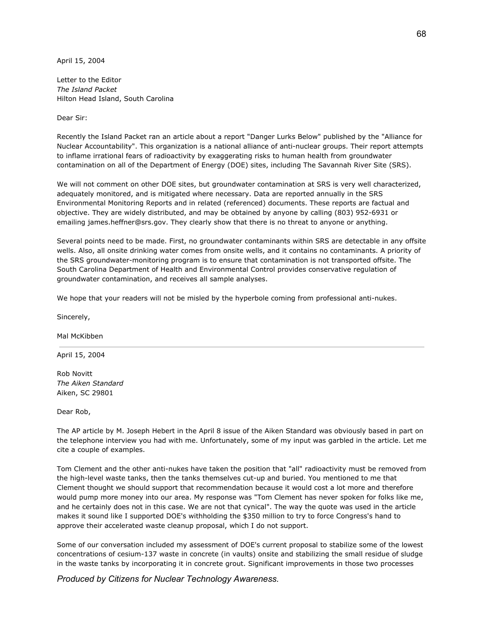April 15, 2004

Letter to the Editor *The Island Packet* Hilton Head Island, South Carolina

Dear Sir:

Recently the Island Packet ran an article about a report "Danger Lurks Below" published by the "Alliance for Nuclear Accountability". This organization is a national alliance of anti-nuclear groups. Their report attempts to inflame irrational fears of radioactivity by exaggerating risks to human health from groundwater contamination on all of the Department of Energy (DOE) sites, including The Savannah River Site (SRS).

We will not comment on other DOE sites, but groundwater contamination at SRS is very well characterized, adequately monitored, and is mitigated where necessary. Data are reported annually in the SRS Environmental Monitoring Reports and in related (referenced) documents. These reports are factual and objective. They are widely distributed, and may be obtained by anyone by calling (803) 952-6931 or emailing james.heffner@srs.gov. They clearly show that there is no threat to anyone or anything.

Several points need to be made. First, no groundwater contaminants within SRS are detectable in any offsite wells. Also, all onsite drinking water comes from onsite wells, and it contains no contaminants. A priority of the SRS groundwater-monitoring program is to ensure that contamination is not transported offsite. The South Carolina Department of Health and Environmental Control provides conservative regulation of groundwater contamination, and receives all sample analyses.

We hope that your readers will not be misled by the hyperbole coming from professional anti-nukes.

Sincerely,

Mal McKibben

April 15, 2004

Rob Novitt *The Aiken Standard* Aiken, SC 29801

Dear Rob,

The AP article by M. Joseph Hebert in the April 8 issue of the Aiken Standard was obviously based in part on the telephone interview you had with me. Unfortunately, some of my input was garbled in the article. Let me cite a couple of examples.

Tom Clement and the other anti-nukes have taken the position that "all" radioactivity must be removed from the high-level waste tanks, then the tanks themselves cut-up and buried. You mentioned to me that Clement thought we should support that recommendation because it would cost a lot more and therefore would pump more money into our area. My response was "Tom Clement has never spoken for folks like me, and he certainly does not in this case. We are not that cynical". The way the quote was used in the article makes it sound like I supported DOE's withholding the \$350 million to try to force Congress's hand to approve their accelerated waste cleanup proposal, which I do not support.

Some of our conversation included my assessment of DOE's current proposal to stabilize some of the lowest concentrations of cesium-137 waste in concrete (in vaults) onsite and stabilizing the small residue of sludge in the waste tanks by incorporating it in concrete grout. Significant improvements in those two processes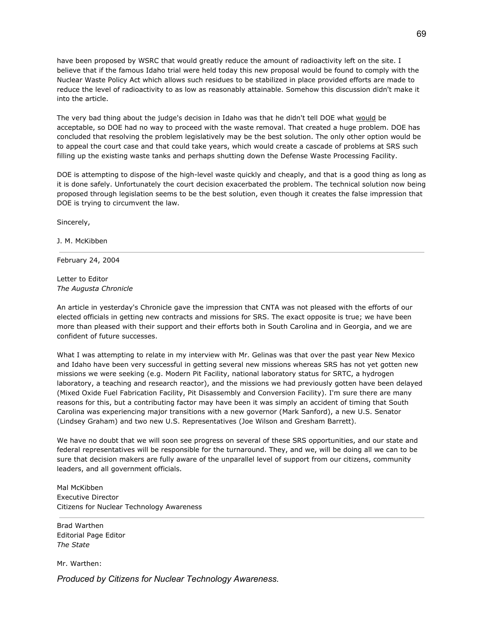have been proposed by WSRC that would greatly reduce the amount of radioactivity left on the site. I believe that if the famous Idaho trial were held today this new proposal would be found to comply with the Nuclear Waste Policy Act which allows such residues to be stabilized in place provided efforts are made to reduce the level of radioactivity to as low as reasonably attainable. Somehow this discussion didn't make it into the article.

The very bad thing about the judge's decision in Idaho was that he didn't tell DOE what would be acceptable, so DOE had no way to proceed with the waste removal. That created a huge problem. DOE has concluded that resolving the problem legislatively may be the best solution. The only other option would be to appeal the court case and that could take years, which would create a cascade of problems at SRS such filling up the existing waste tanks and perhaps shutting down the Defense Waste Processing Facility.

DOE is attempting to dispose of the high-level waste quickly and cheaply, and that is a good thing as long as it is done safely. Unfortunately the court decision exacerbated the problem. The technical solution now being proposed through legislation seems to be the best solution, even though it creates the false impression that DOE is trying to circumvent the law.

Sincerely,

J. M. McKibben

February 24, 2004

Letter to Editor *The Augusta Chronicle*

An article in yesterday's Chronicle gave the impression that CNTA was not pleased with the efforts of our elected officials in getting new contracts and missions for SRS. The exact opposite is true; we have been more than pleased with their support and their efforts both in South Carolina and in Georgia, and we are confident of future successes.

What I was attempting to relate in my interview with Mr. Gelinas was that over the past year New Mexico and Idaho have been very successful in getting several new missions whereas SRS has not yet gotten new missions we were seeking (e.g. Modern Pit Facility, national laboratory status for SRTC, a hydrogen laboratory, a teaching and research reactor), and the missions we had previously gotten have been delayed (Mixed Oxide Fuel Fabrication Facility, Pit Disassembly and Conversion Facility). I'm sure there are many reasons for this, but a contributing factor may have been it was simply an accident of timing that South Carolina was experiencing major transitions with a new governor (Mark Sanford), a new U.S. Senator (Lindsey Graham) and two new U.S. Representatives (Joe Wilson and Gresham Barrett).

We have no doubt that we will soon see progress on several of these SRS opportunities, and our state and federal representatives will be responsible for the turnaround. They, and we, will be doing all we can to be sure that decision makers are fully aware of the unparallel level of support from our citizens, community leaders, and all government officials.

Mal McKibben Executive Director Citizens for Nuclear Technology Awareness

Brad Warthen Editorial Page Editor *The State*

Mr. Warthen: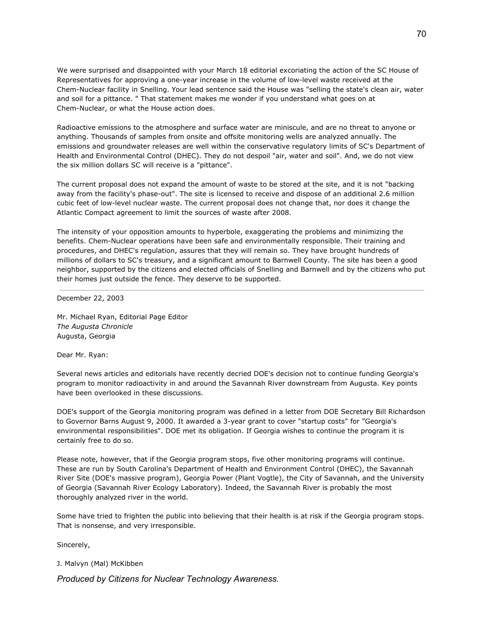We were surprised and disappointed with your March 18 editorial excoriating the action of the SC House of Representatives for approving a one-year increase in the volume of low-level waste received at the Chem-Nuclear facility in Snelling. Your lead sentence said the House was "selling the state's clean air, water and soil for a pittance. " That statement makes me wonder if you understand what goes on at Chem-Nuclear, or what the House action does.

Radioactive emissions to the atmosphere and surface water are miniscule, and are no threat to anyone or anything. Thousands of samples from onsite and offsite monitoring wells are analyzed annually. The emissions and groundwater releases are well within the conservative regulatory limits of SC's Department of Health and Environmental Control (DHEC). They do not despoil "air, water and soil". And, we do not view the six million dollars SC will receive is a "pittance".

The current proposal does not expand the amount of waste to be stored at the site, and it is not "backing away from the facility's phase-out". The site is licensed to receive and dispose of an additional 2.6 million cubic feet of low-level nuclear waste. The current proposal does not change that, nor does it change the Atlantic Compact agreement to limit the sources of waste after 2008.

The intensity of your opposition amounts to hyperbole, exaggerating the problems and minimizing the benefits. Chem-Nuclear operations have been safe and environmentally responsible. Their training and procedures, and DHEC's regulation, assures that they will remain so. They have brought hundreds of millions of dollars to SC's treasury, and a significant amount to Barnwell County. The site has been a good neighbor, supported by the citizens and elected officials of Snelling and Barnwell and by the citizens who put their homes just outside the fence. They deserve to be supported.

December 22, 2003

Mr. Michael Ryan, Editorial Page Editor *The Augusta Chronicle* Augusta, Georgia

Dear Mr. Ryan:

Several news articles and editorials have recently decried DOE's decision not to continue funding Georgia's program to monitor radioactivity in and around the Savannah River downstream from Augusta. Key points have been overlooked in these discussions.

DOE's support of the Georgia monitoring program was defined in a letter from DOE Secretary Bill Richardson to Governor Barns August 9, 2000. It awarded a 3-year grant to cover "startup costs" for "Georgia's environmental responsibilities". DOE met its obligation. If Georgia wishes to continue the program it is certainly free to do so.

Please note, however, that if the Georgia program stops, five other monitoring programs will continue. These are run by South Carolina's Department of Health and Environment Control (DHEC), the Savannah River Site (DOE's massive program), Georgia Power (Plant Vogtle), the City of Savannah, and the University of Georgia (Savannah River Ecology Laboratory). Indeed, the Savannah River is probably the most thoroughly analyzed river in the world.

Some have tried to frighten the public into believing that their health is at risk if the Georgia program stops. That is nonsense, and very irresponsible.

Sincerely,

J. Malvyn (Mal) McKibben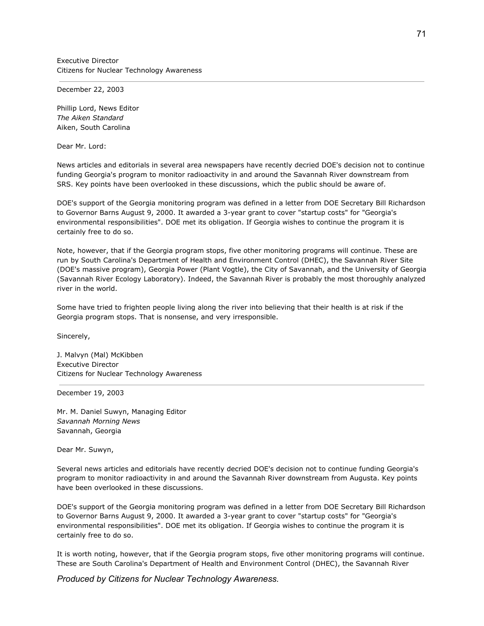Executive Director Citizens for Nuclear Technology Awareness

December 22, 2003

Phillip Lord, News Editor *The Aiken Standard* Aiken, South Carolina

Dear Mr. Lord:

News articles and editorials in several area newspapers have recently decried DOE's decision not to continue funding Georgia's program to monitor radioactivity in and around the Savannah River downstream from SRS. Key points have been overlooked in these discussions, which the public should be aware of.

DOE's support of the Georgia monitoring program was defined in a letter from DOE Secretary Bill Richardson to Governor Barns August 9, 2000. It awarded a 3-year grant to cover "startup costs" for "Georgia's environmental responsibilities". DOE met its obligation. If Georgia wishes to continue the program it is certainly free to do so.

Note, however, that if the Georgia program stops, five other monitoring programs will continue. These are run by South Carolina's Department of Health and Environment Control (DHEC), the Savannah River Site (DOE's massive program), Georgia Power (Plant Vogtle), the City of Savannah, and the University of Georgia (Savannah River Ecology Laboratory). Indeed, the Savannah River is probably the most thoroughly analyzed river in the world.

Some have tried to frighten people living along the river into believing that their health is at risk if the Georgia program stops. That is nonsense, and very irresponsible.

Sincerely,

J. Malvyn (Mal) McKibben Executive Director Citizens for Nuclear Technology Awareness

December 19, 2003

Mr. M. Daniel Suwyn, Managing Editor *Savannah Morning News* Savannah, Georgia

Dear Mr. Suwyn,

Several news articles and editorials have recently decried DOE's decision not to continue funding Georgia's program to monitor radioactivity in and around the Savannah River downstream from Augusta. Key points have been overlooked in these discussions.

DOE's support of the Georgia monitoring program was defined in a letter from DOE Secretary Bill Richardson to Governor Barns August 9, 2000. It awarded a 3-year grant to cover "startup costs" for "Georgia's environmental responsibilities". DOE met its obligation. If Georgia wishes to continue the program it is certainly free to do so.

It is worth noting, however, that if the Georgia program stops, five other monitoring programs will continue. These are South Carolina's Department of Health and Environment Control (DHEC), the Savannah River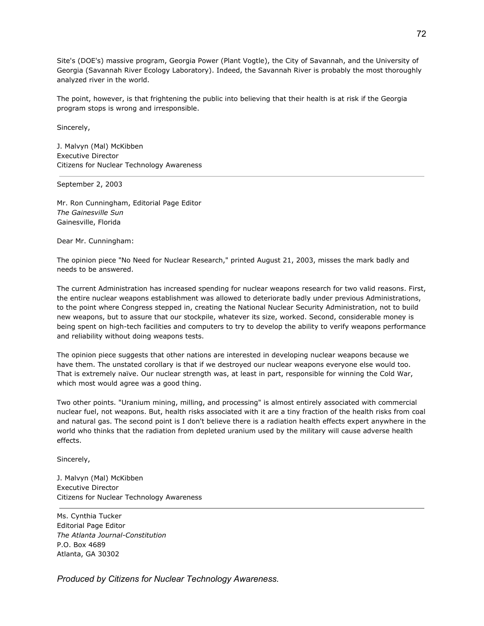Site's (DOE's) massive program, Georgia Power (Plant Vogtle), the City of Savannah, and the University of Georgia (Savannah River Ecology Laboratory). Indeed, the Savannah River is probably the most thoroughly analyzed river in the world.

The point, however, is that frightening the public into believing that their health is at risk if the Georgia program stops is wrong and irresponsible.

Sincerely,

J. Malvyn (Mal) McKibben Executive Director Citizens for Nuclear Technology Awareness

September 2, 2003

Mr. Ron Cunningham, Editorial Page Editor *The Gainesville Sun* Gainesville, Florida

Dear Mr. Cunningham:

The opinion piece "No Need for Nuclear Research," printed August 21, 2003, misses the mark badly and needs to be answered.

The current Administration has increased spending for nuclear weapons research for two valid reasons. First, the entire nuclear weapons establishment was allowed to deteriorate badly under previous Administrations, to the point where Congress stepped in, creating the National Nuclear Security Administration, not to build new weapons, but to assure that our stockpile, whatever its size, worked. Second, considerable money is being spent on high-tech facilities and computers to try to develop the ability to verify weapons performance and reliability without doing weapons tests.

The opinion piece suggests that other nations are interested in developing nuclear weapons because we have them. The unstated corollary is that if we destroyed our nuclear weapons everyone else would too. That is extremely naïve. Our nuclear strength was, at least in part, responsible for winning the Cold War, which most would agree was a good thing.

Two other points. "Uranium mining, milling, and processing" is almost entirely associated with commercial nuclear fuel, not weapons. But, health risks associated with it are a tiny fraction of the health risks from coal and natural gas. The second point is I don't believe there is a radiation health effects expert anywhere in the world who thinks that the radiation from depleted uranium used by the military will cause adverse health effects.

Sincerely,

J. Malvyn (Mal) McKibben Executive Director Citizens for Nuclear Technology Awareness

Ms. Cynthia Tucker Editorial Page Editor *The Atlanta Journal-Constitution* P.O. Box 4689 Atlanta, GA 30302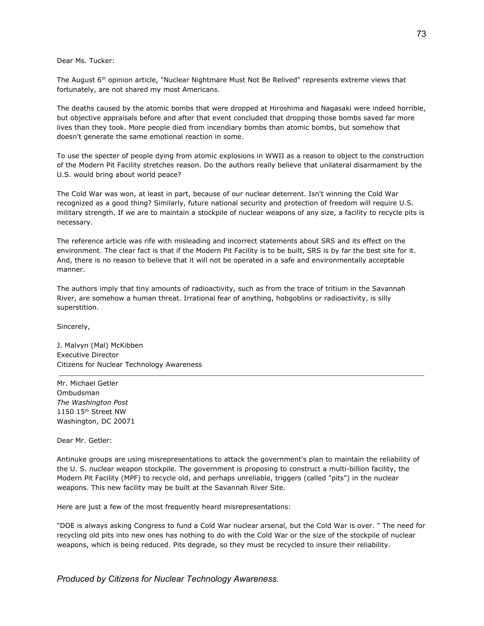Dear Ms. Tucker:

The August 6<sup>th</sup> opinion article, "Nuclear Nightmare Must Not Be Relived" represents extreme views that fortunately, are not shared my most Americans.

The deaths caused by the atomic bombs that were dropped at Hiroshima and Nagasaki were indeed horrible, but objective appraisals before and after that event concluded that dropping those bombs saved far more lives than they took. More people died from incendiary bombs than atomic bombs, but somehow that doesn't generate the same emotional reaction in some.

To use the specter of people dying from atomic explosions in WWII as a reason to object to the construction of the Modern Pit Facility stretches reason. Do the authors really believe that unilateral disarmament by the U.S. would bring about world peace?

The Cold War was won, at least in part, because of our nuclear deterrent. Isn't winning the Cold War recognized as a good thing? Similarly, future national security and protection of freedom will require U.S. military strength. If we are to maintain a stockpile of nuclear weapons of any size, a facility to recycle pits is necessary.

The reference article was rife with misleading and incorrect statements about SRS and its effect on the environment. The clear fact is that if the Modern Pit Facility is to be built, SRS is by far the best site for it. And, there is no reason to believe that it will not be operated in a safe and environmentally acceptable manner.

The authors imply that tiny amounts of radioactivity, such as from the trace of tritium in the Savannah River, are somehow a human threat. Irrational fear of anything, hobgoblins or radioactivity, is silly superstition.

Sincerely,

J. Malvyn (Mal) McKibben Executive Director Citizens for Nuclear Technology Awareness

Mr. Michael Getler Ombudsman *The Washington Post* 1150 15 th Street NW Washington, DC 20071

Dear Mr. Getler:

Antinuke groups are using misrepresentations to attack the government's plan to maintain the reliability of the U. S. nuclear weapon stockpile. The government is proposing to construct a multi-billion facility, the Modern Pit Facility (MPF) to recycle old, and perhaps unreliable, triggers (called "pits") in the nuclear weapons. This new facility may be built at the Savannah River Site.

Here are just a few of the most frequently heard misrepresentations:

"DOE is always asking Congress to fund a Cold War nuclear arsenal, but the Cold War is over. " The need for recycling old pits into new ones has nothing to do with the Cold War or the size of the stockpile of nuclear weapons, which is being reduced. Pits degrade, so they must be recycled to insure their reliability.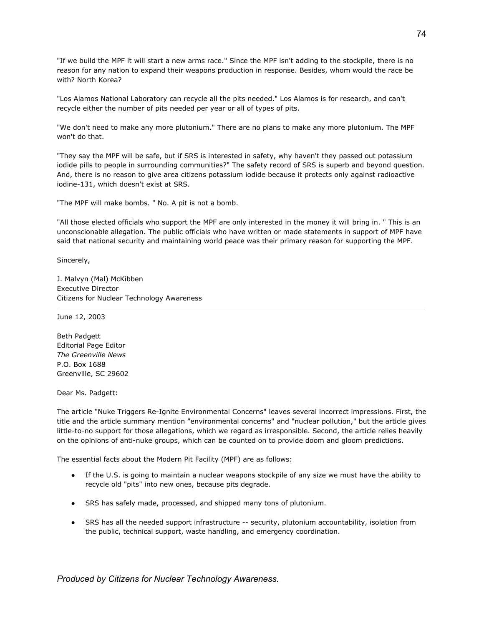"If we build the MPF it will start a new arms race." Since the MPF isn't adding to the stockpile, there is no reason for any nation to expand their weapons production in response. Besides, whom would the race be with? North Korea?

"Los Alamos National Laboratory can recycle all the pits needed." Los Alamos is for research, and can't recycle either the number of pits needed per year or all of types of pits.

"We don't need to make any more plutonium." There are no plans to make any more plutonium. The MPF won't do that.

"They say the MPF will be safe, but if SRS is interested in safety, why haven't they passed out potassium iodide pills to people in surrounding communities?" The safety record of SRS is superb and beyond question. And, there is no reason to give area citizens potassium iodide because it protects only against radioactive iodine-131, which doesn't exist at SRS.

"The MPF will make bombs. " No. A pit is not a bomb.

"All those elected officials who support the MPF are only interested in the money it will bring in. " This is an unconscionable allegation. The public officials who have written or made statements in support of MPF have said that national security and maintaining world peace was their primary reason for supporting the MPF.

Sincerely,

J. Malvyn (Mal) McKibben Executive Director Citizens for Nuclear Technology Awareness

June 12, 2003

Beth Padgett Editorial Page Editor *The Greenville News* P.O. Box 1688 Greenville, SC 29602

Dear Ms. Padgett:

The article "Nuke Triggers Re-Ignite Environmental Concerns" leaves several incorrect impressions. First, the title and the article summary mention "environmental concerns" and "nuclear pollution," but the article gives little-to-no support for those allegations, which we regard as irresponsible. Second, the article relies heavily on the opinions of anti-nuke groups, which can be counted on to provide doom and gloom predictions.

The essential facts about the Modern Pit Facility (MPF) are as follows:

- If the U.S. is going to maintain a nuclear weapons stockpile of any size we must have the ability to recycle old "pits" into new ones, because pits degrade.
- SRS has safely made, processed, and shipped many tons of plutonium.
- SRS has all the needed support infrastructure -- security, plutonium accountability, isolation from the public, technical support, waste handling, and emergency coordination.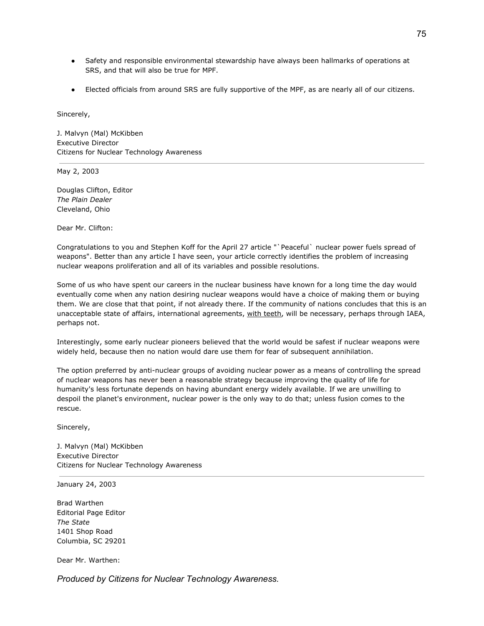- Safety and responsible environmental stewardship have always been hallmarks of operations at SRS, and that will also be true for MPF.
- Elected officials from around SRS are fully supportive of the MPF, as are nearly all of our citizens.

Sincerely,

J. Malvyn (Mal) McKibben Executive Director Citizens for Nuclear Technology Awareness

May 2, 2003

Douglas Clifton, Editor *The Plain Dealer* Cleveland, Ohio

Dear Mr. Clifton:

Congratulations to you and Stephen Koff for the April 27 article "`Peaceful` nuclear power fuels spread of weapons". Better than any article I have seen, your article correctly identifies the problem of increasing nuclear weapons proliferation and all of its variables and possible resolutions.

Some of us who have spent our careers in the nuclear business have known for a long time the day would eventually come when any nation desiring nuclear weapons would have a choice of making them or buying them. We are close that that point, if not already there. If the community of nations concludes that this is an unacceptable state of affairs, international agreements, with teeth, will be necessary, perhaps through IAEA, perhaps not.

Interestingly, some early nuclear pioneers believed that the world would be safest if nuclear weapons were widely held, because then no nation would dare use them for fear of subsequent annihilation.

The option preferred by anti-nuclear groups of avoiding nuclear power as a means of controlling the spread of nuclear weapons has never been a reasonable strategy because improving the quality of life for humanity's less fortunate depends on having abundant energy widely available. If we are unwilling to despoil the planet's environment, nuclear power is the only way to do that; unless fusion comes to the rescue.

Sincerely,

J. Malvyn (Mal) McKibben Executive Director Citizens for Nuclear Technology Awareness

January 24, 2003

Brad Warthen Editorial Page Editor *The State* 1401 Shop Road Columbia, SC 29201

Dear Mr. Warthen: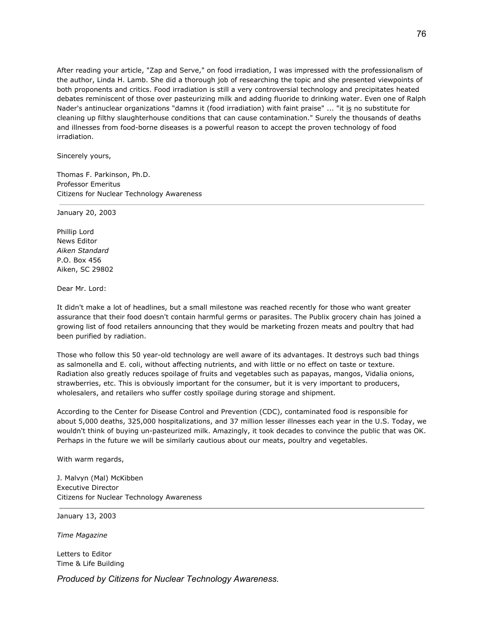After reading your article, "Zap and Serve," on food irradiation, I was impressed with the professionalism of the author, Linda H. Lamb. She did a thorough job of researching the topic and she presented viewpoints of both proponents and critics. Food irradiation is still a very controversial technology and precipitates heated debates reminiscent of those over pasteurizing milk and adding fluoride to drinking water. Even one of Ralph Nader's antinuclear organizations "damns it (food irradiation) with faint praise" ... "it is no substitute for cleaning up filthy slaughterhouse conditions that can cause contamination." Surely the thousands of deaths and illnesses from food-borne diseases is a powerful reason to accept the proven technology of food irradiation.

Sincerely yours,

Thomas F. Parkinson, Ph.D. Professor Emeritus Citizens for Nuclear Technology Awareness

January 20, 2003

Phillip Lord News Editor *Aiken Standard* P.O. Box 456 Aiken, SC 29802

Dear Mr. Lord:

It didn't make a lot of headlines, but a small milestone was reached recently for those who want greater assurance that their food doesn't contain harmful germs or parasites. The Publix grocery chain has joined a growing list of food retailers announcing that they would be marketing frozen meats and poultry that had been purified by radiation.

Those who follow this 50 year-old technology are well aware of its advantages. It destroys such bad things as salmonella and E. coli, without affecting nutrients, and with little or no effect on taste or texture. Radiation also greatly reduces spoilage of fruits and vegetables such as papayas, mangos, Vidalia onions, strawberries, etc. This is obviously important for the consumer, but it is very important to producers, wholesalers, and retailers who suffer costly spoilage during storage and shipment.

According to the Center for Disease Control and Prevention (CDC), contaminated food is responsible for about 5,000 deaths, 325,000 hospitalizations, and 37 million lesser illnesses each year in the U.S. Today, we wouldn't think of buying un-pasteurized milk. Amazingly, it took decades to convince the public that was OK. Perhaps in the future we will be similarly cautious about our meats, poultry and vegetables.

With warm regards,

J. Malvyn (Mal) McKibben Executive Director Citizens for Nuclear Technology Awareness

January 13, 2003

*Time Magazine*

Letters to Editor Time & Life Building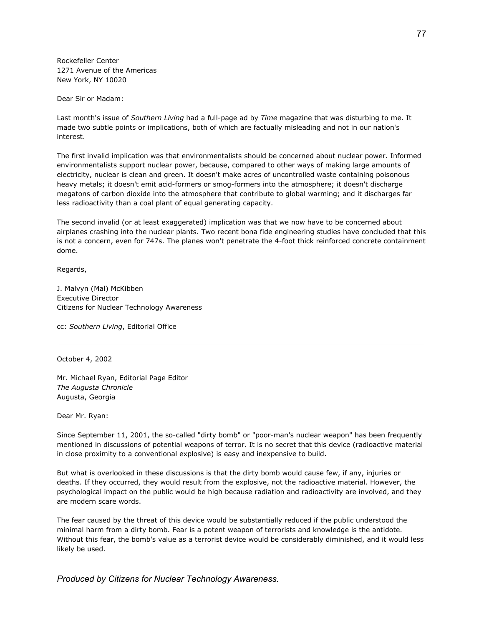Rockefeller Center 1271 Avenue of the Americas New York, NY 10020

Dear Sir or Madam:

Last month's issue of *Southern Living* had a full-page ad by *Time* magazine that was disturbing to me. It made two subtle points or implications, both of which are factually misleading and not in our nation's interest.

The first invalid implication was that environmentalists should be concerned about nuclear power. Informed environmentalists support nuclear power, because, compared to other ways of making large amounts of electricity, nuclear is clean and green. It doesn't make acres of uncontrolled waste containing poisonous heavy metals; it doesn't emit acid-formers or smog-formers into the atmosphere; it doesn't discharge megatons of carbon dioxide into the atmosphere that contribute to global warming; and it discharges far less radioactivity than a coal plant of equal generating capacity.

The second invalid (or at least exaggerated) implication was that we now have to be concerned about airplanes crashing into the nuclear plants. Two recent bona fide engineering studies have concluded that this is not a concern, even for 747s. The planes won't penetrate the 4-foot thick reinforced concrete containment dome.

Regards,

J. Malvyn (Mal) McKibben Executive Director Citizens for Nuclear Technology Awareness

cc: *Southern Living*, Editorial Office

October 4, 2002

Mr. Michael Ryan, Editorial Page Editor *The Augusta Chronicle* Augusta, Georgia

Dear Mr. Ryan:

Since September 11, 2001, the so-called "dirty bomb" or "poor-man's nuclear weapon" has been frequently mentioned in discussions of potential weapons of terror. It is no secret that this device (radioactive material in close proximity to a conventional explosive) is easy and inexpensive to build.

But what is overlooked in these discussions is that the dirty bomb would cause few, if any, injuries or deaths. If they occurred, they would result from the explosive, not the radioactive material. However, the psychological impact on the public would be high because radiation and radioactivity are involved, and they are modern scare words.

The fear caused by the threat of this device would be substantially reduced if the public understood the minimal harm from a dirty bomb. Fear is a potent weapon of terrorists and knowledge is the antidote. Without this fear, the bomb's value as a terrorist device would be considerably diminished, and it would less likely be used.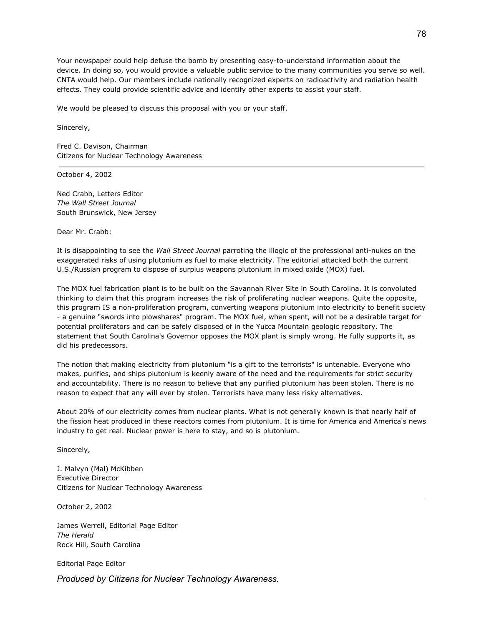Your newspaper could help defuse the bomb by presenting easy-to-understand information about the device. In doing so, you would provide a valuable public service to the many communities you serve so well. CNTA would help. Our members include nationally recognized experts on radioactivity and radiation health effects. They could provide scientific advice and identify other experts to assist your staff.

We would be pleased to discuss this proposal with you or your staff.

Sincerely,

Fred C. Davison, Chairman Citizens for Nuclear Technology Awareness

October 4, 2002

Ned Crabb, Letters Editor *The Wall Street Journal* South Brunswick, New Jersey

Dear Mr. Crabb:

It is disappointing to see the *Wall Street Journal* parroting the illogic of the professional anti-nukes on the exaggerated risks of using plutonium as fuel to make electricity. The editorial attacked both the current U.S./Russian program to dispose of surplus weapons plutonium in mixed oxide (MOX) fuel.

The MOX fuel fabrication plant is to be built on the Savannah River Site in South Carolina. It is convoluted thinking to claim that this program increases the risk of proliferating nuclear weapons. Quite the opposite, this program IS a non-proliferation program, converting weapons plutonium into electricity to benefit society - a genuine "swords into plowshares" program. The MOX fuel, when spent, will not be a desirable target for potential proliferators and can be safely disposed of in the Yucca Mountain geologic repository. The statement that South Carolina's Governor opposes the MOX plant is simply wrong. He fully supports it, as did his predecessors.

The notion that making electricity from plutonium "is a gift to the terrorists" is untenable. Everyone who makes, purifies, and ships plutonium is keenly aware of the need and the requirements for strict security and accountability. There is no reason to believe that any purified plutonium has been stolen. There is no reason to expect that any will ever by stolen. Terrorists have many less risky alternatives.

About 20% of our electricity comes from nuclear plants. What is not generally known is that nearly half of the fission heat produced in these reactors comes from plutonium. It is time for America and America's news industry to get real. Nuclear power is here to stay, and so is plutonium.

Sincerely,

J. Malvyn (Mal) McKibben Executive Director Citizens for Nuclear Technology Awareness

October 2, 2002

James Werrell, Editorial Page Editor *The Herald* Rock Hill, South Carolina

Editorial Page Editor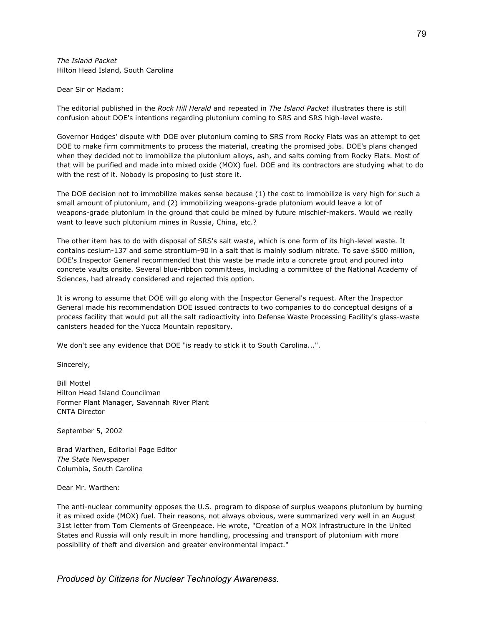*The Island Packet* Hilton Head Island, South Carolina

Dear Sir or Madam:

The editorial published in the *Rock Hill Herald* and repeated in *The Island Packet* illustrates there is still confusion about DOE's intentions regarding plutonium coming to SRS and SRS high-level waste.

Governor Hodges' dispute with DOE over plutonium coming to SRS from Rocky Flats was an attempt to get DOE to make firm commitments to process the material, creating the promised jobs. DOE's plans changed when they decided not to immobilize the plutonium alloys, ash, and salts coming from Rocky Flats. Most of that will be purified and made into mixed oxide (MOX) fuel. DOE and its contractors are studying what to do with the rest of it. Nobody is proposing to just store it.

The DOE decision not to immobilize makes sense because (1) the cost to immobilize is very high for such a small amount of plutonium, and (2) immobilizing weapons-grade plutonium would leave a lot of weapons-grade plutonium in the ground that could be mined by future mischief-makers. Would we really want to leave such plutonium mines in Russia, China, etc.?

The other item has to do with disposal of SRS's salt waste, which is one form of its high-level waste. It contains cesium-137 and some strontium-90 in a salt that is mainly sodium nitrate. To save \$500 million, DOE's Inspector General recommended that this waste be made into a concrete grout and poured into concrete vaults onsite. Several blue-ribbon committees, including a committee of the National Academy of Sciences, had already considered and rejected this option.

It is wrong to assume that DOE will go along with the Inspector General's request. After the Inspector General made his recommendation DOE issued contracts to two companies to do conceptual designs of a process facility that would put all the salt radioactivity into Defense Waste Processing Facility's glass-waste canisters headed for the Yucca Mountain repository.

We don't see any evidence that DOE "is ready to stick it to South Carolina...".

Sincerely,

Bill Mottel Hilton Head Island Councilman Former Plant Manager, Savannah River Plant CNTA Director

September 5, 2002

Brad Warthen, Editorial Page Editor *The State* Newspaper Columbia, South Carolina

Dear Mr. Warthen:

The anti-nuclear community opposes the U.S. program to dispose of surplus weapons plutonium by burning it as mixed oxide (MOX) fuel. Their reasons, not always obvious, were summarized very well in an August 31st letter from Tom Clements of Greenpeace. He wrote, "Creation of a MOX infrastructure in the United States and Russia will only result in more handling, processing and transport of plutonium with more possibility of theft and diversion and greater environmental impact."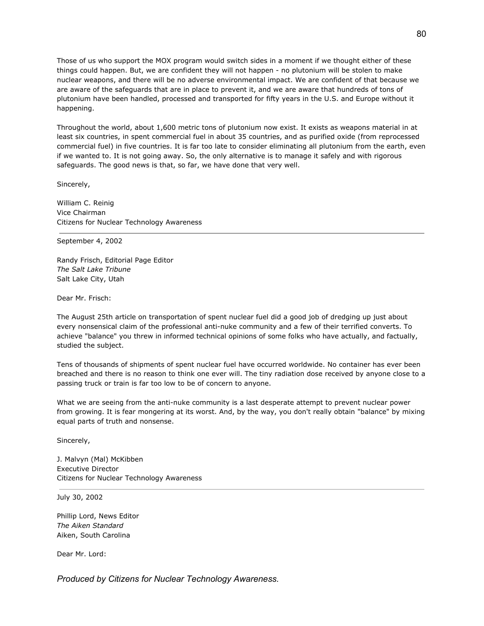Those of us who support the MOX program would switch sides in a moment if we thought either of these things could happen. But, we are confident they will not happen - no plutonium will be stolen to make nuclear weapons, and there will be no adverse environmental impact. We are confident of that because we are aware of the safeguards that are in place to prevent it, and we are aware that hundreds of tons of plutonium have been handled, processed and transported for fifty years in the U.S. and Europe without it happening.

Throughout the world, about 1,600 metric tons of plutonium now exist. It exists as weapons material in at least six countries, in spent commercial fuel in about 35 countries, and as purified oxide (from reprocessed commercial fuel) in five countries. It is far too late to consider eliminating all plutonium from the earth, even if we wanted to. It is not going away. So, the only alternative is to manage it safely and with rigorous safeguards. The good news is that, so far, we have done that very well.

Sincerely,

William C. Reinig Vice Chairman Citizens for Nuclear Technology Awareness

September 4, 2002

Randy Frisch, Editorial Page Editor *The Salt Lake Tribune* Salt Lake City, Utah

Dear Mr. Frisch:

The August 25th article on transportation of spent nuclear fuel did a good job of dredging up just about every nonsensical claim of the professional anti-nuke community and a few of their terrified converts. To achieve "balance" you threw in informed technical opinions of some folks who have actually, and factually, studied the subject.

Tens of thousands of shipments of spent nuclear fuel have occurred worldwide. No container has ever been breached and there is no reason to think one ever will. The tiny radiation dose received by anyone close to a passing truck or train is far too low to be of concern to anyone.

What we are seeing from the anti-nuke community is a last desperate attempt to prevent nuclear power from growing. It is fear mongering at its worst. And, by the way, you don't really obtain "balance" by mixing equal parts of truth and nonsense.

Sincerely,

J. Malvyn (Mal) McKibben Executive Director Citizens for Nuclear Technology Awareness

July 30, 2002

Phillip Lord, News Editor *The Aiken Standard* Aiken, South Carolina

Dear Mr. Lord: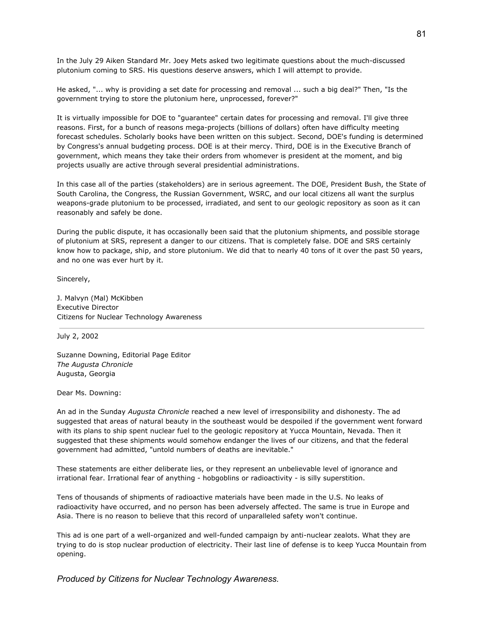In the July 29 Aiken Standard Mr. Joey Mets asked two legitimate questions about the much-discussed plutonium coming to SRS. His questions deserve answers, which I will attempt to provide.

He asked, "... why is providing a set date for processing and removal ... such a big deal?" Then, "Is the government trying to store the plutonium here, unprocessed, forever?"

It is virtually impossible for DOE to "guarantee" certain dates for processing and removal. I'll give three reasons. First, for a bunch of reasons mega-projects (billions of dollars) often have difficulty meeting forecast schedules. Scholarly books have been written on this subject. Second, DOE's funding is determined by Congress's annual budgeting process. DOE is at their mercy. Third, DOE is in the Executive Branch of government, which means they take their orders from whomever is president at the moment, and big projects usually are active through several presidential administrations.

In this case all of the parties (stakeholders) are in serious agreement. The DOE, President Bush, the State of South Carolina, the Congress, the Russian Government, WSRC, and our local citizens all want the surplus weapons-grade plutonium to be processed, irradiated, and sent to our geologic repository as soon as it can reasonably and safely be done.

During the public dispute, it has occasionally been said that the plutonium shipments, and possible storage of plutonium at SRS, represent a danger to our citizens. That is completely false. DOE and SRS certainly know how to package, ship, and store plutonium. We did that to nearly 40 tons of it over the past 50 years, and no one was ever hurt by it.

Sincerely,

J. Malvyn (Mal) McKibben Executive Director Citizens for Nuclear Technology Awareness

July 2, 2002

Suzanne Downing, Editorial Page Editor *The Augusta Chronicle* Augusta, Georgia

Dear Ms. Downing:

An ad in the Sunday *Augusta Chronicle* reached a new level of irresponsibility and dishonesty. The ad suggested that areas of natural beauty in the southeast would be despoiled if the government went forward with its plans to ship spent nuclear fuel to the geologic repository at Yucca Mountain, Nevada. Then it suggested that these shipments would somehow endanger the lives of our citizens, and that the federal government had admitted, "untold numbers of deaths are inevitable."

These statements are either deliberate lies, or they represent an unbelievable level of ignorance and irrational fear. Irrational fear of anything - hobgoblins or radioactivity - is silly superstition.

Tens of thousands of shipments of radioactive materials have been made in the U.S. No leaks of radioactivity have occurred, and no person has been adversely affected. The same is true in Europe and Asia. There is no reason to believe that this record of unparalleled safety won't continue.

This ad is one part of a well-organized and well-funded campaign by anti-nuclear zealots. What they are trying to do is stop nuclear production of electricity. Their last line of defense is to keep Yucca Mountain from opening.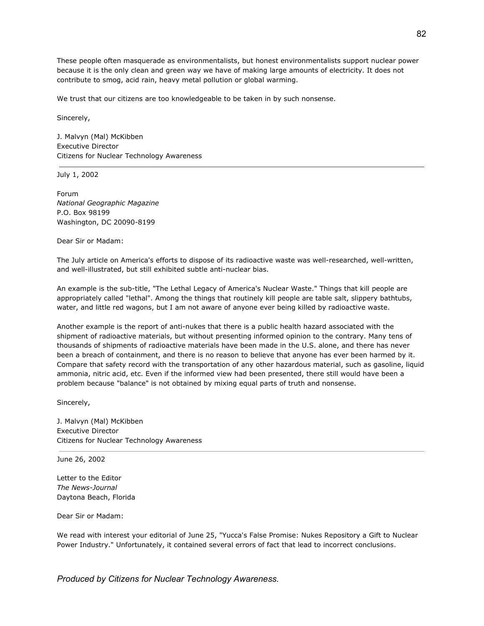These people often masquerade as environmentalists, but honest environmentalists support nuclear power because it is the only clean and green way we have of making large amounts of electricity. It does not contribute to smog, acid rain, heavy metal pollution or global warming.

We trust that our citizens are too knowledgeable to be taken in by such nonsense.

Sincerely,

J. Malvyn (Mal) McKibben Executive Director Citizens for Nuclear Technology Awareness

July 1, 2002

Forum *National Geographic Magazine* P.O. Box 98199 Washington, DC 20090-8199

Dear Sir or Madam:

The July article on America's efforts to dispose of its radioactive waste was well-researched, well-written, and well-illustrated, but still exhibited subtle anti-nuclear bias.

An example is the sub-title, "The Lethal Legacy of America's Nuclear Waste." Things that kill people are appropriately called "lethal". Among the things that routinely kill people are table salt, slippery bathtubs, water, and little red wagons, but I am not aware of anyone ever being killed by radioactive waste.

Another example is the report of anti-nukes that there is a public health hazard associated with the shipment of radioactive materials, but without presenting informed opinion to the contrary. Many tens of thousands of shipments of radioactive materials have been made in the U.S. alone, and there has never been a breach of containment, and there is no reason to believe that anyone has ever been harmed by it. Compare that safety record with the transportation of any other hazardous material, such as gasoline, liquid ammonia, nitric acid, etc. Even if the informed view had been presented, there still would have been a problem because "balance" is not obtained by mixing equal parts of truth and nonsense.

Sincerely,

J. Malvyn (Mal) McKibben Executive Director Citizens for Nuclear Technology Awareness

June 26, 2002

Letter to the Editor *The News-Journal* Daytona Beach, Florida

Dear Sir or Madam:

We read with interest your editorial of June 25, "Yucca's False Promise: Nukes Repository a Gift to Nuclear Power Industry." Unfortunately, it contained several errors of fact that lead to incorrect conclusions.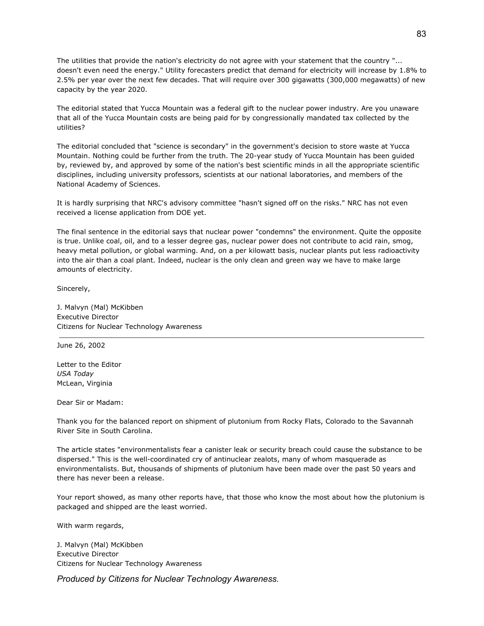The utilities that provide the nation's electricity do not agree with your statement that the country "... doesn't even need the energy." Utility forecasters predict that demand for electricity will increase by 1.8% to 2.5% per year over the next few decades. That will require over 300 gigawatts (300,000 megawatts) of new capacity by the year 2020.

The editorial stated that Yucca Mountain was a federal gift to the nuclear power industry. Are you unaware that all of the Yucca Mountain costs are being paid for by congressionally mandated tax collected by the utilities?

The editorial concluded that "science is secondary" in the government's decision to store waste at Yucca Mountain. Nothing could be further from the truth. The 20-year study of Yucca Mountain has been guided by, reviewed by, and approved by some of the nation's best scientific minds in all the appropriate scientific disciplines, including university professors, scientists at our national laboratories, and members of the National Academy of Sciences.

It is hardly surprising that NRC's advisory committee "hasn't signed off on the risks." NRC has not even received a license application from DOE yet.

The final sentence in the editorial says that nuclear power "condemns" the environment. Quite the opposite is true. Unlike coal, oil, and to a lesser degree gas, nuclear power does not contribute to acid rain, smog, heavy metal pollution, or global warming. And, on a per kilowatt basis, nuclear plants put less radioactivity into the air than a coal plant. Indeed, nuclear is the only clean and green way we have to make large amounts of electricity.

Sincerely,

J. Malvyn (Mal) McKibben Executive Director Citizens for Nuclear Technology Awareness

June 26, 2002

Letter to the Editor *USA Today* McLean, Virginia

Dear Sir or Madam:

Thank you for the balanced report on shipment of plutonium from Rocky Flats, Colorado to the Savannah River Site in South Carolina.

The article states "environmentalists fear a canister leak or security breach could cause the substance to be dispersed." This is the well-coordinated cry of antinuclear zealots, many of whom masquerade as environmentalists. But, thousands of shipments of plutonium have been made over the past 50 years and there has never been a release.

Your report showed, as many other reports have, that those who know the most about how the plutonium is packaged and shipped are the least worried.

With warm regards,

J. Malvyn (Mal) McKibben Executive Director Citizens for Nuclear Technology Awareness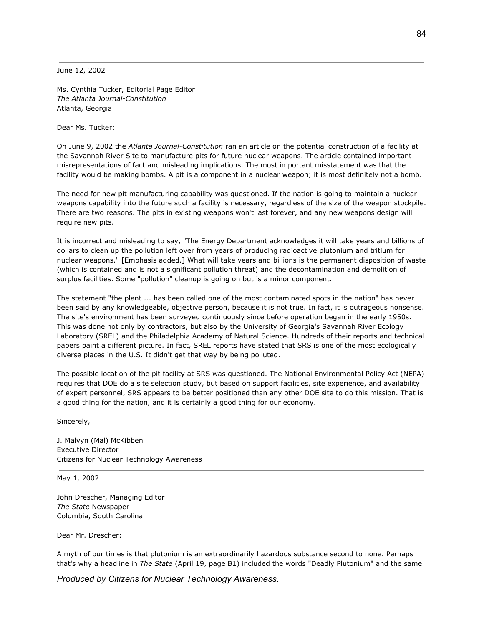June 12, 2002

Ms. Cynthia Tucker, Editorial Page Editor *The Atlanta Journal-Constitution* Atlanta, Georgia

Dear Ms. Tucker:

On June 9, 2002 the *Atlanta Journal-Constitution* ran an article on the potential construction of a facility at the Savannah River Site to manufacture pits for future nuclear weapons. The article contained important misrepresentations of fact and misleading implications. The most important misstatement was that the facility would be making bombs. A pit is a component in a nuclear weapon; it is most definitely not a bomb.

The need for new pit manufacturing capability was questioned. If the nation is going to maintain a nuclear weapons capability into the future such a facility is necessary, regardless of the size of the weapon stockpile. There are two reasons. The pits in existing weapons won't last forever, and any new weapons design will require new pits.

It is incorrect and misleading to say, "The Energy Department acknowledges it will take years and billions of dollars to clean up the pollution left over from years of producing radioactive plutonium and tritium for nuclear weapons." [Emphasis added.] What will take years and billions is the permanent disposition of waste (which is contained and is not a significant pollution threat) and the decontamination and demolition of surplus facilities. Some "pollution" cleanup is going on but is a minor component.

The statement "the plant ... has been called one of the most contaminated spots in the nation" has never been said by any knowledgeable, objective person, because it is not true. In fact, it is outrageous nonsense. The site's environment has been surveyed continuously since before operation began in the early 1950s. This was done not only by contractors, but also by the University of Georgia's Savannah River Ecology Laboratory (SREL) and the Philadelphia Academy of Natural Science. Hundreds of their reports and technical papers paint a different picture. In fact, SREL reports have stated that SRS is one of the most ecologically diverse places in the U.S. It didn't get that way by being polluted.

The possible location of the pit facility at SRS was questioned. The National Environmental Policy Act (NEPA) requires that DOE do a site selection study, but based on support facilities, site experience, and availability of expert personnel, SRS appears to be better positioned than any other DOE site to do this mission. That is a good thing for the nation, and it is certainly a good thing for our economy.

Sincerely,

J. Malvyn (Mal) McKibben Executive Director Citizens for Nuclear Technology Awareness

May 1, 2002

John Drescher, Managing Editor *The State* Newspaper Columbia, South Carolina

Dear Mr. Drescher:

A myth of our times is that plutonium is an extraordinarily hazardous substance second to none. Perhaps that's why a headline in *The State* (April 19, page B1) included the words "Deadly Plutonium" and the same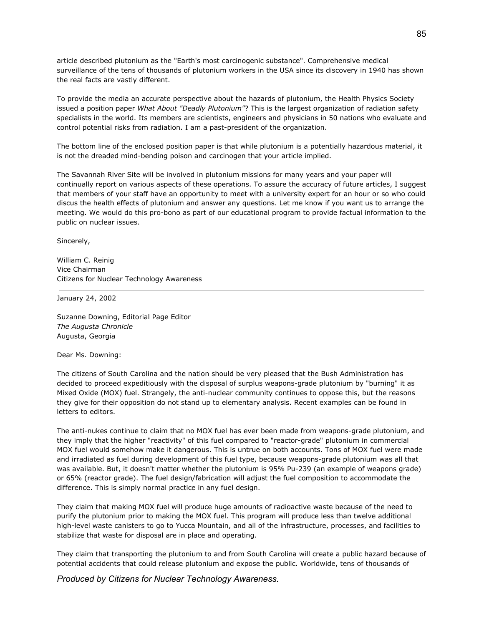article described plutonium as the "Earth's most carcinogenic substance". Comprehensive medical surveillance of the tens of thousands of plutonium workers in the USA since its discovery in 1940 has shown the real facts are vastly different.

To provide the media an accurate perspective about the hazards of plutonium, the Health Physics Society issued a position paper *What About "Deadly Plutonium"*? This is the largest organization of radiation safety specialists in the world. Its members are scientists, engineers and physicians in 50 nations who evaluate and control potential risks from radiation. I am a past-president of the organization.

The bottom line of the enclosed position paper is that while plutonium is a potentially hazardous material, it is not the dreaded mind-bending poison and carcinogen that your article implied.

The Savannah River Site will be involved in plutonium missions for many years and your paper will continually report on various aspects of these operations. To assure the accuracy of future articles, I suggest that members of your staff have an opportunity to meet with a university expert for an hour or so who could discus the health effects of plutonium and answer any questions. Let me know if you want us to arrange the meeting. We would do this pro-bono as part of our educational program to provide factual information to the public on nuclear issues.

Sincerely,

William C. Reinig Vice Chairman Citizens for Nuclear Technology Awareness

January 24, 2002

Suzanne Downing, Editorial Page Editor *The Augusta Chronicle* Augusta, Georgia

Dear Ms. Downing:

The citizens of South Carolina and the nation should be very pleased that the Bush Administration has decided to proceed expeditiously with the disposal of surplus weapons-grade plutonium by "burning" it as Mixed Oxide (MOX) fuel. Strangely, the anti-nuclear community continues to oppose this, but the reasons they give for their opposition do not stand up to elementary analysis. Recent examples can be found in letters to editors.

The anti-nukes continue to claim that no MOX fuel has ever been made from weapons-grade plutonium, and they imply that the higher "reactivity" of this fuel compared to "reactor-grade" plutonium in commercial MOX fuel would somehow make it dangerous. This is untrue on both accounts. Tons of MOX fuel were made and irradiated as fuel during development of this fuel type, because weapons-grade plutonium was all that was available. But, it doesn't matter whether the plutonium is 95% Pu-239 (an example of weapons grade) or 65% (reactor grade). The fuel design/fabrication will adjust the fuel composition to accommodate the difference. This is simply normal practice in any fuel design.

They claim that making MOX fuel will produce huge amounts of radioactive waste because of the need to purify the plutonium prior to making the MOX fuel. This program will produce less than twelve additional high-level waste canisters to go to Yucca Mountain, and all of the infrastructure, processes, and facilities to stabilize that waste for disposal are in place and operating.

They claim that transporting the plutonium to and from South Carolina will create a public hazard because of potential accidents that could release plutonium and expose the public. Worldwide, tens of thousands of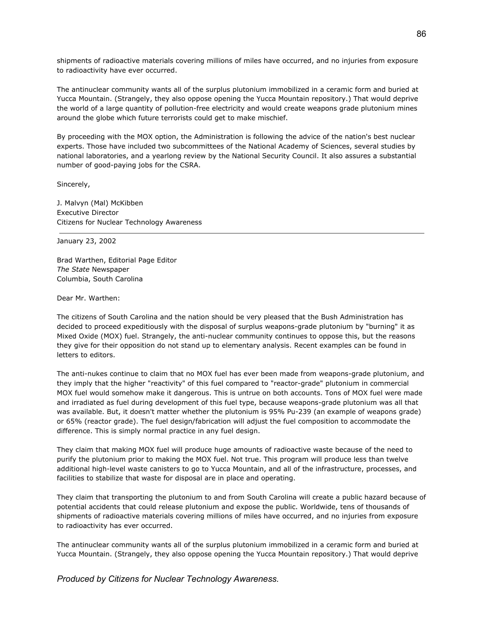shipments of radioactive materials covering millions of miles have occurred, and no injuries from exposure to radioactivity have ever occurred.

The antinuclear community wants all of the surplus plutonium immobilized in a ceramic form and buried at Yucca Mountain. (Strangely, they also oppose opening the Yucca Mountain repository.) That would deprive the world of a large quantity of pollution-free electricity and would create weapons grade plutonium mines around the globe which future terrorists could get to make mischief.

By proceeding with the MOX option, the Administration is following the advice of the nation's best nuclear experts. Those have included two subcommittees of the National Academy of Sciences, several studies by national laboratories, and a yearlong review by the National Security Council. It also assures a substantial number of good-paying jobs for the CSRA.

Sincerely,

J. Malvyn (Mal) McKibben Executive Director Citizens for Nuclear Technology Awareness

January 23, 2002

Brad Warthen, Editorial Page Editor *The State* Newspaper Columbia, South Carolina

Dear Mr. Warthen:

The citizens of South Carolina and the nation should be very pleased that the Bush Administration has decided to proceed expeditiously with the disposal of surplus weapons-grade plutonium by "burning" it as Mixed Oxide (MOX) fuel. Strangely, the anti-nuclear community continues to oppose this, but the reasons they give for their opposition do not stand up to elementary analysis. Recent examples can be found in letters to editors.

The anti-nukes continue to claim that no MOX fuel has ever been made from weapons-grade plutonium, and they imply that the higher "reactivity" of this fuel compared to "reactor-grade" plutonium in commercial MOX fuel would somehow make it dangerous. This is untrue on both accounts. Tons of MOX fuel were made and irradiated as fuel during development of this fuel type, because weapons-grade plutonium was all that was available. But, it doesn't matter whether the plutonium is 95% Pu-239 (an example of weapons grade) or 65% (reactor grade). The fuel design/fabrication will adjust the fuel composition to accommodate the difference. This is simply normal practice in any fuel design.

They claim that making MOX fuel will produce huge amounts of radioactive waste because of the need to purify the plutonium prior to making the MOX fuel. Not true. This program will produce less than twelve additional high-level waste canisters to go to Yucca Mountain, and all of the infrastructure, processes, and facilities to stabilize that waste for disposal are in place and operating.

They claim that transporting the plutonium to and from South Carolina will create a public hazard because of potential accidents that could release plutonium and expose the public. Worldwide, tens of thousands of shipments of radioactive materials covering millions of miles have occurred, and no injuries from exposure to radioactivity has ever occurred.

The antinuclear community wants all of the surplus plutonium immobilized in a ceramic form and buried at Yucca Mountain. (Strangely, they also oppose opening the Yucca Mountain repository.) That would deprive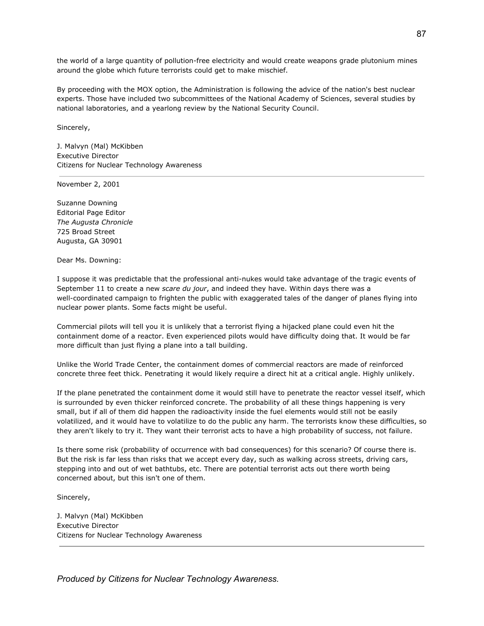the world of a large quantity of pollution-free electricity and would create weapons grade plutonium mines around the globe which future terrorists could get to make mischief.

By proceeding with the MOX option, the Administration is following the advice of the nation's best nuclear experts. Those have included two subcommittees of the National Academy of Sciences, several studies by national laboratories, and a yearlong review by the National Security Council.

Sincerely,

J. Malvyn (Mal) McKibben Executive Director Citizens for Nuclear Technology Awareness

November 2, 2001

Suzanne Downing Editorial Page Editor *The Augusta Chronicle* 725 Broad Street Augusta, GA 30901

Dear Ms. Downing:

I suppose it was predictable that the professional anti-nukes would take advantage of the tragic events of September 11 to create a new *scare du jour*, and indeed they have. Within days there was a well-coordinated campaign to frighten the public with exaggerated tales of the danger of planes flying into nuclear power plants. Some facts might be useful.

Commercial pilots will tell you it is unlikely that a terrorist flying a hijacked plane could even hit the containment dome of a reactor. Even experienced pilots would have difficulty doing that. It would be far more difficult than just flying a plane into a tall building.

Unlike the World Trade Center, the containment domes of commercial reactors are made of reinforced concrete three feet thick. Penetrating it would likely require a direct hit at a critical angle. Highly unlikely.

If the plane penetrated the containment dome it would still have to penetrate the reactor vessel itself, which is surrounded by even thicker reinforced concrete. The probability of all these things happening is very small, but if all of them did happen the radioactivity inside the fuel elements would still not be easily volatilized, and it would have to volatilize to do the public any harm. The terrorists know these difficulties, so they aren't likely to try it. They want their terrorist acts to have a high probability of success, not failure.

Is there some risk (probability of occurrence with bad consequences) for this scenario? Of course there is. But the risk is far less than risks that we accept every day, such as walking across streets, driving cars, stepping into and out of wet bathtubs, etc. There are potential terrorist acts out there worth being concerned about, but this isn't one of them.

Sincerely,

J. Malvyn (Mal) McKibben Executive Director Citizens for Nuclear Technology Awareness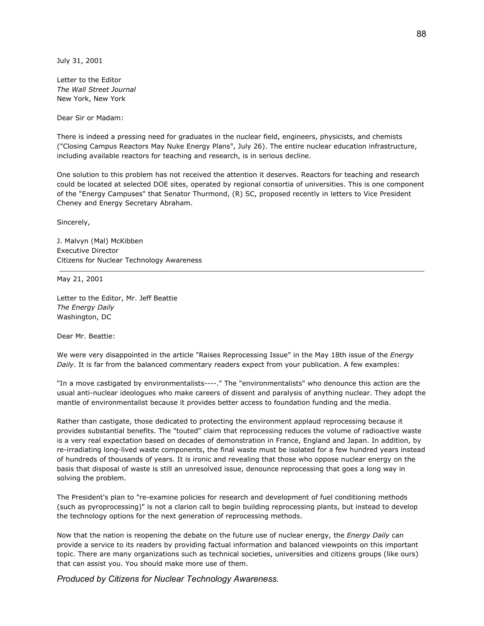July 31, 2001

Letter to the Editor *The Wall Street Journal* New York, New York

Dear Sir or Madam:

There is indeed a pressing need for graduates in the nuclear field, engineers, physicists, and chemists ("Closing Campus Reactors May Nuke Energy Plans", July 26). The entire nuclear education infrastructure, including available reactors for teaching and research, is in serious decline.

One solution to this problem has not received the attention it deserves. Reactors for teaching and research could be located at selected DOE sites, operated by regional consortia of universities. This is one component of the "Energy Campuses" that Senator Thurmond, (R) SC, proposed recently in letters to Vice President Cheney and Energy Secretary Abraham.

Sincerely,

J. Malvyn (Mal) McKibben Executive Director Citizens for Nuclear Technology Awareness

May 21, 2001

Letter to the Editor, Mr. Jeff Beattie *The Energy Daily* Washington, DC

Dear Mr. Beattie:

We were very disappointed in the article "Raises Reprocessing Issue" in the May 18th issue of the *Energy Daily*. It is far from the balanced commentary readers expect from your publication. A few examples:

"In a move castigated by environmentalists----." The "environmentalists" who denounce this action are the usual anti-nuclear ideologues who make careers of dissent and paralysis of anything nuclear. They adopt the mantle of environmentalist because it provides better access to foundation funding and the media.

Rather than castigate, those dedicated to protecting the environment applaud reprocessing because it provides substantial benefits. The "touted" claim that reprocessing reduces the volume of radioactive waste is a very real expectation based on decades of demonstration in France, England and Japan. In addition, by re-irradiating long-lived waste components, the final waste must be isolated for a few hundred years instead of hundreds of thousands of years. It is ironic and revealing that those who oppose nuclear energy on the basis that disposal of waste is still an unresolved issue, denounce reprocessing that goes a long way in solving the problem.

The President's plan to "re-examine policies for research and development of fuel conditioning methods (such as pyroprocessing)" is not a clarion call to begin building reprocessing plants, but instead to develop the technology options for the next generation of reprocessing methods.

Now that the nation is reopening the debate on the future use of nuclear energy, the *Energy Daily* can provide a service to its readers by providing factual information and balanced viewpoints on this important topic. There are many organizations such as technical societies, universities and citizens groups (like ours) that can assist you. You should make more use of them.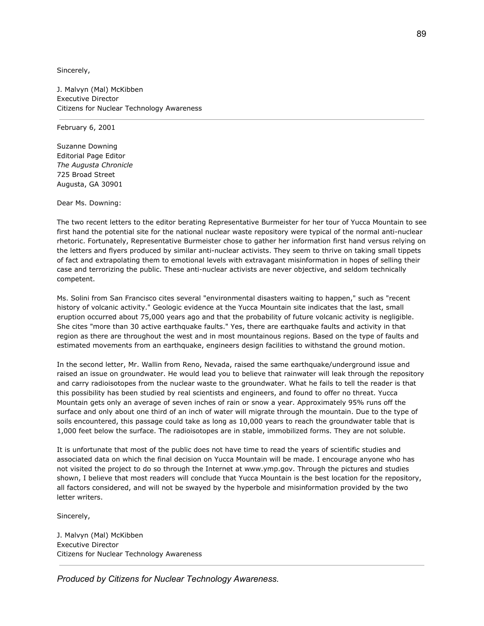Sincerely,

J. Malvyn (Mal) McKibben Executive Director Citizens for Nuclear Technology Awareness

February 6, 2001

Suzanne Downing Editorial Page Editor *The Augusta Chronicle* 725 Broad Street Augusta, GA 30901

Dear Ms. Downing:

The two recent letters to the editor berating Representative Burmeister for her tour of Yucca Mountain to see first hand the potential site for the national nuclear waste repository were typical of the normal anti-nuclear rhetoric. Fortunately, Representative Burmeister chose to gather her information first hand versus relying on the letters and flyers produced by similar anti-nuclear activists. They seem to thrive on taking small tippets of fact and extrapolating them to emotional levels with extravagant misinformation in hopes of selling their case and terrorizing the public. These anti-nuclear activists are never objective, and seldom technically competent.

Ms. Solini from San Francisco cites several "environmental disasters waiting to happen," such as "recent history of volcanic activity." Geologic evidence at the Yucca Mountain site indicates that the last, small eruption occurred about 75,000 years ago and that the probability of future volcanic activity is negligible. She cites "more than 30 active earthquake faults." Yes, there are earthquake faults and activity in that region as there are throughout the west and in most mountainous regions. Based on the type of faults and estimated movements from an earthquake, engineers design facilities to withstand the ground motion.

In the second letter, Mr. Wallin from Reno, Nevada, raised the same earthquake/underground issue and raised an issue on groundwater. He would lead you to believe that rainwater will leak through the repository and carry radioisotopes from the nuclear waste to the groundwater. What he fails to tell the reader is that this possibility has been studied by real scientists and engineers, and found to offer no threat. Yucca Mountain gets only an average of seven inches of rain or snow a year. Approximately 95% runs off the surface and only about one third of an inch of water will migrate through the mountain. Due to the type of soils encountered, this passage could take as long as 10,000 years to reach the groundwater table that is 1,000 feet below the surface. The radioisotopes are in stable, immobilized forms. They are not soluble.

It is unfortunate that most of the public does not have time to read the years of scientific studies and associated data on which the final decision on Yucca Mountain will be made. I encourage anyone who has not visited the project to do so through the Internet at www.ymp.gov. Through the pictures and studies shown, I believe that most readers will conclude that Yucca Mountain is the best location for the repository, all factors considered, and will not be swayed by the hyperbole and misinformation provided by the two letter writers.

Sincerely,

J. Malvyn (Mal) McKibben Executive Director Citizens for Nuclear Technology Awareness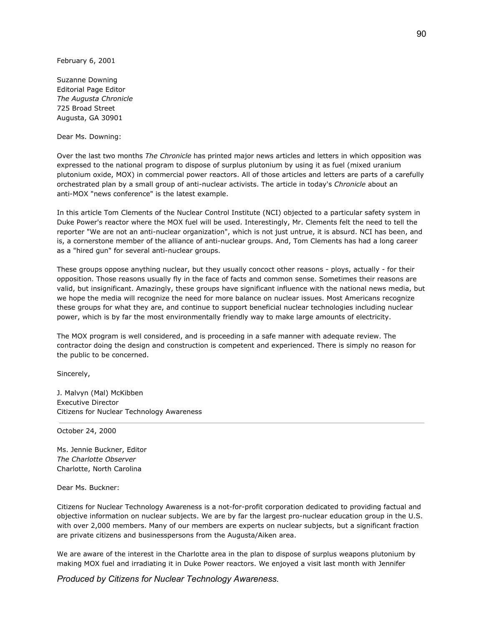February 6, 2001

Suzanne Downing Editorial Page Editor *The Augusta Chronicle* 725 Broad Street Augusta, GA 30901

Dear Ms. Downing:

Over the last two months *The Chronicle* has printed major news articles and letters in which opposition was expressed to the national program to dispose of surplus plutonium by using it as fuel (mixed uranium plutonium oxide, MOX) in commercial power reactors. All of those articles and letters are parts of a carefully orchestrated plan by a small group of anti-nuclear activists. The article in today's *Chronicle* about an anti-MOX "news conference" is the latest example.

In this article Tom Clements of the Nuclear Control Institute (NCI) objected to a particular safety system in Duke Power's reactor where the MOX fuel will be used. Interestingly, Mr. Clements felt the need to tell the reporter "We are not an anti-nuclear organization", which is not just untrue, it is absurd. NCI has been, and is, a cornerstone member of the alliance of anti-nuclear groups. And, Tom Clements has had a long career as a "hired gun" for several anti-nuclear groups.

These groups oppose anything nuclear, but they usually concoct other reasons - ploys, actually - for their opposition. Those reasons usually fly in the face of facts and common sense. Sometimes their reasons are valid, but insignificant. Amazingly, these groups have significant influence with the national news media, but we hope the media will recognize the need for more balance on nuclear issues. Most Americans recognize these groups for what they are, and continue to support beneficial nuclear technologies including nuclear power, which is by far the most environmentally friendly way to make large amounts of electricity.

The MOX program is well considered, and is proceeding in a safe manner with adequate review. The contractor doing the design and construction is competent and experienced. There is simply no reason for the public to be concerned.

Sincerely,

J. Malvyn (Mal) McKibben Executive Director Citizens for Nuclear Technology Awareness

October 24, 2000

Ms. Jennie Buckner, Editor *The Charlotte Observer* Charlotte, North Carolina

Dear Ms. Buckner:

Citizens for Nuclear Technology Awareness is a not-for-profit corporation dedicated to providing factual and objective information on nuclear subjects. We are by far the largest pro-nuclear education group in the U.S. with over 2,000 members. Many of our members are experts on nuclear subjects, but a significant fraction are private citizens and businesspersons from the Augusta/Aiken area.

We are aware of the interest in the Charlotte area in the plan to dispose of surplus weapons plutonium by making MOX fuel and irradiating it in Duke Power reactors. We enjoyed a visit last month with Jennifer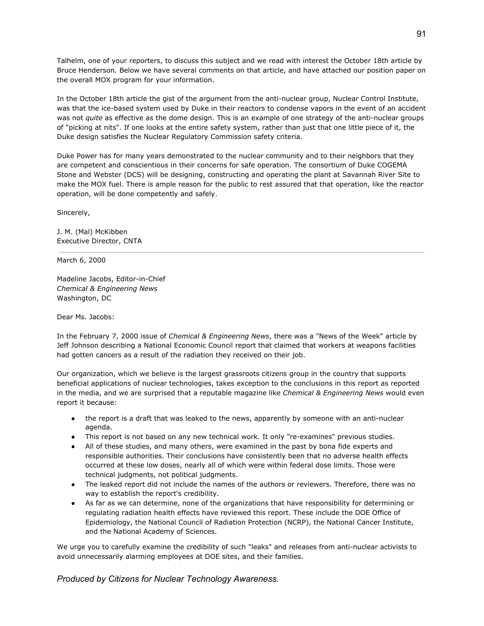Talhelm, one of your reporters, to discuss this subject and we read with interest the October 18th article by Bruce Henderson. Below we have several comments on that article, and have attached our position paper on the overall MOX program for your information.

In the October 18th article the gist of the argument from the anti-nuclear group, Nuclear Control Institute, was that the ice-based system used by Duke in their reactors to condense vapors in the event of an accident was not *quite* as effective as the dome design. This is an example of one strategy of the anti-nuclear groups of "picking at nits". If one looks at the entire safety system, rather than just that one little piece of it, the Duke design satisfies the Nuclear Regulatory Commission safety criteria.

Duke Power has for many years demonstrated to the nuclear community and to their neighbors that they are competent and conscientious in their concerns for safe operation. The consortium of Duke COGEMA Stone and Webster (DCS) will be designing, constructing and operating the plant at Savannah River Site to make the MOX fuel. There is ample reason for the public to rest assured that that operation, like the reactor operation, will be done competently and safely.

Sincerely,

J. M. (Mal) McKibben Executive Director, CNTA

March 6, 2000

Madeline Jacobs, Editor-in-Chief *Chemical & Engineering News* Washington, DC

Dear Ms. Jacobs:

In the February 7, 2000 issue of *Chemical & Engineering News*, there was a "News of the Week" article by Jeff Johnson describing a National Economic Council report that claimed that workers at weapons facilities had gotten cancers as a result of the radiation they received on their job.

Our organization, which we believe is the largest grassroots citizens group in the country that supports beneficial applications of nuclear technologies, takes exception to the conclusions in this report as reported in the media, and we are surprised that a reputable magazine like *Chemical & Engineering News* would even report it because:

- the report is a draft that was leaked to the news, apparently by someone with an anti-nuclear agenda.
- This report is not based on any new technical work. It only "re-examines" previous studies.
- All of these studies, and many others, were examined in the past by bona fide experts and responsible authorities. Their conclusions have consistently been that no adverse health effects occurred at these low doses, nearly all of which were within federal dose limits. Those were technical judgments, not political judgments.
- The leaked report did not include the names of the authors or reviewers. Therefore, there was no way to establish the report's credibility.
- As far as we can determine, none of the organizations that have responsibility for determining or regulating radiation health effects have reviewed this report. These include the DOE Office of Epidemiology, the National Council of Radiation Protection (NCRP), the National Cancer Institute, and the National Academy of Sciences.

We urge you to carefully examine the credibility of such "leaks" and releases from anti-nuclear activists to avoid unnecessarily alarming employees at DOE sites, and their families.